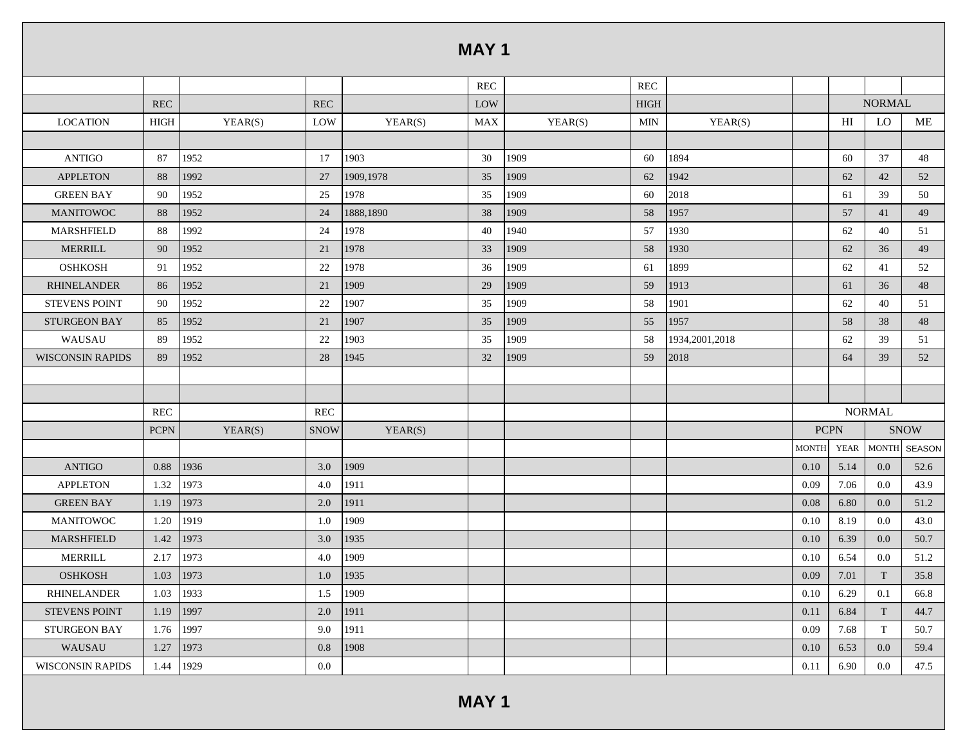|                         |             |         |             |           | <b>MAY1</b> |         |             |                |              |      |               |               |
|-------------------------|-------------|---------|-------------|-----------|-------------|---------|-------------|----------------|--------------|------|---------------|---------------|
|                         |             |         |             |           | <b>REC</b>  |         | <b>REC</b>  |                |              |      |               |               |
|                         | <b>REC</b>  |         | <b>REC</b>  |           | LOW         |         | <b>HIGH</b> |                |              |      | <b>NORMAL</b> |               |
| <b>LOCATION</b>         | <b>HIGH</b> | YEAR(S) | LOW         | YEAR(S)   | <b>MAX</b>  | YEAR(S) | MIN         | YEAR(S)        |              | HI   | LO            | ME            |
|                         |             |         |             |           |             |         |             |                |              |      |               |               |
| <b>ANTIGO</b>           | 87          | 1952    | 17          | 1903      | 30          | 1909    | 60          | 1894           |              | 60   | 37            | 48            |
| <b>APPLETON</b>         | 88          | 1992    | 27          | 1909,1978 | 35          | 1909    | 62          | 1942           |              | 62   | 42            | 52            |
| <b>GREEN BAY</b>        | 90          | 1952    | 25          | 1978      | 35          | 1909    | 60          | 2018           |              | 61   | 39            | 50            |
| <b>MANITOWOC</b>        | 88          | 1952    | 24          | 1888,1890 | 38          | 1909    | 58          | 1957           |              | 57   | 41            | 49            |
| MARSHFIELD              | 88          | 1992    | 24          | 1978      | 40          | 1940    | 57          | 1930           |              | 62   | 40            | 51            |
| <b>MERRILL</b>          | 90          | 1952    | 21          | 1978      | 33          | 1909    | 58          | 1930           |              | 62   | 36            | 49            |
| <b>OSHKOSH</b>          | 91          | 1952    | 22          | 1978      | 36          | 1909    | 61          | 1899           |              | 62   | 41            | 52            |
| <b>RHINELANDER</b>      | 86          | 1952    | 21          | 1909      | 29          | 1909    | 59          | 1913           |              | 61   | 36            | 48            |
| <b>STEVENS POINT</b>    | 90          | 1952    | 22          | 1907      | 35          | 1909    | 58          | 1901           |              | 62   | 40            | 51            |
| STURGEON BAY            | 85          | 1952    | 21          | 1907      | 35          | 1909    | 55          | 1957           |              | 58   | 38            | 48            |
| WAUSAU                  | 89          | 1952    | 22          | 1903      | 35          | 1909    | 58          | 1934,2001,2018 |              | 62   | 39            | 51            |
| <b>WISCONSIN RAPIDS</b> | 89          | 1952    | 28          | 1945      | 32          | 1909    | 59          | 2018           |              | 64   | 39            | 52            |
|                         |             |         |             |           |             |         |             |                |              |      |               |               |
|                         |             |         |             |           |             |         |             |                |              |      |               |               |
|                         | <b>REC</b>  |         | <b>REC</b>  |           |             |         |             |                |              |      | <b>NORMAL</b> |               |
|                         | <b>PCPN</b> | YEAR(S) | <b>SNOW</b> | YEAR(S)   |             |         |             |                | <b>PCPN</b>  |      |               | <b>SNOW</b>   |
|                         |             |         |             |           |             |         |             |                | <b>MONTH</b> | YEAR | <b>MONTH</b>  | <b>SEASON</b> |
| <b>ANTIGO</b>           | 0.88        | 1936    | 3.0         | 1909      |             |         |             |                | 0.10         | 5.14 | 0.0           | 52.6          |
| <b>APPLETON</b>         | 1.32        | 1973    | 4.0         | 1911      |             |         |             |                | 0.09         | 7.06 | 0.0           | 43.9          |
| <b>GREEN BAY</b>        | 1.19        | 1973    | 2.0         | 1911      |             |         |             |                | 0.08         | 6.80 | 0.0           | 51.2          |
| <b>MANITOWOC</b>        | 1.20        | 1919    | 1.0         | 1909      |             |         |             |                | 0.10         | 8.19 | 0.0           | 43.0          |
| <b>MARSHFIELD</b>       | 1.42        | 1973    | 3.0         | 1935      |             |         |             |                | 0.10         | 6.39 | $0.0\,$       | 50.7          |
| <b>MERRILL</b>          | 2.17        | 1973    | 4.0         | 1909      |             |         |             |                | 0.10         | 6.54 | 0.0           | 51.2          |
| <b>OSHKOSH</b>          | 1.03 1973   |         | 1.0         | 1935      |             |         |             |                | 0.09         | 7.01 | T             | 35.8          |
| RHINELANDER             | 1.03        | 1933    | 1.5         | 1909      |             |         |             |                | 0.10         | 6.29 | 0.1           | 66.8          |
| <b>STEVENS POINT</b>    | 1.19        | 1997    | 2.0         | 1911      |             |         |             |                | 0.11         | 6.84 | T             | 44.7          |
| STURGEON BAY            | 1.76        | 1997    | 9.0         | 1911      |             |         |             |                | 0.09         | 7.68 | $\mathbf T$   | 50.7          |
| WAUSAU                  | 1.27        | 1973    | 0.8         | 1908      |             |         |             |                | 0.10         | 6.53 | 0.0           | 59.4          |
| <b>WISCONSIN RAPIDS</b> | 1.44        | 1929    | $0.0\,$     |           |             |         |             |                | 0.11         | 6.90 | 0.0           | 47.5          |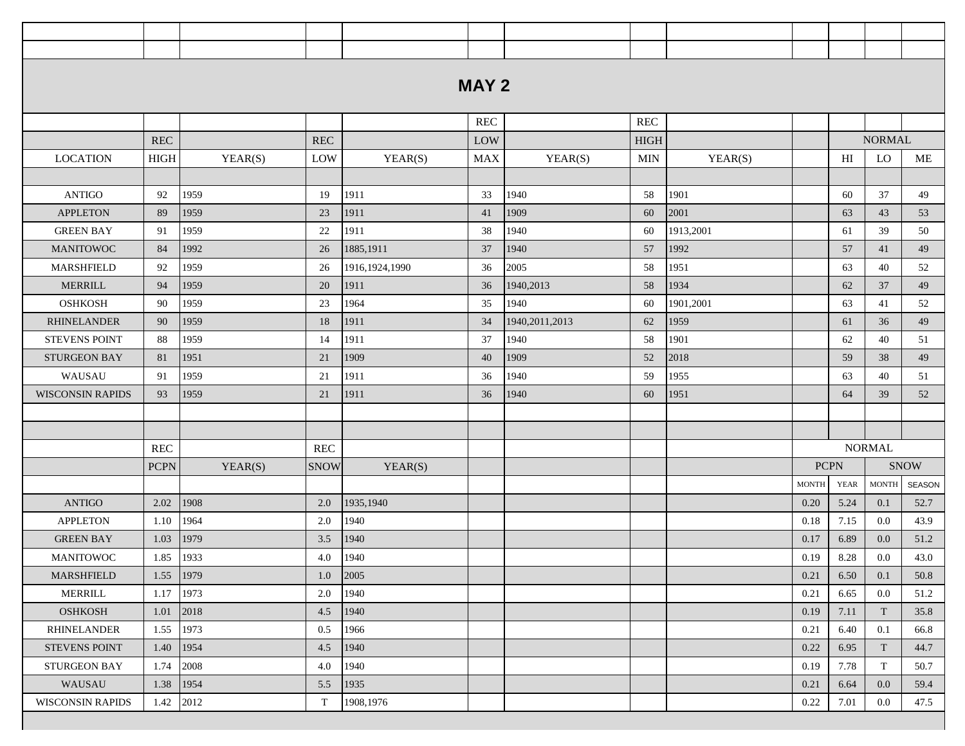|                         |             |         |                      |                | <b>MAY 2</b> |                  |                      |           |              |             |                        |             |
|-------------------------|-------------|---------|----------------------|----------------|--------------|------------------|----------------------|-----------|--------------|-------------|------------------------|-------------|
|                         |             |         |                      |                |              |                  |                      |           |              |             |                        |             |
|                         |             |         |                      |                | <b>REC</b>   |                  | $\operatorname{REC}$ |           |              |             |                        |             |
|                         | <b>REC</b>  |         | <b>REC</b>           |                | LOW          |                  | <b>HIGH</b>          |           |              |             | <b>NORMAL</b>          |             |
| <b>LOCATION</b>         | <b>HIGH</b> | YEAR(S) | LOW                  | YEAR(S)        | <b>MAX</b>   | YEAR(S)          | MIN                  | YEAR(S)   |              | HI          | LO                     | ME          |
|                         |             |         |                      |                |              |                  |                      |           |              |             |                        |             |
| <b>ANTIGO</b>           | 92          | 1959    | 19                   | 1911           | 33           | 1940             | 58                   | 1901      |              | 60          | 37                     | 49          |
| <b>APPLETON</b>         | 89          | 1959    | 23                   | 1911           | 41           | 1909             | 60                   | 2001      |              | 63          | 43                     | 53          |
| <b>GREEN BAY</b>        | 91          | 1959    | 22                   | 1911           | 38           | 1940             | 60                   | 1913,2001 |              | 61          | 39                     | 50          |
| <b>MANITOWOC</b>        | 84          | 1992    | 26                   | 1885,1911      | 37           | 1940             | 57                   | 1992      |              | 57          | 41                     | 49          |
| <b>MARSHFIELD</b>       | 92          | 1959    | 26                   | 1916,1924,1990 | 36           | 2005             | 58                   | 1951      |              | 63          | 40                     | 52          |
| <b>MERRILL</b>          | 94          | 1959    | 20                   | 1911           | 36           | 1940,2013        | 58                   | 1934      |              | 62          | 37                     | 49          |
| <b>OSHKOSH</b>          | 90          | 1959    | 23                   | 1964           | 35           | 1940             | 60                   | 1901,2001 |              | 63          | 41                     | 52          |
| <b>RHINELANDER</b>      | 90          | 1959    | 18                   | 1911           | 34           | 1940, 2011, 2013 | 62                   | 1959      |              | 61          | 36                     | 49          |
| <b>STEVENS POINT</b>    | 88          | 1959    | 14                   | 1911           | 37           | 1940             | 58                   | 1901      |              | 62          | 40                     | 51          |
| <b>STURGEON BAY</b>     | 81          | 1951    | 21                   | 1909           | 40           | 1909             | 52                   | 2018      |              | 59          | 38                     | 49          |
| WAUSAU                  | 91          | 1959    | 21                   | 1911           | 36           | 1940             | 59                   | 1955      |              | 63          | 40                     | 51          |
| <b>WISCONSIN RAPIDS</b> | 93          | 1959    | 21                   | 1911           | 36           | 1940             | 60                   | 1951      |              | 64          | 39                     | 52          |
|                         |             |         |                      |                |              |                  |                      |           |              |             |                        |             |
|                         |             |         |                      |                |              |                  |                      |           |              |             |                        |             |
|                         | <b>REC</b>  |         | $\operatorname{REC}$ |                |              |                  |                      |           |              |             | <b>NORMAL</b>          |             |
|                         | <b>PCPN</b> | YEAR(S) | <b>SNOW</b>          | YEAR(S)        |              |                  |                      |           | <b>PCPN</b>  |             |                        | <b>SNOW</b> |
|                         |             |         |                      |                |              |                  |                      |           | <b>MONTH</b> | <b>YEAR</b> | $\operatorname{MONTH}$ | SEASON      |
| <b>ANTIGO</b>           | 2.02        | 1908    | 2.0                  | 1935,1940      |              |                  |                      |           | 0.20         | 5.24        | 0.1                    | 52.7        |
| <b>APPLETON</b>         | 1.10        | 1964    | 2.0                  | 1940           |              |                  |                      |           | 0.18         | 7.15        | 0.0                    | 43.9        |
| <b>GREEN BAY</b>        | 1.03        | 1979    | 3.5                  | 1940           |              |                  |                      |           | 0.17         | 6.89        | 0.0                    | 51.2        |
| <b>MANITOWOC</b>        | 1.85        | 1933    | 4.0                  | 1940           |              |                  |                      |           | 0.19         | 8.28        | 0.0                    | 43.0        |
| MARSHFIELD              | 1.55        | 1979    | 1.0                  | 2005           |              |                  |                      |           | 0.21         | 6.50        | 0.1                    | 50.8        |
| MERRILL                 | 1.17        | 1973    | 2.0                  | 1940           |              |                  |                      |           | 0.21         | 6.65        | 0.0                    | 51.2        |
| <b>OSHKOSH</b>          | 1.01        | 2018    | 4.5                  | 1940           |              |                  |                      |           | 0.19         | 7.11        | T                      | 35.8        |
| <b>RHINELANDER</b>      | 1.55        | 1973    | 0.5                  | 1966           |              |                  |                      |           | 0.21         | 6.40        | 0.1                    | 66.8        |
| <b>STEVENS POINT</b>    | 1.40        | 1954    | 4.5                  | 1940           |              |                  |                      |           | 0.22         | 6.95        | T                      | 44.7        |
| STURGEON BAY            | 1.74        | 2008    | 4.0                  | 1940           |              |                  |                      |           | 0.19         | 7.78        | T                      | 50.7        |
| WAUSAU                  | 1.38        | 1954    | 5.5                  | 1935           |              |                  |                      |           | 0.21         | 6.64        | 0.0                    | 59.4        |
| <b>WISCONSIN RAPIDS</b> | 1.42        | 2012    | $\mathbf T$          | 1908,1976      |              |                  |                      |           | 0.22         | 7.01        | 0.0                    | 47.5        |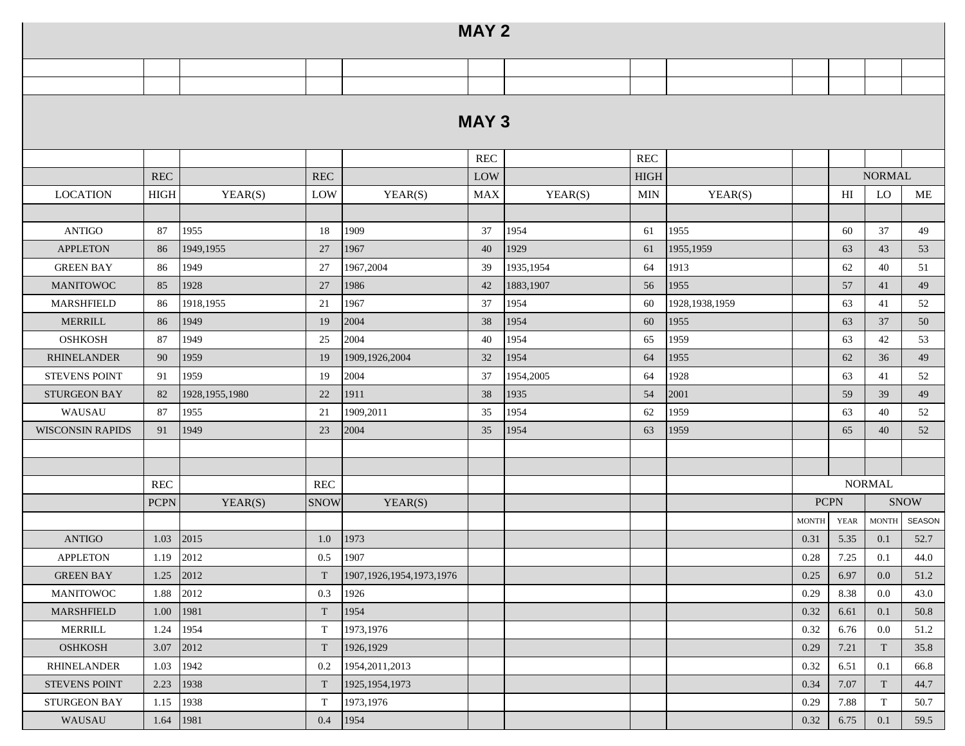|                         |             |                  |                           |                              | <b>MAY 2</b> |           |             |                  |              |             |                           |               |
|-------------------------|-------------|------------------|---------------------------|------------------------------|--------------|-----------|-------------|------------------|--------------|-------------|---------------------------|---------------|
|                         |             |                  |                           |                              |              |           |             |                  |              |             |                           |               |
|                         |             |                  |                           |                              |              |           |             |                  |              |             |                           |               |
|                         |             |                  |                           |                              | <b>MAY 3</b> |           |             |                  |              |             |                           |               |
|                         |             |                  |                           |                              | <b>REC</b>   |           | REC         |                  |              |             |                           |               |
|                         | <b>REC</b>  |                  | <b>REC</b>                |                              | LOW          |           | <b>HIGH</b> |                  |              |             | <b>NORMAL</b>             |               |
| <b>LOCATION</b>         | <b>HIGH</b> | YEAR(S)          | LOW                       | YEAR(S)                      | <b>MAX</b>   | YEAR(S)   | MIN         | YEAR(S)          |              | HI          | <b>LO</b>                 | ME            |
|                         |             |                  |                           |                              |              |           |             |                  |              |             |                           |               |
| <b>ANTIGO</b>           | 87          | 1955             | 18                        | 1909                         | 37           | 1954      | 61          | 1955             |              | 60          | 37                        | 49            |
| <b>APPLETON</b>         | 86          | 1949, 1955       | 27                        | 1967                         | 40           | 1929      | 61          | 1955,1959        |              | 63          | 43                        | 53            |
| <b>GREEN BAY</b>        | 86          | 1949             | 27                        | 1967,2004                    | 39           | 1935,1954 | 64          | 1913             |              | 62          | 40                        | 51            |
| <b>MANITOWOC</b>        | 85          | 1928             | 27                        | 1986                         | 42           | 1883,1907 | 56          | 1955             |              | 57          | 41                        | 49            |
| <b>MARSHFIELD</b>       | 86          | 1918,1955        | 21                        | 1967                         | 37           | 1954      | 60          | 1928, 1938, 1959 |              | 63          | 41                        | 52            |
| <b>MERRILL</b>          | 86          | 1949             | 19                        | 2004                         | 38           | 1954      | 60          | 1955             |              | 63          | 37                        | 50            |
| <b>OSHKOSH</b>          | 87          | 1949             | 25                        | 2004                         | 40           | 1954      | 65          | 1959             |              | 63          | 42                        | 53            |
| <b>RHINELANDER</b>      | 90          | 1959             | 19                        | 1909,1926,2004               | 32           | 1954      | 64          | 1955             |              | 62          | 36                        | 49            |
| <b>STEVENS POINT</b>    | 91          | 1959             | 19                        | 2004                         | 37           | 1954,2005 | 64          | 1928             |              | 63          | 41                        | 52            |
| <b>STURGEON BAY</b>     | 82          | 1928, 1955, 1980 | 22                        | 1911                         | 38           | 1935      | 54          | 2001             |              | 59          | 39                        | 49            |
| WAUSAU                  | 87          | 1955             | 21                        | 1909,2011                    | 35           | 1954      | 62          | 1959             |              | 63          | 40                        | 52            |
| <b>WISCONSIN RAPIDS</b> | 91          | 1949             | 23                        | 2004                         | 35           | 1954      | 63          | 1959             |              | 65          | 40                        | 52            |
|                         |             |                  |                           |                              |              |           |             |                  |              |             |                           |               |
|                         |             |                  |                           |                              |              |           |             |                  |              |             |                           |               |
|                         | <b>REC</b>  |                  | <b>REC</b>                |                              |              |           |             |                  |              |             | <b>NORMAL</b>             |               |
|                         | <b>PCPN</b> | YEAR(S)          | <b>SNOW</b>               | YEAR(S)                      |              |           |             |                  |              | <b>PCPN</b> |                           | <b>SNOW</b>   |
|                         |             |                  |                           |                              |              |           |             |                  | <b>MONTH</b> | YEAR        | <b>MONTH</b>              | <b>SEASON</b> |
| <b>ANTIGO</b>           | 1.03        | 2015             | 1.0                       | 1973                         |              |           |             |                  | 0.31         | 5.35        | 0.1                       | 52.7          |
| <b>APPLETON</b>         | 1.19        | 2012             | 0.5                       | 1907                         |              |           |             |                  | 0.28         | 7.25        | 0.1                       | 44.0          |
| <b>GREEN BAY</b>        | 1.25        | 2012             | T                         | 1907, 1926, 1954, 1973, 1976 |              |           |             |                  | 0.25         | 6.97        | 0.0                       | 51.2          |
| MANITOWOC               | 1.88        | 2012             | 0.3                       | 1926                         |              |           |             |                  | 0.29         | 8.38        | 0.0                       | 43.0          |
| MARSHFIELD              | 1.00        | 1981             | $\ensuremath{\mathrm{T}}$ | 1954                         |              |           |             |                  | 0.32         | 6.61        | 0.1                       | 50.8          |
| MERRILL                 | 1.24        | 1954             | T                         | 1973,1976                    |              |           |             |                  | 0.32         | 6.76        | 0.0                       | 51.2          |
| <b>OSHKOSH</b>          | 3.07        | 2012             | T                         | 1926,1929                    |              |           |             |                  | 0.29         | 7.21        | $\ensuremath{\mathrm{T}}$ | 35.8          |
| RHINELANDER             | 1.03        | 1942             | 0.2                       | 1954, 2011, 2013             |              |           |             |                  | 0.32         | 6.51        | 0.1                       | 66.8          |
| <b>STEVENS POINT</b>    | 2.23        | 1938             | T                         | 1925, 1954, 1973             |              |           |             |                  | 0.34         | 7.07        | T                         | 44.7          |
| STURGEON BAY            | 1.15        | 1938             | T                         | 1973,1976                    |              |           |             |                  | 0.29         | 7.88        | T                         | 50.7          |
| WAUSAU                  | 1.64        | 1981             | 0.4                       | 1954                         |              |           |             |                  | 0.32         | 6.75        | 0.1                       | 59.5          |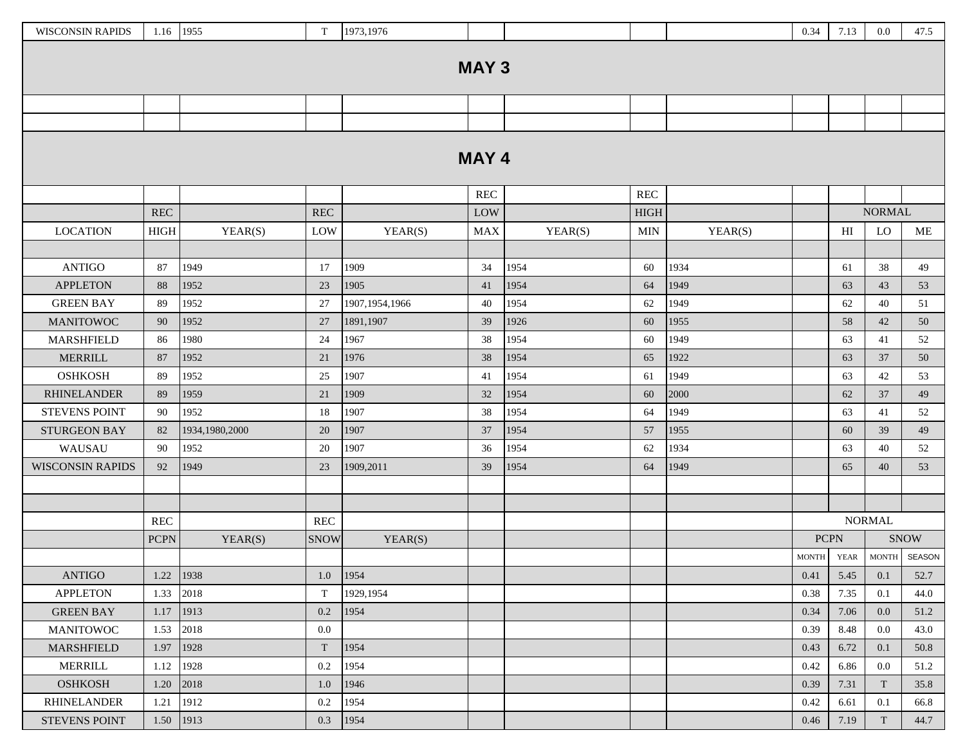| <b>WISCONSIN RAPIDS</b> | 1.16 1955    |                | T                         | 1973,1976        |              |         |             |         | 0.34         | 7.13                       | $0.0\,$       | 47.5         |
|-------------------------|--------------|----------------|---------------------------|------------------|--------------|---------|-------------|---------|--------------|----------------------------|---------------|--------------|
|                         |              |                |                           |                  |              |         |             |         |              |                            |               |              |
|                         |              |                |                           |                  | <b>MAY 3</b> |         |             |         |              |                            |               |              |
|                         |              |                |                           |                  |              |         |             |         |              |                            |               |              |
|                         |              |                |                           |                  |              |         |             |         |              |                            |               |              |
|                         |              |                |                           |                  |              |         |             |         |              |                            |               |              |
|                         |              |                |                           |                  | <b>MAY 4</b> |         |             |         |              |                            |               |              |
|                         |              |                |                           |                  | <b>REC</b>   |         | <b>REC</b>  |         |              |                            |               |              |
|                         | <b>REC</b>   |                | $\operatorname{REC}$      |                  | LOW          |         | <b>HIGH</b> |         |              |                            | <b>NORMAL</b> |              |
| <b>LOCATION</b>         | ${\rm HIGH}$ | YEAR(S)        | LOW                       | YEAR(S)          | <b>MAX</b>   | YEAR(S) | <b>MIN</b>  | YEAR(S) |              | $\mathop{\rm HI}\nolimits$ | LO            | ME           |
|                         |              |                |                           |                  |              |         |             |         |              |                            |               |              |
| <b>ANTIGO</b>           | 87           | 1949           | 17                        | 1909             | 34           | 1954    | 60          | 1934    |              | 61                         | 38            | 49           |
| <b>APPLETON</b>         | 88           | 1952           | 23                        | 1905             | 41           | 1954    | 64          | 1949    |              | 63                         | 43            | 53           |
| <b>GREEN BAY</b>        | 89           | 1952           | 27                        | 1907, 1954, 1966 | 40           | 1954    | 62          | 1949    |              | 62                         | 40            | 51           |
| <b>MANITOWOC</b>        | 90           | 1952           | 27                        | 1891,1907        | 39           | 1926    | 60          | 1955    |              | 58                         | 42            | 50           |
| MARSHFIELD              | 86           | 1980           | 24                        | 1967             | 38           | 1954    | 60          | 1949    |              | 63                         | 41            | 52           |
| <b>MERRILL</b>          | 87           | 1952           | 21                        | 1976             | 38           | 1954    | 65          | 1922    |              | 63                         | 37            | 50           |
| <b>OSHKOSH</b>          | 89           | 1952           | 25                        | 1907             | 41           | 1954    | 61          | 1949    |              | 63                         | $42\,$        | 53           |
| <b>RHINELANDER</b>      | 89           | 1959           | 21                        | 1909             | 32           | 1954    | 60          | 2000    |              | 62                         | 37            | 49           |
| <b>STEVENS POINT</b>    | 90           | 1952           | 18                        | 1907             | 38           | 1954    | 64          | 1949    |              | 63                         | 41            | 52           |
| <b>STURGEON BAY</b>     | 82           | 1934,1980,2000 | 20                        | 1907             | 37           | 1954    | 57          | 1955    |              | 60                         | 39            | 49           |
| WAUSAU                  | 90           | 1952           | 20                        | 1907             | 36           | 1954    | 62          | 1934    |              | 63                         | 40            | 52           |
| <b>WISCONSIN RAPIDS</b> | 92           | 1949           | 23                        | 1909,2011        | 39           | 1954    | 64          | 1949    |              | 65                         | 40            | 53           |
|                         |              |                |                           |                  |              |         |             |         |              |                            |               |              |
|                         |              |                |                           |                  |              |         |             |         |              |                            |               |              |
|                         | <b>REC</b>   |                | <b>REC</b>                |                  |              |         |             |         |              |                            | <b>NORMAL</b> |              |
|                         | <b>PCPN</b>  | YEAR(S)        | <b>SNOW</b>               | YEAR(S)          |              |         |             |         | <b>PCPN</b>  |                            |               | <b>SNOW</b>  |
|                         |              |                |                           |                  |              |         |             |         | <b>MONTH</b> | <b>YEAR</b>                |               | MONTH SEASON |
| <b>ANTIGO</b>           | 1.22         | 1938           | 1.0                       | 1954             |              |         |             |         | 0.41         | 5.45                       | 0.1           | 52.7         |
| <b>APPLETON</b>         | 1.33         | 2018           | $\mathbf T$               | 1929,1954        |              |         |             |         | 0.38         | 7.35                       | 0.1           | 44.0         |
| <b>GREEN BAY</b>        | 1.17         | 1913           | 0.2                       | 1954             |              |         |             |         | 0.34         | 7.06                       | $0.0\,$       | 51.2         |
| <b>MANITOWOC</b>        | 1.53         | 2018           | 0.0                       |                  |              |         |             |         | 0.39         | 8.48                       | $0.0\,$       | 43.0         |
| MARSHFIELD              | 1.97         | 1928           | $\ensuremath{\mathrm{T}}$ | 1954             |              |         |             |         | 0.43         | 6.72                       | 0.1           | 50.8         |
| <b>MERRILL</b>          | 1.12         | 1928           | 0.2                       | 1954             |              |         |             |         | 0.42         | 6.86                       | $0.0\,$       | 51.2         |
| <b>OSHKOSH</b>          | 1.20         | 2018           | 1.0                       | 1946             |              |         |             |         | 0.39         | 7.31                       | T             | 35.8         |
| <b>RHINELANDER</b>      | 1.21         | 1912           | 0.2                       | 1954             |              |         |             |         | 0.42         | 6.61                       | 0.1           | 66.8         |
| STEVENS POINT           | 1.50         | 1913           | $0.3\,$                   | 1954             |              |         |             |         | 0.46         | 7.19                       | T             | 44.7         |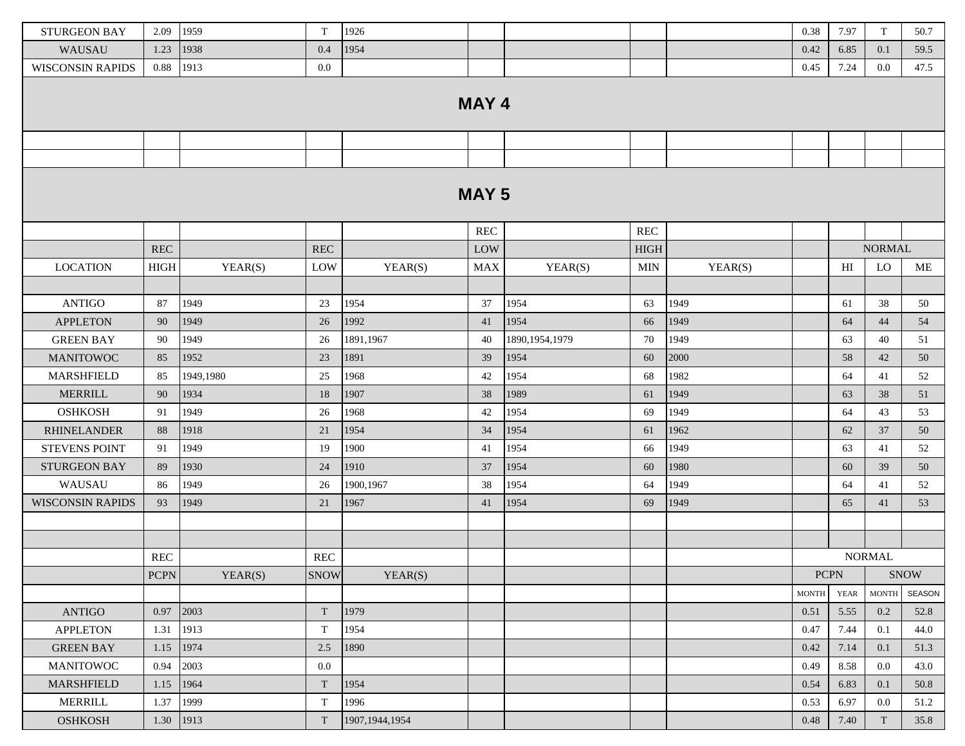| <b>STURGEON BAY</b>     | 2.09        | 1959      | T                         | 1926             |              |                  |             |         | 0.38         | 7.97        | T             | 50.7        |
|-------------------------|-------------|-----------|---------------------------|------------------|--------------|------------------|-------------|---------|--------------|-------------|---------------|-------------|
| WAUSAU                  | 1.23        | 1938      | 0.4                       | 1954             |              |                  |             |         | 0.42         | 6.85        | 0.1           | 59.5        |
| <b>WISCONSIN RAPIDS</b> | 0.88        | 1913      | $0.0\,$                   |                  |              |                  |             |         | 0.45         | 7.24        | 0.0           | 47.5        |
|                         |             |           |                           |                  |              |                  |             |         |              |             |               |             |
|                         |             |           |                           |                  | MAY 4        |                  |             |         |              |             |               |             |
|                         |             |           |                           |                  |              |                  |             |         |              |             |               |             |
|                         |             |           |                           |                  |              |                  |             |         |              |             |               |             |
|                         |             |           |                           |                  |              |                  |             |         |              |             |               |             |
|                         |             |           |                           |                  |              |                  |             |         |              |             |               |             |
|                         |             |           |                           |                  | <b>MAY 5</b> |                  |             |         |              |             |               |             |
|                         |             |           |                           |                  |              |                  |             |         |              |             |               |             |
|                         |             |           |                           |                  | <b>REC</b>   |                  | <b>REC</b>  |         |              |             |               |             |
|                         | <b>REC</b>  |           | $\operatorname{REC}$      |                  | LOW          |                  | <b>HIGH</b> |         |              |             | <b>NORMAL</b> |             |
| <b>LOCATION</b>         | <b>HIGH</b> | YEAR(S)   | LOW                       | YEAR(S)          | <b>MAX</b>   | YEAR(S)          | MIN         | YEAR(S) |              | HI          | LO            | ME          |
|                         |             |           |                           |                  |              |                  |             |         |              |             |               |             |
| <b>ANTIGO</b>           | 87          | 1949      | 23                        | 1954             | 37           | 1954             | 63          | 1949    |              | 61          | 38            | 50          |
| <b>APPLETON</b>         | 90          | 1949      | 26                        | 1992             | 41           | 1954             | 66          | 1949    |              | 64          | 44            | 54          |
| <b>GREEN BAY</b>        | 90          | 1949      | 26                        | 1891,1967        | 40           | 1890, 1954, 1979 | 70          | 1949    |              | 63          | 40            | 51          |
| <b>MANITOWOC</b>        | 85          | 1952      | 23                        | 1891             | 39           | 1954             | 60          | 2000    |              | 58          | 42            | 50          |
| <b>MARSHFIELD</b>       | 85          | 1949.1980 | 25                        | 1968             | 42           | 1954             | 68          | 1982    |              | 64          | 41            | 52          |
| <b>MERRILL</b>          | 90          | 1934      | 18                        | 1907             | 38           | 1989             | 61          | 1949    |              | 63          | 38            | 51          |
| <b>OSHKOSH</b>          | 91          | 1949      | 26                        | 1968             | 42           | 1954             | 69          | 1949    |              | 64          | 43            | 53          |
| <b>RHINELANDER</b>      | 88          | 1918      | 21                        | 1954             | 34           | 1954             | 61          | 1962    |              | 62          | 37            | 50          |
| <b>STEVENS POINT</b>    | 91          | 1949      | 19                        | 1900             | 41           | 1954             | 66          | 1949    |              | 63          | 41            | 52          |
| <b>STURGEON BAY</b>     | 89          | 1930      | 24                        | 1910             | 37           | 1954             | 60          | 1980    |              | 60          | 39            | 50          |
| WAUSAU                  | 86          | 1949      | 26                        | 1900,1967        | 38           | 1954             | 64          | 1949    |              | 64          | 41            | 52          |
| <b>WISCONSIN RAPIDS</b> | 93          | 1949      | 21                        | 1967             | 41           | 1954             | 69          | 1949    |              | 65          | 41            | 53          |
|                         |             |           |                           |                  |              |                  |             |         |              |             |               |             |
|                         |             |           |                           |                  |              |                  |             |         |              |             |               |             |
|                         | <b>REC</b>  |           | <b>REC</b>                |                  |              |                  |             |         |              |             | <b>NORMAL</b> |             |
|                         | <b>PCPN</b> | YEAR(S)   | <b>SNOW</b>               | YEAR(S)          |              |                  |             |         | <b>PCPN</b>  |             |               | <b>SNOW</b> |
|                         |             |           |                           |                  |              |                  |             |         | <b>MONTH</b> | <b>YEAR</b> | <b>MONTH</b>  | SEASON      |
| <b>ANTIGO</b>           | 0.97        | 2003      | $\mathbf T$               | 1979             |              |                  |             |         | 0.51         | 5.55        | 0.2           | 52.8        |
| <b>APPLETON</b>         | 1.31        | 1913      | $\ensuremath{\mathrm{T}}$ | 1954             |              |                  |             |         | 0.47         | 7.44        | 0.1           | 44.0        |
| <b>GREEN BAY</b>        | 1.15        | 1974      | 2.5                       | 1890             |              |                  |             |         | 0.42         | 7.14        | 0.1           | 51.3        |
| <b>MANITOWOC</b>        | 0.94        | 2003      | $0.0\,$                   |                  |              |                  |             |         | 0.49         | 8.58        | $0.0\,$       | 43.0        |
| MARSHFIELD              | 1.15        | 1964      | $\mathbf T$               | 1954             |              |                  |             |         | 0.54         | 6.83        | 0.1           | 50.8        |
| MERRILL                 | 1.37        | 1999      | $\ensuremath{\mathrm{T}}$ | 1996             |              |                  |             |         | 0.53         | 6.97        | 0.0           | 51.2        |
| <b>OSHKOSH</b>          | 1.30        | 1913      | $\mathbf T$               | 1907, 1944, 1954 |              |                  |             |         | 0.48         | 7.40        | T             | 35.8        |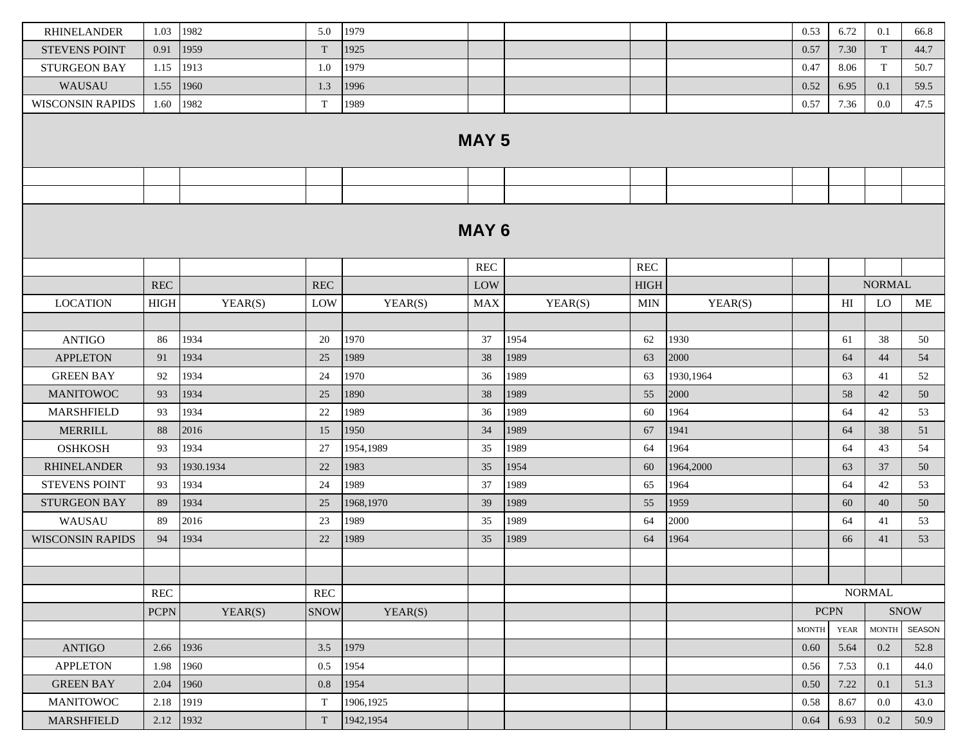| <b>RHINELANDER</b>      | 1.03        | 1982      | 5.0                  | 1979      |              |         |                      |           | 0.53         | 6.72        | 0.1           | 66.8        |
|-------------------------|-------------|-----------|----------------------|-----------|--------------|---------|----------------------|-----------|--------------|-------------|---------------|-------------|
| <b>STEVENS POINT</b>    | 0.91        | 1959      | $\rm T$              | 1925      |              |         |                      |           | 0.57         | 7.30        | T             | 44.7        |
| <b>STURGEON BAY</b>     | 1.15        | 1913      | 1.0                  | 1979      |              |         |                      |           | 0.47         | 8.06        | T             | 50.7        |
| WAUSAU                  | 1.55        | 1960      | 1.3                  | 1996      |              |         |                      |           | 0.52         | 6.95        | 0.1           | 59.5        |
| <b>WISCONSIN RAPIDS</b> | 1.60        | 1982      | $\mathbf T$          | 1989      |              |         |                      |           | 0.57         | 7.36        | 0.0           | 47.5        |
|                         |             |           |                      |           | <b>MAY 5</b> |         |                      |           |              |             |               |             |
|                         |             |           |                      |           |              |         |                      |           |              |             |               |             |
|                         |             |           |                      |           |              |         |                      |           |              |             |               |             |
|                         |             |           |                      |           |              |         |                      |           |              |             |               |             |
|                         |             |           |                      |           | <b>MAY 6</b> |         |                      |           |              |             |               |             |
|                         |             |           |                      |           | <b>REC</b>   |         | $\operatorname{REC}$ |           |              |             |               |             |
|                         | <b>REC</b>  |           | <b>REC</b>           |           | LOW          |         | <b>HIGH</b>          |           |              |             | <b>NORMAL</b> |             |
| <b>LOCATION</b>         | <b>HIGH</b> | YEAR(S)   | LOW                  | YEAR(S)   | <b>MAX</b>   | YEAR(S) | <b>MIN</b>           | YEAR(S)   |              | HI          | LO            | ME          |
|                         |             |           |                      |           |              |         |                      |           |              |             |               |             |
| <b>ANTIGO</b>           | 86          | 1934      | 20                   | 1970      | 37           | 1954    | 62                   | 1930      |              | 61          | 38            | 50          |
| <b>APPLETON</b>         | 91          | 1934      | 25                   | 1989      | 38           | 1989    | 63                   | 2000      |              | 64          | 44            | 54          |
| <b>GREEN BAY</b>        | 92          | 1934      | 24                   | 1970      | 36           | 1989    | 63                   | 1930,1964 |              | 63          | 41            | 52          |
| <b>MANITOWOC</b>        | 93          | 1934      | 25                   | 1890      | 38           | 1989    | 55                   | 2000      |              | 58          | 42            | 50          |
| MARSHFIELD              | 93          | 1934      | 22                   | 1989      | 36           | 1989    | 60                   | 1964      |              | 64          | 42            | 53          |
| <b>MERRILL</b>          | 88          | 2016      | 15                   | 1950      | 34           | 1989    | 67                   | 1941      |              | 64          | 38            | 51          |
| <b>OSHKOSH</b>          | 93          | 1934      | 27                   | 1954,1989 | 35           | 1989    | 64                   | 1964      |              | 64          | 43            | 54          |
| <b>RHINELANDER</b>      | 93          | 1930.1934 | 22                   | 1983      | 35           | 1954    | 60                   | 1964,2000 |              | 63          | 37            | 50          |
| <b>STEVENS POINT</b>    | 93          | 1934      | 24                   | 1989      | 37           | 1989    | 65                   | 1964      |              | 64          | 42            | 53          |
| <b>STURGEON BAY</b>     | 89          | 1934      | 25                   | 1968,1970 | 39           | 1989    | 55                   | 1959      |              | 60          | 40            | 50          |
| WAUSAU                  | 89          | 2016      | 23                   | 1989      | 35           | 1989    | 64                   | 2000      |              | 64          | 41            | 53          |
| <b>WISCONSIN RAPIDS</b> | 94          | 1934      | 22                   | 1989      | 35           | 1989    | 64                   | 1964      |              | 66          | 41            | 53          |
|                         |             |           |                      |           |              |         |                      |           |              |             |               |             |
|                         |             |           |                      |           |              |         |                      |           |              |             |               |             |
|                         | <b>REC</b>  |           | $\operatorname{REC}$ |           |              |         |                      |           |              |             | <b>NORMAL</b> |             |
|                         | <b>PCPN</b> | YEAR(S)   | <b>SNOW</b>          | YEAR(S)   |              |         |                      |           |              | <b>PCPN</b> |               | <b>SNOW</b> |
|                         |             |           |                      |           |              |         |                      |           | <b>MONTH</b> | <b>YEAR</b> | <b>MONTH</b>  | SEASON      |
| <b>ANTIGO</b>           | 2.66        | 1936      | 3.5                  | 1979      |              |         |                      |           | 0.60         | 5.64        | 0.2           | 52.8        |
| <b>APPLETON</b>         | 1.98        | 1960      | 0.5                  | 1954      |              |         |                      |           | 0.56         | 7.53        | 0.1           | 44.0        |
| <b>GREEN BAY</b>        | 2.04        | 1960      | 0.8                  | 1954      |              |         |                      |           | 0.50         | 7.22        | 0.1           | 51.3        |
| <b>MANITOWOC</b>        | 2.18        | 1919      | $\mathbf T$          | 1906,1925 |              |         |                      |           | 0.58         | 8.67        | $0.0\,$       | 43.0        |
| <b>MARSHFIELD</b>       | 2.12        | 1932      | T                    | 1942,1954 |              |         |                      |           | 0.64         | 6.93        | 0.2           | 50.9        |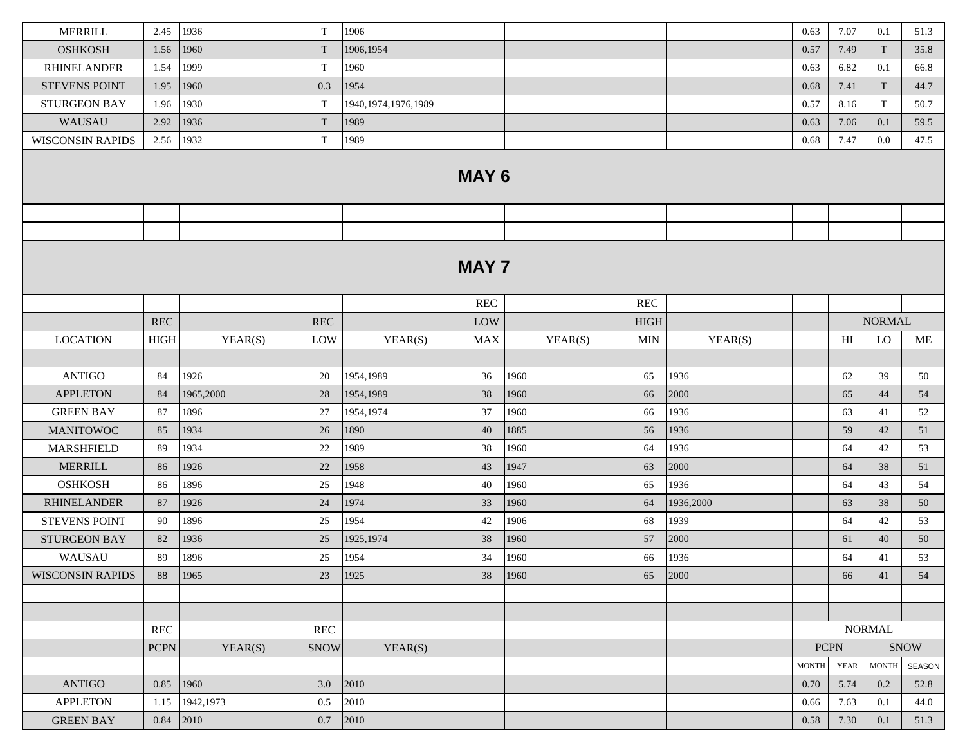| <b>MERRILL</b>          | 2.45                 | 1936       | T                    | 1906                   |                      |         |             |           | 0.63                   | 7.07        | 0.1           | 51.3        |
|-------------------------|----------------------|------------|----------------------|------------------------|----------------------|---------|-------------|-----------|------------------------|-------------|---------------|-------------|
| <b>OSHKOSH</b>          | 1.56                 | 1960       | T                    | 1906,1954              |                      |         |             |           | 0.57                   | 7.49        | T             | 35.8        |
| <b>RHINELANDER</b>      | 1.54                 | 1999       | T                    | 1960                   |                      |         |             |           | 0.63                   | 6.82        | 0.1           | 66.8        |
| <b>STEVENS POINT</b>    | 1.95                 | 1960       | 0.3                  | 1954                   |                      |         |             |           | 0.68                   | 7.41        | T             | 44.7        |
| <b>STURGEON BAY</b>     | 1.96                 | 1930       | T                    | 1940, 1974, 1976, 1989 |                      |         |             |           | 0.57                   | 8.16        | T             | 50.7        |
| WAUSAU                  | 2.92                 | 1936       | T                    | 1989                   |                      |         |             |           | 0.63                   | 7.06        | 0.1           | 59.5        |
| <b>WISCONSIN RAPIDS</b> | 2.56                 | 1932       | $\mathbf T$          | 1989                   |                      |         |             |           | 0.68                   | 7.47        | $0.0\,$       | 47.5        |
|                         |                      |            |                      |                        | <b>MAY 6</b>         |         |             |           |                        |             |               |             |
|                         |                      |            |                      |                        |                      |         |             |           |                        |             |               |             |
|                         |                      |            |                      |                        |                      |         |             |           |                        |             |               |             |
|                         |                      |            |                      |                        | <b>MAY 7</b>         |         |             |           |                        |             |               |             |
|                         |                      |            |                      |                        | $\operatorname{REC}$ |         | <b>REC</b>  |           |                        |             |               |             |
|                         | REC                  |            | <b>REC</b>           |                        | LOW                  |         | <b>HIGH</b> |           |                        |             | <b>NORMAL</b> |             |
| <b>LOCATION</b>         | <b>HIGH</b>          | YEAR(S)    | LOW                  | YEAR(S)                | <b>MAX</b>           | YEAR(S) | MIN         | YEAR(S)   |                        | HI          | LO            | ME          |
|                         |                      |            |                      |                        |                      |         |             |           |                        |             |               |             |
| <b>ANTIGO</b>           | 84                   | 1926       | 20                   | 1954,1989              | 36                   | 1960    | 65          | 1936      |                        | 62          | 39            | 50          |
| <b>APPLETON</b>         | 84                   | 1965,2000  | 28                   | 1954,1989              | 38                   | 1960    | 66          | 2000      |                        | 65          | 44            | 54          |
| <b>GREEN BAY</b>        | 87                   | 1896       | 27                   | 1954,1974              | 37                   | 1960    | 66          | 1936      |                        | 63          | 41            | 52          |
| <b>MANITOWOC</b>        | 85                   | 1934       | 26                   | 1890                   | 40                   | 1885    | 56          | 1936      |                        | 59          | 42            | 51          |
| <b>MARSHFIELD</b>       | 89                   | 1934       | 22                   | 1989                   | 38                   | 1960    | 64          | 1936      |                        | 64          | 42            | 53          |
| <b>MERRILL</b>          | 86                   | 1926       | $22\,$               | 1958                   | 43                   | 1947    | 63          | 2000      |                        | 64          | 38            | 51          |
| <b>OSHKOSH</b>          | 86                   | 1896       | 25                   | 1948                   | 40                   | 1960    | 65          | 1936      |                        | 64          | 43            | 54          |
| <b>RHINELANDER</b>      | 87                   | 1926       | 24                   | 1974                   | 33                   | 1960    | 64          | 1936,2000 |                        | 63          | 38            | 50          |
| <b>STEVENS POINT</b>    | 90                   | 1896       | 25                   | 1954                   | 42                   | 1906    | 68          | 1939      |                        | 64          | 42            | 53          |
| STURGEON BAY            | 82                   | 1936       | 25                   | 1925,1974              | 38                   | 1960    | 57          | 2000      |                        | 61          | 40            | 50          |
| WAUSAU                  | 89                   | 1896       | 25                   | 1954                   | 34                   | 1960    | 66          | 1936      |                        | 64          | 41            | 53          |
| <b>WISCONSIN RAPIDS</b> | 88                   | 1965       | 23                   | 1925                   | 38                   | 1960    | 65          | 2000      |                        | 66          | 41            | 54          |
|                         |                      |            |                      |                        |                      |         |             |           |                        |             |               |             |
|                         |                      |            |                      |                        |                      |         |             |           |                        |             |               |             |
|                         | $\operatorname{REC}$ |            | $\operatorname{REC}$ |                        |                      |         |             |           |                        |             | <b>NORMAL</b> |             |
|                         | <b>PCPN</b>          | YEAR(S)    | <b>SNOW</b>          | YEAR(S)                |                      |         |             |           | <b>PCPN</b>            |             |               | <b>SNOW</b> |
|                         |                      |            |                      |                        |                      |         |             |           | $\operatorname{MONTH}$ | <b>YEAR</b> | <b>MONTH</b>  | SEASON      |
| <b>ANTIGO</b>           | 0.85                 | 1960       | 3.0                  | 2010                   |                      |         |             |           | 0.70                   | 5.74        | 0.2           | 52.8        |
| <b>APPLETON</b>         | 1.15                 | 1942, 1973 | 0.5                  | 2010                   |                      |         |             |           | 0.66                   | 7.63        | 0.1           | 44.0        |
| <b>GREEN BAY</b>        | 0.84 2010            |            | 0.7                  | 2010                   |                      |         |             |           | 0.58                   | 7.30        | 0.1           | 51.3        |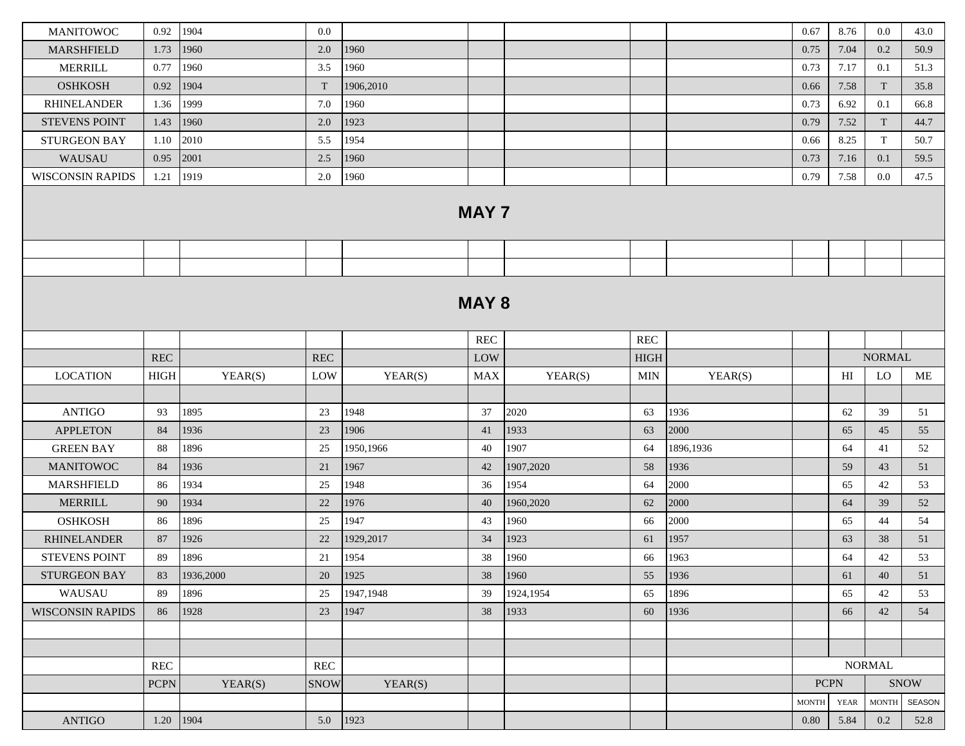| <b>MANITOWOC</b>        | 0.92          | 1904      | 0.0                  |           |              |           |             |           | 0.67         | 8.76        | $0.0\,$       | 43.0                                          |
|-------------------------|---------------|-----------|----------------------|-----------|--------------|-----------|-------------|-----------|--------------|-------------|---------------|-----------------------------------------------|
| <b>MARSHFIELD</b>       | 1.73          | 1960      | 2.0                  | 1960      |              |           |             |           | 0.75         | 7.04        | 0.2           | 50.9                                          |
| <b>MERRILL</b>          | 0.77          | 1960      | 3.5                  | 1960      |              |           |             |           | 0.73         | 7.17        | 0.1           | 51.3                                          |
| <b>OSHKOSH</b>          | 0.92          | 1904      | T                    | 1906,2010 |              |           |             |           | 0.66         | 7.58        | T             | 35.8                                          |
| <b>RHINELANDER</b>      | 1.36          | 1999      | 7.0                  | 1960      |              |           |             |           | 0.73         | 6.92        | 0.1           | 66.8                                          |
| <b>STEVENS POINT</b>    | 1.43          | 1960      | 2.0                  | 1923      |              |           |             |           | 0.79         | 7.52        | T             | 44.7                                          |
| <b>STURGEON BAY</b>     | 1.10          | 2010      | 5.5                  | 1954      |              |           |             |           | 0.66         | 8.25        | T             | 50.7                                          |
| WAUSAU                  | 0.95          | 2001      | 2.5                  | 1960      |              |           |             |           | 0.73         | 7.16        | 0.1           | 59.5                                          |
| <b>WISCONSIN RAPIDS</b> | 1.21          | 1919      | 2.0                  | 1960      |              |           |             |           | 0.79         | 7.58        | $0.0\,$       | 47.5                                          |
|                         |               |           |                      |           | <b>MAY 7</b> |           |             |           |              |             |               |                                               |
|                         |               |           |                      |           |              |           |             |           |              |             |               |                                               |
|                         |               |           |                      |           |              |           |             |           |              |             |               |                                               |
|                         |               |           |                      |           | <b>MAY 8</b> |           |             |           |              |             |               |                                               |
|                         |               |           |                      |           | <b>REC</b>   |           | <b>REC</b>  |           |              |             |               |                                               |
|                         | <b>REC</b>    |           | REC                  |           | LOW          |           | <b>HIGH</b> |           |              |             | <b>NORMAL</b> |                                               |
| <b>LOCATION</b>         | $_{\rm HIGH}$ | YEAR(S)   | LOW                  | YEAR(S)   | <b>MAX</b>   | YEAR(S)   | <b>MIN</b>  | YEAR(S)   |              | HI          | <b>LO</b>     | ME                                            |
|                         |               |           |                      |           |              |           |             |           |              |             |               |                                               |
| <b>ANTIGO</b>           | 93            | 1895      | 23                   | 1948      | 37           | 2020      | 63          | 1936      |              | 62          | 39            | 51                                            |
| <b>APPLETON</b>         | 84            | 1936      | 23                   | 1906      | 41           | 1933      | 63          | 2000      |              | 65          | 45            | 55                                            |
| <b>GREEN BAY</b>        | 88            | 1896      | 25                   | 1950,1966 | 40           | 1907      | 64          | 1896,1936 |              | 64          | 41            | 52                                            |
| <b>MANITOWOC</b>        | 84            | 1936      | 21                   | 1967      | 42           | 1907,2020 | 58          | 1936      |              | 59          | 43            | 51                                            |
| <b>MARSHFIELD</b>       | 86            | 1934      | 25                   | 1948      | 36           | 1954      | 64          | 2000      |              | 65          | 42            | 53                                            |
| <b>MERRILL</b>          | 90            | 1934      | 22                   | 1976      | 40           | 1960,2020 | 62          | 2000      |              | 64          | 39            | 52                                            |
| <b>OSHKOSH</b>          | 86            | 1896      | 25                   | 1947      | 43           | 1960      | 66          | 2000      |              | 65          | 44            | 54                                            |
| <b>RHINELANDER</b>      | 87            | 1926      | 22                   | 1929,2017 | 34           | 1923      | 61          | 1957      |              | 63          | 38            | 51                                            |
| <b>STEVENS POINT</b>    | 89            | 1896      | 21                   | 1954      | 38           | 1960      | 66          | 1963      |              | 64          | 42            | 53                                            |
| <b>STURGEON BAY</b>     | 83            | 1936,2000 | 20                   | 1925      | 38           | 1960      | 55          | 1936      |              | 61          | 40            | 51                                            |
| WAUSAU                  | 89            | 1896      | 25                   | 1947,1948 | 39           | 1924,1954 | 65          | 1896      |              | 65          | 42            | 53                                            |
| <b>WISCONSIN RAPIDS</b> | 86            | 1928      | 23                   | 1947      | 38           | 1933      | 60          | 1936      |              | 66          | 42            | 54                                            |
|                         |               |           |                      |           |              |           |             |           |              |             |               |                                               |
|                         |               |           |                      |           |              |           |             |           |              |             |               |                                               |
|                         | <b>REC</b>    |           | $\operatorname{REC}$ |           |              |           |             |           |              |             | <b>NORMAL</b> |                                               |
|                         | <b>PCPN</b>   | YEAR(S)   | <b>SNOW</b>          | YEAR(S)   |              |           |             |           | $PCPN$       |             |               | $\operatorname{S} \text{N} \text{O} \text{W}$ |
|                         |               |           |                      |           |              |           |             |           | <b>MONTH</b> | <b>YEAR</b> | <b>MONTH</b>  | SEASON                                        |
| <b>ANTIGO</b>           | 1.20 1904     |           | $5.0$   1923         |           |              |           |             |           | $0.80\,$     | 5.84        | 0.2           | 52.8                                          |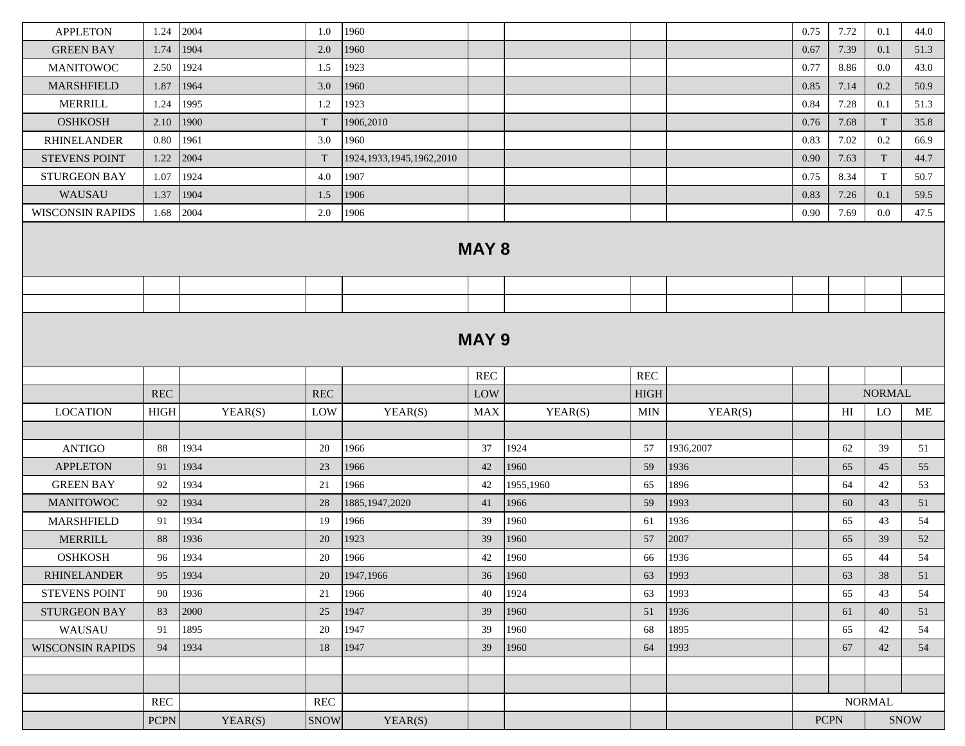| <b>APPLETON</b>         | 1.24                 | 2004         | 1.0                  | 1960                         |                                      |           |                      |           | 0.75 | 7.72                       | 0.1                       | 44.0 |
|-------------------------|----------------------|--------------|----------------------|------------------------------|--------------------------------------|-----------|----------------------|-----------|------|----------------------------|---------------------------|------|
| <b>GREEN BAY</b>        | 1.74                 | 1904         | 2.0                  | 1960                         |                                      |           |                      |           | 0.67 | 7.39                       | 0.1                       | 51.3 |
| <b>MANITOWOC</b>        | 2.50                 | 1924         | 1.5                  | 1923                         |                                      |           |                      |           | 0.77 | 8.86                       | 0.0                       | 43.0 |
| MARSHFIELD              | 1.87                 | 1964         | 3.0                  | 1960                         |                                      |           |                      |           | 0.85 | 7.14                       | 0.2                       | 50.9 |
| <b>MERRILL</b>          | 1.24                 | 1995         | 1.2                  | 1923                         |                                      |           |                      |           | 0.84 | 7.28                       | 0.1                       | 51.3 |
| <b>OSHKOSH</b>          | 2.10                 | 1900         | T                    | 1906,2010                    |                                      |           |                      |           | 0.76 | 7.68                       | $\ensuremath{\mathrm{T}}$ | 35.8 |
| <b>RHINELANDER</b>      | 0.80                 | 1961         | 3.0                  | 1960                         |                                      |           |                      |           | 0.83 | 7.02                       | $0.2\,$                   | 66.9 |
| <b>STEVENS POINT</b>    | 1.22                 | 2004         | T                    | 1924, 1933, 1945, 1962, 2010 |                                      |           |                      |           | 0.90 | 7.63                       | T                         | 44.7 |
| <b>STURGEON BAY</b>     | 1.07                 | 1924         | 4.0                  | 1907                         |                                      |           |                      |           | 0.75 | 8.34                       | T                         | 50.7 |
| WAUSAU                  | 1.37                 | 1904         | 1.5                  | 1906                         |                                      |           |                      |           | 0.83 | 7.26                       | 0.1                       | 59.5 |
| <b>WISCONSIN RAPIDS</b> | 1.68                 | 2004         | $2.0\,$              | 1906                         |                                      |           |                      |           | 0.90 | 7.69                       | $0.0\,$                   | 47.5 |
|                         |                      |              |                      |                              | <b>MAY 8</b>                         |           |                      |           |      |                            |                           |      |
|                         |                      |              |                      |                              |                                      |           |                      |           |      |                            |                           |      |
|                         |                      |              |                      |                              |                                      |           |                      |           |      |                            |                           |      |
|                         |                      |              |                      |                              | <b>MAY 9</b><br>$\operatorname{REC}$ |           | $\operatorname{REC}$ |           |      |                            |                           |      |
|                         | <b>REC</b>           |              | <b>REC</b>           |                              | LOW                                  |           | HIGH                 |           |      |                            | <b>NORMAL</b>             |      |
|                         | <b>HIGH</b>          |              |                      |                              |                                      |           |                      |           |      | $\mathop{\rm HI}\nolimits$ | LO                        |      |
| <b>LOCATION</b>         |                      | YEAR(S)      | LOW                  | YEAR(S)                      | <b>MAX</b>                           | YEAR(S)   | <b>MIN</b>           | YEAR(S)   |      |                            |                           | ME   |
| <b>ANTIGO</b>           | 88                   | 1934         | 20                   | 1966                         | 37                                   | 1924      | 57                   | 1936,2007 |      | 62                         | 39                        | 51   |
| <b>APPLETON</b>         | 91                   | 1934         | 23                   | 1966                         | 42                                   | 1960      | 59                   | 1936      |      | 65                         | 45                        | 55   |
| <b>GREEN BAY</b>        | 92                   | 1934         | 21                   | 1966                         | 42                                   | 1955,1960 | 65                   | 1896      |      | 64                         | 42                        | 53   |
| <b>MANITOWOC</b>        | 92                   | 1934         | 28                   | 1885, 1947, 2020             | 41                                   | 1966      | 59                   | 1993      |      | 60                         | 43                        | 51   |
| <b>MARSHFIELD</b>       | 91                   | 1934         | 19                   | 1966                         | 39                                   | 1960      | 61                   | 1936      |      | 65                         | 43                        | 54   |
| <b>MERRILL</b>          | 88                   | 1936         | 20                   | 1923                         | 39                                   | 1960      | 57                   | 2007      |      | 65                         | 39                        | 52   |
| <b>OSHKOSH</b>          | 96                   | 1934         | 20                   | 1966                         | 42                                   | 1960      | 66                   | 1936      |      | 65                         | 44                        | 54   |
| <b>RHINELANDER</b>      |                      |              |                      |                              |                                      |           |                      |           |      | 63                         | 38                        | 51   |
| <b>STEVENS POINT</b>    | 95                   | 1934         | 20                   |                              | 36                                   | 1960      | 63                   | 1993      |      |                            |                           |      |
|                         | 90                   |              | 21                   | 1947,1966<br>1966            | 40                                   | 1924      | 63                   | 1993      |      | 65                         | 43                        | 54   |
| <b>STURGEON BAY</b>     | 83                   | 1936<br>2000 | 25                   | 1947                         | 39                                   | 1960      | 51                   | 1936      |      | 61                         | 40                        | 51   |
| WAUSAU                  | 91                   | 1895         | 20                   | 1947                         | 39                                   | 1960      | 68                   | 1895      |      | 65                         | 42                        | 54   |
| <b>WISCONSIN RAPIDS</b> | 94                   | 1934         | 18                   | 1947                         | 39                                   | 1960      | 64                   | 1993      |      | 67                         | 42                        | 54   |
|                         |                      |              |                      |                              |                                      |           |                      |           |      |                            |                           |      |
|                         |                      |              |                      |                              |                                      |           |                      |           |      |                            |                           |      |
|                         | $\operatorname{REC}$ |              | $\operatorname{REC}$ |                              |                                      |           |                      |           |      |                            | <b>NORMAL</b>             |      |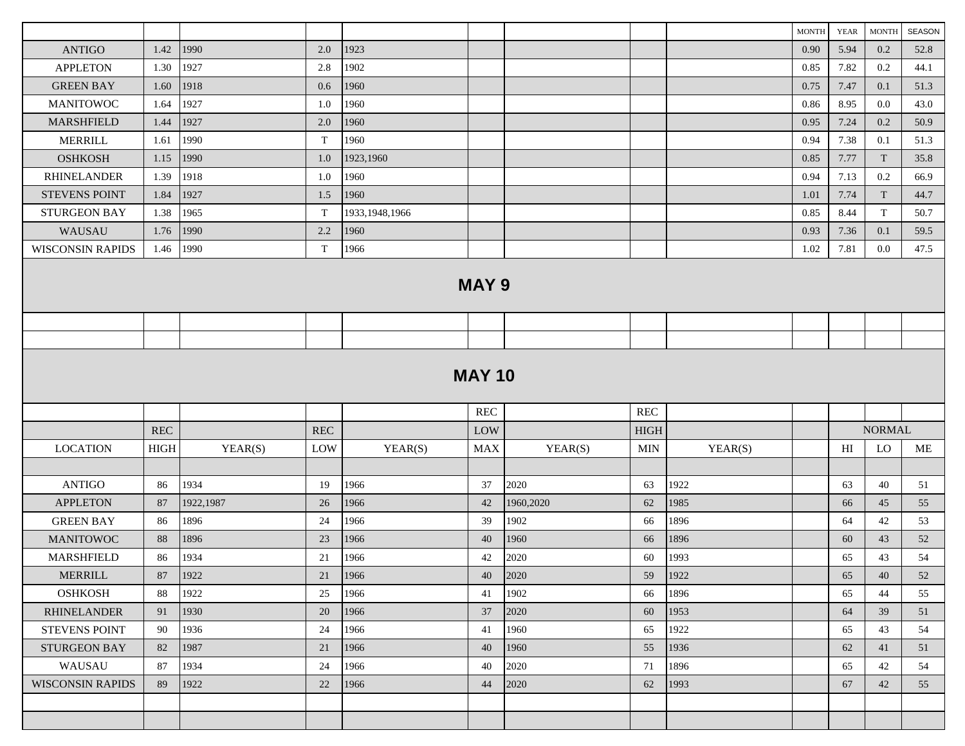|                         |             |           |            |                  |               |           |             |         | <b>MONTH</b> | YEAR | <b>MONTH</b>  | <b>SEASON</b> |
|-------------------------|-------------|-----------|------------|------------------|---------------|-----------|-------------|---------|--------------|------|---------------|---------------|
| <b>ANTIGO</b>           | 1.42        | 1990      | 2.0        | 1923             |               |           |             |         | 0.90         | 5.94 | 0.2           | 52.8          |
| <b>APPLETON</b>         | 1.30        | 1927      | 2.8        | 1902             |               |           |             |         | 0.85         | 7.82 | 0.2           | 44.1          |
| <b>GREEN BAY</b>        | 1.60        | 1918      | 0.6        | 1960             |               |           |             |         | 0.75         | 7.47 | 0.1           | 51.3          |
| <b>MANITOWOC</b>        | 1.64        | 1927      | 1.0        | 1960             |               |           |             |         | 0.86         | 8.95 | 0.0           | 43.0          |
| MARSHFIELD              | 1.44        | 1927      | 2.0        | 1960             |               |           |             |         | 0.95         | 7.24 | 0.2           | 50.9          |
| <b>MERRILL</b>          | 1.61        | 1990      | T          | 1960             |               |           |             |         | 0.94         | 7.38 | 0.1           | 51.3          |
| <b>OSHKOSH</b>          | 1.15        | 1990      | 1.0        | 1923,1960        |               |           |             |         | 0.85         | 7.77 | T             | 35.8          |
| <b>RHINELANDER</b>      | 1.39        | 1918      | 1.0        | 1960             |               |           |             |         | 0.94         | 7.13 | 0.2           | 66.9          |
| <b>STEVENS POINT</b>    | 1.84        | 1927      | 1.5        | 1960             |               |           |             |         | 1.01         | 7.74 | T             | 44.7          |
| <b>STURGEON BAY</b>     | 1.38        | 1965      | T          | 1933, 1948, 1966 |               |           |             |         | 0.85         | 8.44 | T             | 50.7          |
| WAUSAU                  | 1.76        | 1990      | 2.2        | 1960             |               |           |             |         | 0.93         | 7.36 | 0.1           | 59.5          |
| <b>WISCONSIN RAPIDS</b> | 1.46        | 1990      | T          | 1966             |               |           |             |         | 1.02         | 7.81 | $0.0\,$       | 47.5          |
|                         |             |           |            |                  | <b>MAY 9</b>  |           |             |         |              |      |               |               |
|                         |             |           |            |                  |               |           |             |         |              |      |               |               |
|                         |             |           |            |                  |               |           |             |         |              |      |               |               |
|                         |             |           |            |                  | <b>MAY 10</b> |           |             |         |              |      |               |               |
|                         |             |           |            |                  | REC           |           | REC         |         |              |      |               |               |
|                         | <b>REC</b>  |           | <b>REC</b> |                  | LOW           |           | <b>HIGH</b> |         |              |      | <b>NORMAL</b> |               |
| <b>LOCATION</b>         | <b>HIGH</b> | YEAR(S)   | LOW        | YEAR(S)          | <b>MAX</b>    | YEAR(S)   | MIN         | YEAR(S) |              | HI   | LO            | ME            |
|                         |             |           |            |                  |               |           |             |         |              |      |               |               |
| <b>ANTIGO</b>           | 86          | 1934      | 19         | 1966             | 37            | 2020      | 63          | 1922    |              | 63   | 40            | 51            |
| <b>APPLETON</b>         | 87          | 1922,1987 | 26         | 1966             | 42            | 1960,2020 | 62          | 1985    |              | 66   | 45            | 55            |
| <b>GREEN BAY</b>        | 86          | 1896      | 24         | 1966             | 39            | 1902      | 66          | 1896    |              | 64   | 42            | 53            |
| <b>MANITOWOC</b>        | 88          | 1896      | 23         | 1966             | 40            | 1960      | 66          | 1896    |              | 60   | 43            | 52            |
| <b>MARSHFIELD</b>       | 86          | 1934      | 21         | 1966             | 42            | 2020      | 60          | 1993    |              | 65   | 43            | 54            |
| <b>MERRILL</b>          | 87          | 1922      | 21         | 1966             | 40            | 2020      | 59          | 1922    |              | 65   | 40            | 52            |
| <b>OSHKOSH</b>          | 88          | 1922      | 25         | 1966             | 41            | 1902      | 66          | 1896    |              | 65   | 44            | 55            |
| <b>RHINELANDER</b>      | 91          | 1930      | 20         | 1966             | 37            | 2020      | 60          | 1953    |              | 64   | 39            | 51            |
| <b>STEVENS POINT</b>    | 90          | 1936      | 24         | 1966             | 41            | 1960      | 65          | 1922    |              | 65   | 43            | 54            |
| <b>STURGEON BAY</b>     | 82          | 1987      | 21         | 1966             | 40            | 1960      | 55          | 1936    |              | 62   | 41            | 51            |
| WAUSAU                  | 87          | 1934      | 24         | 1966             | 40            | 2020      | 71          | 1896    |              | 65   | 42            | 54            |
| <b>WISCONSIN RAPIDS</b> | 89          | 1922      | 22         | 1966             | 44            | 2020      | 62          | 1993    |              | 67   | 42            | 55            |
|                         |             |           |            |                  |               |           |             |         |              |      |               |               |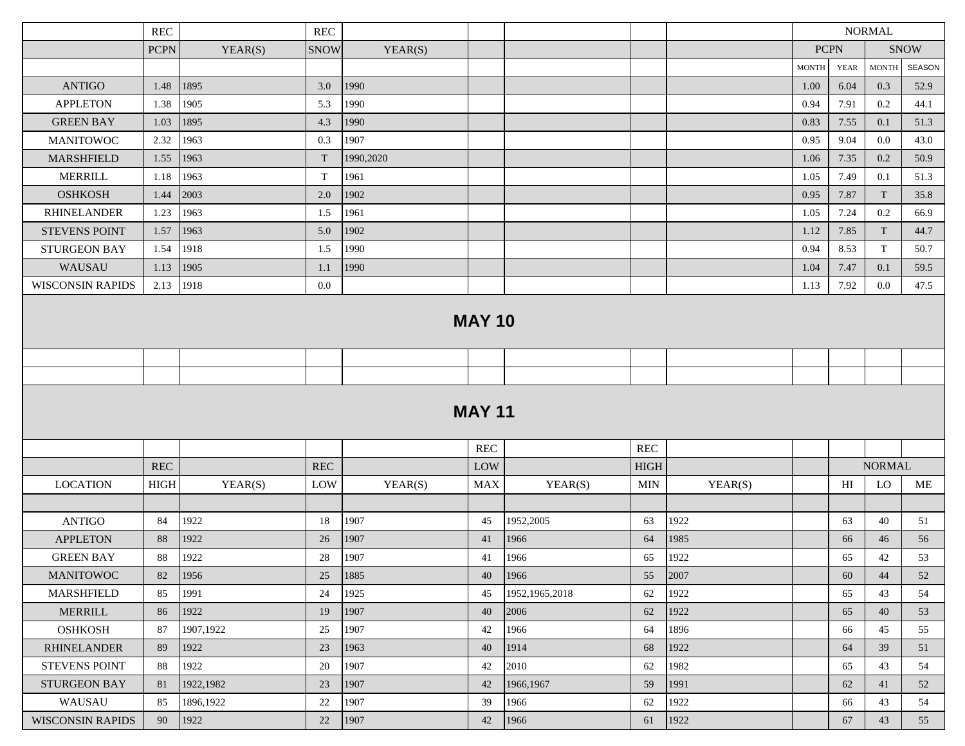|                                            | <b>REC</b>    |                   | <b>REC</b>           |              |               |                  |                      |              | <b>NORMAL</b> |                |               |             |
|--------------------------------------------|---------------|-------------------|----------------------|--------------|---------------|------------------|----------------------|--------------|---------------|----------------|---------------|-------------|
|                                            | <b>PCPN</b>   | YEAR(S)           | <b>SNOW</b>          | YEAR(S)      |               |                  |                      |              |               | <b>PCPN</b>    |               | <b>SNOW</b> |
|                                            |               |                   |                      |              |               |                  |                      |              | <b>MONTH</b>  | <b>YEAR</b>    | <b>MONTH</b>  | SEASON      |
| <b>ANTIGO</b>                              | 1.48          | 1895              | 3.0                  | 1990         |               |                  |                      |              | 1.00          | 6.04           | 0.3           | 52.9        |
| <b>APPLETON</b>                            | 1.38          | 1905              | 5.3                  | 1990         |               |                  |                      |              | 0.94          | 7.91           | 0.2           | 44.1        |
| <b>GREEN BAY</b>                           | 1.03          | 1895              | 4.3                  | 1990         |               |                  |                      |              | 0.83          | 7.55           | 0.1           | 51.3        |
| <b>MANITOWOC</b>                           | 2.32          | 1963              | 0.3                  | 1907         |               |                  |                      |              | 0.95          | 9.04           | $0.0\,$       | 43.0        |
| MARSHFIELD                                 | 1.55          | 1963              | $\mathbf T$          | 1990,2020    |               |                  |                      |              | 1.06          | 7.35           | 0.2           | 50.9        |
| <b>MERRILL</b>                             | 1.18          | 1963              | $\mathbf T$          | 1961         |               |                  |                      |              | 1.05          | 7.49           | 0.1           | 51.3        |
| <b>OSHKOSH</b>                             | 1.44          | 2003              | 2.0                  | 1902         |               |                  |                      |              | 0.95          | 7.87           | T             | 35.8        |
| <b>RHINELANDER</b>                         | 1.23          | 1963              | 1.5                  | 1961         |               |                  |                      |              | 1.05          | 7.24           | 0.2           | 66.9        |
| <b>STEVENS POINT</b>                       | 1.57          | 1963              | 5.0                  | 1902         |               |                  |                      |              | 1.12          | 7.85           | T             | 44.7        |
| <b>STURGEON BAY</b>                        | 1.54          | 1918              | 1.5                  | 1990         |               |                  |                      |              | 0.94          | 8.53           | T             | 50.7        |
| WAUSAU                                     | 1.13          | 1905              | 1.1                  | 1990         |               |                  |                      |              | 1.04          | 7.47           | 0.1           | 59.5        |
| <b>WISCONSIN RAPIDS</b>                    | 2.13          | 1918              | $0.0\,$              |              |               |                  |                      |              | 1.13          | 7.92           | $0.0\,$       | 47.5        |
|                                            |               |                   |                      |              | <b>MAY 10</b> |                  |                      |              |               |                |               |             |
|                                            |               |                   |                      |              |               |                  |                      |              |               |                |               |             |
|                                            |               |                   |                      |              |               |                  |                      |              |               |                |               |             |
|                                            |               |                   |                      |              | <b>MAY 11</b> |                  |                      |              |               |                |               |             |
|                                            |               |                   |                      |              | <b>REC</b>    |                  | $\operatorname{REC}$ |              |               |                |               |             |
|                                            | <b>REC</b>    |                   | $\operatorname{REC}$ |              | LOW           |                  | <b>HIGH</b>          |              |               |                | <b>NORMAL</b> |             |
| <b>LOCATION</b>                            | $_{\rm HIGH}$ | YEAR(S)           | LOW                  | YEAR(S)      | <b>MAX</b>    | YEAR(S)          | <b>MIN</b>           | YEAR(S)      |               | H <sub>I</sub> | <b>LO</b>     | ME          |
|                                            |               |                   |                      |              |               |                  |                      |              |               |                |               |             |
| <b>ANTIGO</b>                              | 84            | 1922              | 18                   | 1907         | 45            | 1952,2005        | 63                   | 1922         |               | 63             | 40            | 51          |
| <b>APPLETON</b>                            | 88            | 1922              | 26                   | 1907         | 41            | 1966             | 64                   | 1985         |               | 66             | 46            | 56          |
| <b>GREEN BAY</b>                           | 88            | 1922              | 28                   | 1907         | 41            | 1966             | 65                   | 1922         |               | 65             | 42            | 53          |
| <b>MANITOWOC</b>                           | 82            | 1956              | 25                   | 1885         | 40            | 1966             | 55                   | 2007         |               | 60             | 44            | 52          |
| MARSHFIELD                                 | 85            | 1991              | 24                   | 1925         | 45            | 1952, 1965, 2018 | 62                   | 1922         |               | 65             | 43            | 54          |
| <b>MERRILL</b><br><b>OSHKOSH</b>           | 86<br>87      | 1922<br>1907,1922 | 19<br>25             | 1907<br>1907 | 40<br>42      | 2006<br>1966     | 62<br>64             | 1922<br>1896 |               | 65<br>66       | 40<br>45      | 53<br>55    |
|                                            |               | 1922              |                      | 1963         | 40            | 1914             |                      | 1922         |               |                | 39            |             |
| <b>RHINELANDER</b><br><b>STEVENS POINT</b> | 89<br>88      | 1922              | 23<br>20             | 1907         | 42            | 2010             | 68<br>62             | 1982         |               | 64<br>65       | 43            | 51<br>54    |
| STURGEON BAY                               | 81            | 1922,1982         | 23                   | 1907         | 42            | 1966,1967        | 59                   | 1991         |               | 62             | 41            | 52          |
| WAUSAU                                     | 85            | 1896,1922         | 22                   | 1907         | 39            | 1966             | 62                   | 1922         |               | 66             | 43            | 54          |
| <b>WISCONSIN RAPIDS</b>                    | 90            | 1922              | 22                   | 1907         | 42            | 1966             | 61                   | 1922         |               | 67             | 43            | 55          |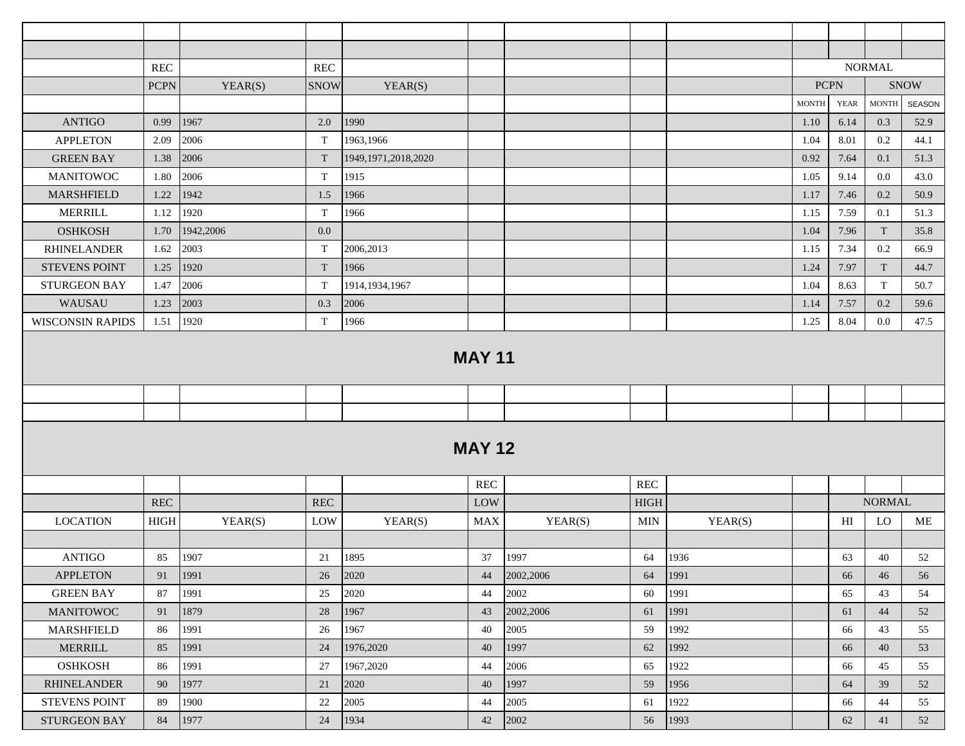|                         | <b>REC</b>  |           | <b>REC</b>           |                        |               |           |                      |         |              |             | <b>NORMAL</b> |             |
|-------------------------|-------------|-----------|----------------------|------------------------|---------------|-----------|----------------------|---------|--------------|-------------|---------------|-------------|
|                         | <b>PCPN</b> | YEAR(S)   | <b>SNOW</b>          | YEAR(S)                |               |           |                      |         |              | <b>PCPN</b> |               | <b>SNOW</b> |
|                         |             |           |                      |                        |               |           |                      |         | <b>MONTH</b> | <b>YEAR</b> | <b>MONTH</b>  | SEASON      |
| <b>ANTIGO</b>           | 0.99        | 1967      | 2.0                  | 1990                   |               |           |                      |         | 1.10         | 6.14        | 0.3           | 52.9        |
| <b>APPLETON</b>         | 2.09        | 2006      | $\mathbf T$          | 1963,1966              |               |           |                      |         | 1.04         | 8.01        | 0.2           | 44.1        |
| <b>GREEN BAY</b>        | 1.38        | 2006      | T                    | 1949, 1971, 2018, 2020 |               |           |                      |         | 0.92         | 7.64        | 0.1           | 51.3        |
| <b>MANITOWOC</b>        | 1.80        | 2006      | T                    | 1915                   |               |           |                      |         | 1.05         | 9.14        | 0.0           | 43.0        |
| <b>MARSHFIELD</b>       | 1.22        | 1942      | 1.5                  | 1966                   |               |           |                      |         | 1.17         | 7.46        | 0.2           | 50.9        |
| <b>MERRILL</b>          | 1.12        | 1920      | T                    | 1966                   |               |           |                      |         | 1.15         | 7.59        | 0.1           | 51.3        |
| <b>OSHKOSH</b>          | 1.70        | 1942,2006 | 0.0                  |                        |               |           |                      |         | 1.04         | 7.96        | T             | 35.8        |
| <b>RHINELANDER</b>      | 1.62        | 2003      | T                    | 2006,2013              |               |           |                      |         | 1.15         | 7.34        | 0.2           | 66.9        |
| <b>STEVENS POINT</b>    | 1.25        | 1920      | T                    | 1966                   |               |           |                      |         | 1.24         | 7.97        | T             | 44.7        |
| <b>STURGEON BAY</b>     | 1.47        | 2006      | $\mathbf T$          | 1914, 1934, 1967       |               |           |                      |         | 1.04         | 8.63        | T             | 50.7        |
| WAUSAU                  | 1.23        | 2003      | 0.3                  | 2006                   |               |           |                      |         | 1.14         | 7.57        | 0.2           | 59.6        |
| <b>WISCONSIN RAPIDS</b> | 1.51        | 1920      | $\mathbf T$          | 1966                   |               |           |                      |         | 1.25         | 8.04        | $0.0\,$       | 47.5        |
|                         |             |           |                      |                        | <b>MAY 11</b> |           |                      |         |              |             |               |             |
|                         |             |           |                      |                        |               |           |                      |         |              |             |               |             |
|                         |             |           |                      |                        |               |           |                      |         |              |             |               |             |
|                         |             |           |                      |                        |               |           |                      |         |              |             |               |             |
|                         |             |           |                      |                        | <b>MAY 12</b> |           |                      |         |              |             |               |             |
|                         |             |           |                      |                        | <b>REC</b>    |           | $\operatorname{REC}$ |         |              |             |               |             |
|                         | <b>REC</b>  |           | $\operatorname{REC}$ |                        | LOW           |           | <b>HIGH</b>          |         |              |             | <b>NORMAL</b> |             |
| <b>LOCATION</b>         | <b>HIGH</b> | YEAR(S)   | LOW                  | YEAR(S)                | <b>MAX</b>    | YEAR(S)   | <b>MIN</b>           | YEAR(S) |              | HI          | LO            | ME          |
|                         |             |           |                      |                        |               |           |                      |         |              |             |               |             |
| <b>ANTIGO</b>           | 85          | 1907      | 21                   | 1895                   | 37            | 1997      | 64                   | 1936    |              | 63          | 40            | 52          |
| <b>APPLETON</b>         | 91          | 1991      | 26                   | 2020                   | 44            | 2002,2006 | 64                   | 1991    |              | 66          | 46            | 56          |
| <b>GREEN BAY</b>        | 87          | 1991      | 25                   | 2020                   | 44            | 2002      | 60                   | 1991    |              | 65          | 43            | 54          |
| <b>MANITOWOC</b>        | 91          | 1879      | 28                   | 1967                   | 43            | 2002,2006 | 61                   | 1991    |              | 61          | 44            | 52          |
| MARSHFIELD              | 86          | 1991      | $26\,$               | 1967                   | 40            | 2005      | 59                   | 1992    |              | 66          | 43            | 55          |
| <b>MERRILL</b>          | 85          | 1991      | 24                   | 1976,2020              | 40            | 1997      | 62                   | 1992    |              | 66          | 40            | 53          |
| <b>OSHKOSH</b>          | 86          | 1991      | 27                   | 1967,2020              | 44            | 2006      | 65                   | 1922    |              | 66          | 45            | 55          |
| <b>RHINELANDER</b>      | 90          | 1977      | 21                   | 2020                   | 40            | 1997      | 59                   | 1956    |              | 64          | 39            | 52          |
| STEVENS POINT           | 89          | 1900      | $22\,$               | 2005                   | 44            | 2005      | 61                   | 1922    |              | 66          | 44            | 55          |
| STURGEON BAY            | 84          | 1977      | 24                   | 1934                   | 42            | 2002      | 56                   | 1993    |              | 62          | 41            | 52          |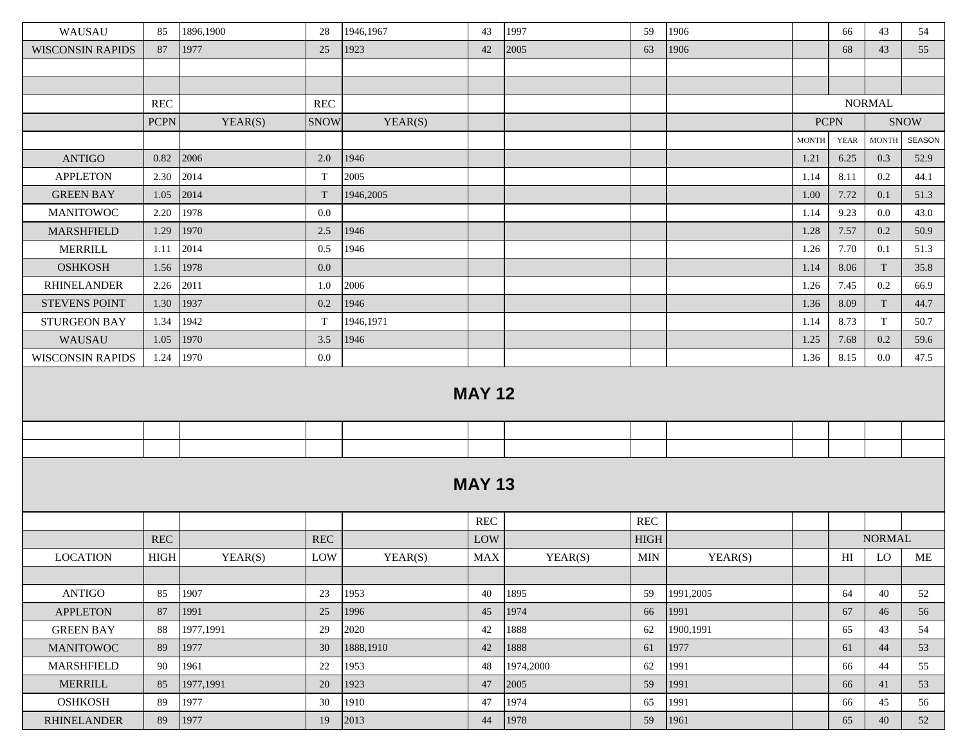| WAUSAU                  | 85                   | 1896,1900 | 28                   | 1946,1967 | 43            | 1997      | 59           | 1906      |              | 66          | 43            | 54          |
|-------------------------|----------------------|-----------|----------------------|-----------|---------------|-----------|--------------|-----------|--------------|-------------|---------------|-------------|
| <b>WISCONSIN RAPIDS</b> | 87                   | 1977      | 25                   | 1923      | 42            | 2005      | 63           | 1906      |              | 68          | 43            | 55          |
|                         |                      |           |                      |           |               |           |              |           |              |             |               |             |
|                         |                      |           |                      |           |               |           |              |           |              |             |               |             |
|                         | <b>REC</b>           |           | $\operatorname{REC}$ |           |               |           |              |           |              |             | <b>NORMAL</b> |             |
|                         | <b>PCPN</b>          | YEAR(S)   | <b>SNOW</b>          | YEAR(S)   |               |           |              |           | <b>PCPN</b>  |             |               | <b>SNOW</b> |
|                         |                      |           |                      |           |               |           |              |           | <b>MONTH</b> | <b>YEAR</b> | <b>MONTH</b>  | SEASON      |
| <b>ANTIGO</b>           | 0.82                 | 2006      | 2.0                  | 1946      |               |           |              |           | 1.21         | 6.25        | 0.3           | 52.9        |
| <b>APPLETON</b>         | 2.30                 | 2014      | $\mathbf T$          | 2005      |               |           |              |           | 1.14         | 8.11        | $0.2\,$       | 44.1        |
| <b>GREEN BAY</b>        | 1.05                 | 2014      | $\mathbf T$          | 1946,2005 |               |           |              |           | 1.00         | 7.72        | 0.1           | 51.3        |
| <b>MANITOWOC</b>        | 2.20                 | 1978      | 0.0                  |           |               |           |              |           | 1.14         | 9.23        | $0.0\,$       | 43.0        |
| MARSHFIELD              | 1.29                 | 1970      | 2.5                  | 1946      |               |           |              |           | 1.28         | 7.57        | 0.2           | 50.9        |
| <b>MERRILL</b>          | 1.11                 | 2014      | 0.5                  | 1946      |               |           |              |           | 1.26         | 7.70        | 0.1           | 51.3        |
| <b>OSHKOSH</b>          | 1.56                 | 1978      | 0.0                  |           |               |           |              |           | 1.14         | 8.06        | T             | 35.8        |
| <b>RHINELANDER</b>      | 2.26                 | 2011      | 1.0                  | 2006      |               |           |              |           | 1.26         | 7.45        | $0.2\,$       | 66.9        |
| <b>STEVENS POINT</b>    | 1.30                 | 1937      | 0.2                  | 1946      |               |           |              |           | 1.36         | 8.09        | T             | 44.7        |
| <b>STURGEON BAY</b>     | 1.34                 | 1942      | T                    | 1946,1971 |               |           |              |           | 1.14         | 8.73        | T             | 50.7        |
| WAUSAU                  | 1.05                 | 1970      | 3.5                  | 1946      |               |           |              |           | 1.25         | 7.68        | 0.2           | 59.6        |
| <b>WISCONSIN RAPIDS</b> | 1.24                 | 1970      | 0.0                  |           |               |           |              |           | 1.36         | 8.15        | 0.0           | 47.5        |
|                         |                      |           |                      |           | <b>MAY 12</b> |           |              |           |              |             |               |             |
|                         |                      |           |                      |           |               |           |              |           |              |             |               |             |
|                         |                      |           |                      |           |               |           |              |           |              |             |               |             |
|                         |                      |           |                      |           | <b>MAY 13</b> |           |              |           |              |             |               |             |
|                         |                      |           |                      |           | <b>REC</b>    |           | <b>REC</b>   |           |              |             |               |             |
|                         | $\operatorname{REC}$ |           | $\operatorname{REC}$ |           | LOW           |           | <b>HIGH</b>  |           |              |             | <b>NORMAL</b> |             |
| <b>LOCATION</b>         | $_{\rm HIGH}$        | YEAR(S)   | LOW                  | YEAR(S)   | <b>MAX</b>    | YEAR(S)   | $\mbox{MIN}$ | YEAR(S)   |              | H           | LO            | ME          |
|                         |                      |           |                      |           |               |           |              |           |              |             |               |             |
| <b>ANTIGO</b>           | 85                   | 1907      | 23                   | 1953      | 40            | 1895      | 59           | 1991,2005 |              | 64          | 40            | 52          |
| <b>APPLETON</b>         | 87                   | 1991      | 25                   | 1996      | 45            | 1974      | 66           | 1991      |              | 67          | 46            | 56          |
| <b>GREEN BAY</b>        | 88                   | 1977,1991 | 29                   | 2020      | 42            | 1888      | 62           | 1900,1991 |              | 65          | 43            | 54          |
| <b>MANITOWOC</b>        | 89                   | 1977      | 30                   | 1888,1910 | 42            | 1888      | 61           | 1977      |              | 61          | 44            | 53          |
| MARSHFIELD              | 90                   | 1961      | 22                   | 1953      | 48            | 1974,2000 | 62           | 1991      |              | 66          | 44            | 55          |
| <b>MERRILL</b>          | 85                   | 1977,1991 | 20                   | 1923      | 47            | 2005      | 59           | 1991      |              | 66          | 41            | 53          |
| <b>OSHKOSH</b>          | 89                   | 1977      | 30                   | 1910      | 47            | 1974      | 65           | 1991      |              | 66          | 45            | 56          |
| <b>RHINELANDER</b>      | 89                   | 1977      | 19                   | 2013      | 44            | 1978      | 59           | 1961      |              | 65          | 40            | 52          |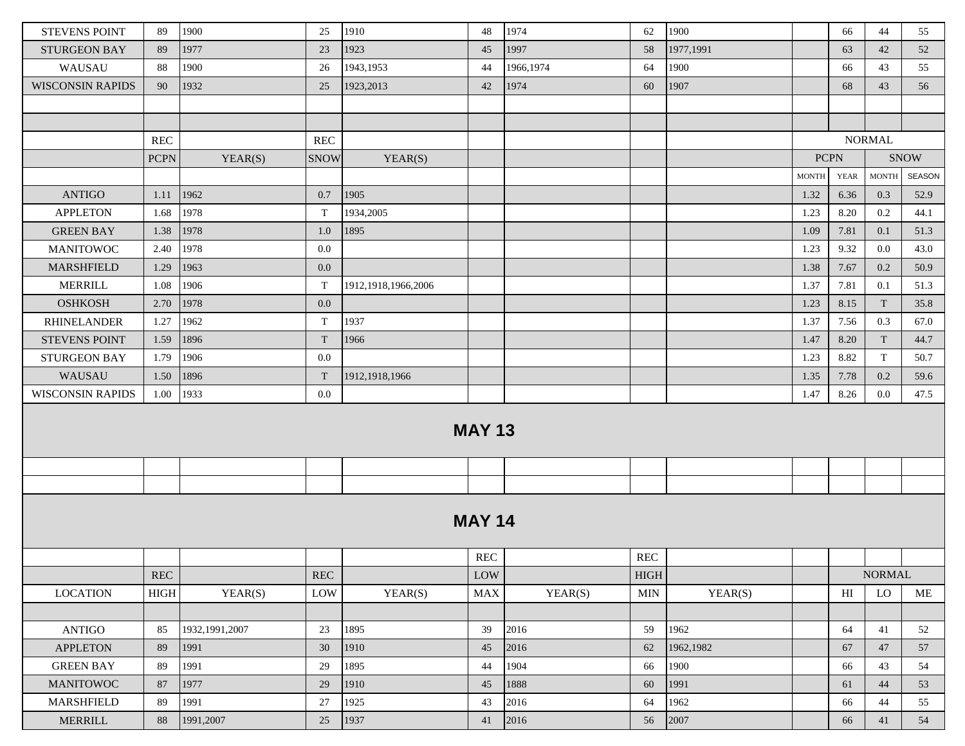| <b>STEVENS POINT</b>    | 89                   | 1900             | 25                   | 1910                | 48            | 1974      | 62                   | 1900      |              | 66          | 44            | 55            |
|-------------------------|----------------------|------------------|----------------------|---------------------|---------------|-----------|----------------------|-----------|--------------|-------------|---------------|---------------|
| <b>STURGEON BAY</b>     | 89                   | 1977             | 23                   | 1923                | 45            | 1997      | 58                   | 1977,1991 |              | 63          | 42            | 52            |
| WAUSAU                  | 88                   | 1900             | 26                   | 1943,1953           | 44            | 1966,1974 | 64                   | 1900      |              | 66          | 43            | 55            |
| <b>WISCONSIN RAPIDS</b> | 90                   | 1932             | 25                   | 1923, 2013          | 42            | 1974      | 60                   | 1907      |              | 68          | 43            | 56            |
|                         |                      |                  |                      |                     |               |           |                      |           |              |             |               |               |
|                         |                      |                  |                      |                     |               |           |                      |           |              |             |               |               |
|                         | <b>REC</b>           |                  | <b>REC</b>           |                     |               |           |                      |           |              |             | <b>NORMAL</b> |               |
|                         | <b>PCPN</b>          | YEAR(S)          | <b>SNOW</b>          | YEAR(S)             |               |           |                      |           | <b>PCPN</b>  |             |               | <b>SNOW</b>   |
|                         |                      |                  |                      |                     |               |           |                      |           | <b>MONTH</b> | <b>YEAR</b> | <b>MONTH</b>  | <b>SEASON</b> |
| <b>ANTIGO</b>           | 1.11                 | 1962             | 0.7                  | 1905                |               |           |                      |           | 1.32         | 6.36        | 0.3           | 52.9          |
| <b>APPLETON</b>         | 1.68                 | 1978             | T                    | 1934,2005           |               |           |                      |           | 1.23         | 8.20        | 0.2           | 44.1          |
| <b>GREEN BAY</b>        | 1.38                 | 1978             | $1.0\,$              | 1895                |               |           |                      |           | 1.09         | 7.81        | 0.1           | 51.3          |
| <b>MANITOWOC</b>        | 2.40                 | 1978             | 0.0                  |                     |               |           |                      |           | 1.23         | 9.32        | 0.0           | 43.0          |
| <b>MARSHFIELD</b>       | 1.29                 | 1963             | 0.0                  |                     |               |           |                      |           | 1.38         | 7.67        | 0.2           | 50.9          |
| <b>MERRILL</b>          | 1.08                 | 1906             | T                    | 1912,1918,1966,2006 |               |           |                      |           | 1.37         | 7.81        | 0.1           | 51.3          |
| <b>OSHKOSH</b>          | 2.70                 | 1978             | 0.0                  |                     |               |           |                      |           | 1.23         | 8.15        | T             | 35.8          |
| <b>RHINELANDER</b>      | 1.27                 | 1962             | T                    | 1937                |               |           |                      |           | 1.37         | 7.56        | 0.3           | 67.0          |
| <b>STEVENS POINT</b>    | 1.59                 | 1896             | T                    | 1966                |               |           |                      |           | 1.47         | 8.20        | T             | 44.7          |
| <b>STURGEON BAY</b>     | 1.79                 | 1906             | 0.0                  |                     |               |           |                      |           | 1.23         | 8.82        | $\mathbf T$   | 50.7          |
| WAUSAU                  | 1.50                 | 1896             | T                    | 1912, 1918, 1966    |               |           |                      |           | 1.35         | 7.78        | 0.2           | 59.6          |
| <b>WISCONSIN RAPIDS</b> | 1.00                 | 1933             | 0.0                  |                     |               |           |                      |           | 1.47         | 8.26        | 0.0           | 47.5          |
|                         |                      |                  |                      |                     | <b>MAY 13</b> |           |                      |           |              |             |               |               |
|                         |                      |                  |                      |                     |               |           |                      |           |              |             |               |               |
|                         |                      |                  |                      |                     |               |           |                      |           |              |             |               |               |
|                         |                      |                  |                      |                     | <b>MAY 14</b> |           |                      |           |              |             |               |               |
|                         |                      |                  |                      |                     | <b>REC</b>    |           | $\operatorname{REC}$ |           |              |             |               |               |
|                         | $\operatorname{REC}$ |                  | $\operatorname{REC}$ |                     | LOW           |           | ${\rm HIGH}$         |           |              |             | <b>NORMAL</b> |               |
| <b>LOCATION</b>         | $_{\rm HIGH}$        | YEAR(S)          | LOW                  | YEAR(S)             | MAX           | YEAR(S)   | <b>MIN</b>           | YEAR(S)   |              | H           | ${\rm LO}$    | ME            |
|                         |                      |                  |                      |                     |               |           |                      |           |              |             |               |               |
| <b>ANTIGO</b>           | 85                   | 1932, 1991, 2007 | 23                   | 1895                | 39            | 2016      | 59                   | 1962      |              | 64          | 41            | 52            |
| <b>APPLETON</b>         | 89                   | 1991             | 30                   | 1910                | 45            | 2016      | 62                   | 1962,1982 |              | 67          | 47            | 57            |
| <b>GREEN BAY</b>        | 89                   | 1991             | 29                   | 1895                | 44            | 1904      | 66                   | 1900      |              | 66          | 43            | 54            |
| <b>MANITOWOC</b>        | 87                   | 1977             | 29                   | 1910                | 45            | 1888      | 60                   | 1991      |              | 61          | 44            | 53            |
| MARSHFIELD              | 89                   | 1991             | 27                   | 1925                | 43            | 2016      | 64                   | 1962      |              | 66          | 44            | 55            |
| <b>MERRILL</b>          | 88                   | 1991,2007        | $25\,$               | 1937                | 41            | 2016      | 56                   | 2007      |              | 66          | 41            | 54            |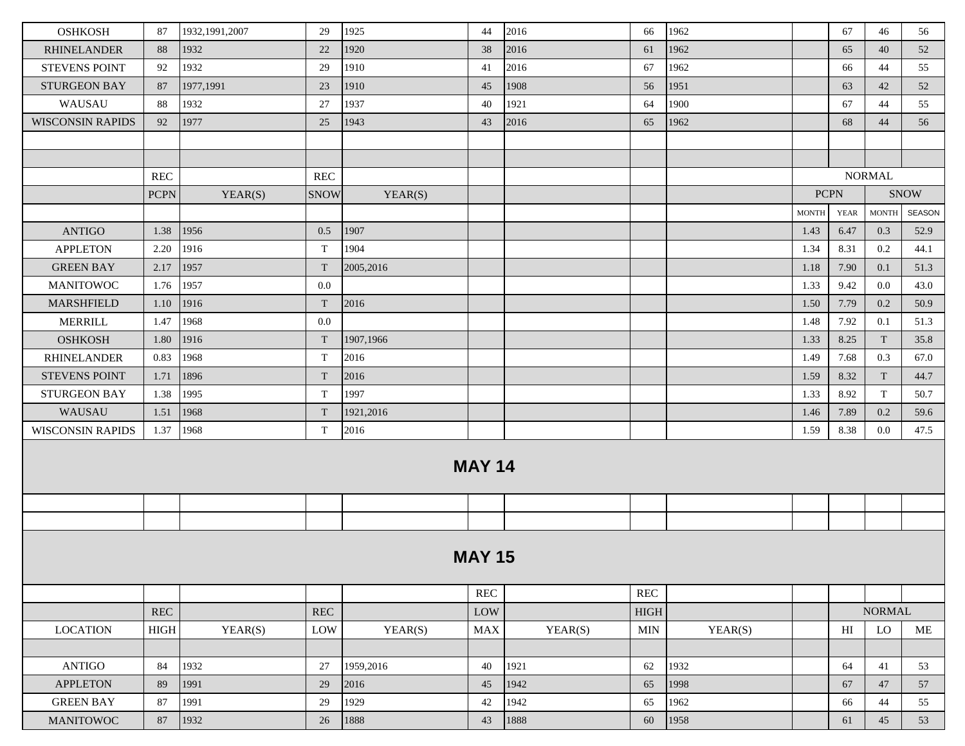| <b>OSHKOSH</b>          | 87                   | 1932, 1991, 2007 | 29           | 1925      | 44            | 2016    | 66                   | 1962    |              | 67          | 46            | 56          |
|-------------------------|----------------------|------------------|--------------|-----------|---------------|---------|----------------------|---------|--------------|-------------|---------------|-------------|
| <b>RHINELANDER</b>      | 88                   | 1932             | 22           | 1920      | 38            | 2016    | 61                   | 1962    |              | 65          | 40            | 52          |
| <b>STEVENS POINT</b>    | 92                   | 1932             | 29           | 1910      | 41            | 2016    | 67                   | 1962    |              | 66          | 44            | 55          |
| <b>STURGEON BAY</b>     | 87                   | 1977,1991        | 23           | 1910      | 45            | 1908    | 56                   | 1951    |              | 63          | 42            | 52          |
| WAUSAU                  | 88                   | 1932             | 27           | 1937      | 40            | 1921    | 64                   | 1900    |              | 67          | 44            | 55          |
| <b>WISCONSIN RAPIDS</b> | 92                   | 1977             | 25           | 1943      | 43            | 2016    | 65                   | 1962    |              | 68          | 44            | 56          |
|                         |                      |                  |              |           |               |         |                      |         |              |             |               |             |
|                         |                      |                  |              |           |               |         |                      |         |              |             |               |             |
|                         | REC                  |                  | REC          |           |               |         |                      |         |              |             | <b>NORMAL</b> |             |
|                         | <b>PCPN</b>          | YEAR(S)          | SNOW         | YEAR(S)   |               |         |                      |         | <b>PCPN</b>  |             |               | <b>SNOW</b> |
|                         |                      |                  |              |           |               |         |                      |         | <b>MONTH</b> | <b>YEAR</b> | <b>MONTH</b>  | SEASON      |
| <b>ANTIGO</b>           | 1.38                 | 1956             | 0.5          | 1907      |               |         |                      |         | 1.43         | 6.47        | 0.3           | 52.9        |
| <b>APPLETON</b>         | 2.20                 | 1916             | $\mathbf T$  | 1904      |               |         |                      |         | 1.34         | 8.31        | 0.2           | 44.1        |
| <b>GREEN BAY</b>        | 2.17                 | 1957             | T            | 2005,2016 |               |         |                      |         | 1.18         | 7.90        | 0.1           | 51.3        |
| <b>MANITOWOC</b>        | 1.76                 | 1957             | 0.0          |           |               |         |                      |         | 1.33         | 9.42        | 0.0           | 43.0        |
| <b>MARSHFIELD</b>       | 1.10                 | 1916             | T            | 2016      |               |         |                      |         | 1.50         | 7.79        | 0.2           | 50.9        |
| <b>MERRILL</b>          | 1.47                 | 1968             | 0.0          |           |               |         |                      |         | 1.48         | 7.92        | 0.1           | 51.3        |
| <b>OSHKOSH</b>          | 1.80                 | 1916             | $\mathbf{T}$ | 1907,1966 |               |         |                      |         | 1.33         | 8.25        | T             | 35.8        |
| <b>RHINELANDER</b>      | 0.83                 | 1968             | $\mathbf T$  | 2016      |               |         |                      |         | 1.49         | 7.68        | 0.3           | 67.0        |
| <b>STEVENS POINT</b>    | 1.71                 | 1896             | $\mathbf T$  | 2016      |               |         |                      |         | 1.59         | 8.32        | T             | 44.7        |
| <b>STURGEON BAY</b>     | 1.38                 | 1995             | T            | 1997      |               |         |                      |         | 1.33         | 8.92        | $\mathbf T$   | 50.7        |
| WAUSAU                  | 1.51                 | 1968             | $\mathbf T$  | 1921,2016 |               |         |                      |         | 1.46         | 7.89        | 0.2           | 59.6        |
| <b>WISCONSIN RAPIDS</b> | 1.37                 | 1968             | T            | 2016      |               |         |                      |         | 1.59         | 8.38        | 0.0           | 47.5        |
|                         |                      |                  |              |           | <b>MAY 14</b> |         |                      |         |              |             |               |             |
|                         |                      |                  |              |           |               |         |                      |         |              |             |               |             |
|                         |                      |                  |              |           |               |         |                      |         |              |             |               |             |
|                         |                      |                  |              |           | <b>MAY 15</b> |         |                      |         |              |             |               |             |
|                         |                      |                  |              |           | <b>REC</b>    |         | $\operatorname{REC}$ |         |              |             |               |             |
|                         | $\operatorname{REC}$ |                  | <b>REC</b>   |           | LOW           |         | ${\rm HIGH}$         |         |              |             | <b>NORMAL</b> |             |
| <b>LOCATION</b>         | $_{\rm HIGH}$        | YEAR(S)          | LOW          | YEAR(S)   | MAX           | YEAR(S) | <b>MIN</b>           | YEAR(S) |              | HI          | LO            | $\rm ME$    |
|                         |                      |                  |              |           |               |         |                      |         |              |             |               |             |
| <b>ANTIGO</b>           | 84                   | 1932             | 27           | 1959,2016 | 40            | 1921    | 62                   | 1932    |              | 64          | 41            | 53          |
| <b>APPLETON</b>         | 89                   | 1991             | 29           | 2016      | 45            | 1942    | 65                   | 1998    |              | 67          | 47            | 57          |
| <b>GREEN BAY</b>        | 87                   | 1991             | 29           | 1929      | 42            | 1942    | 65                   | 1962    |              | 66          | 44            | 55          |
| <b>MANITOWOC</b>        | 87                   | 1932             | $26\,$       | 1888      | 43            | 1888    | 60                   | 1958    |              | 61          | 45            | 53          |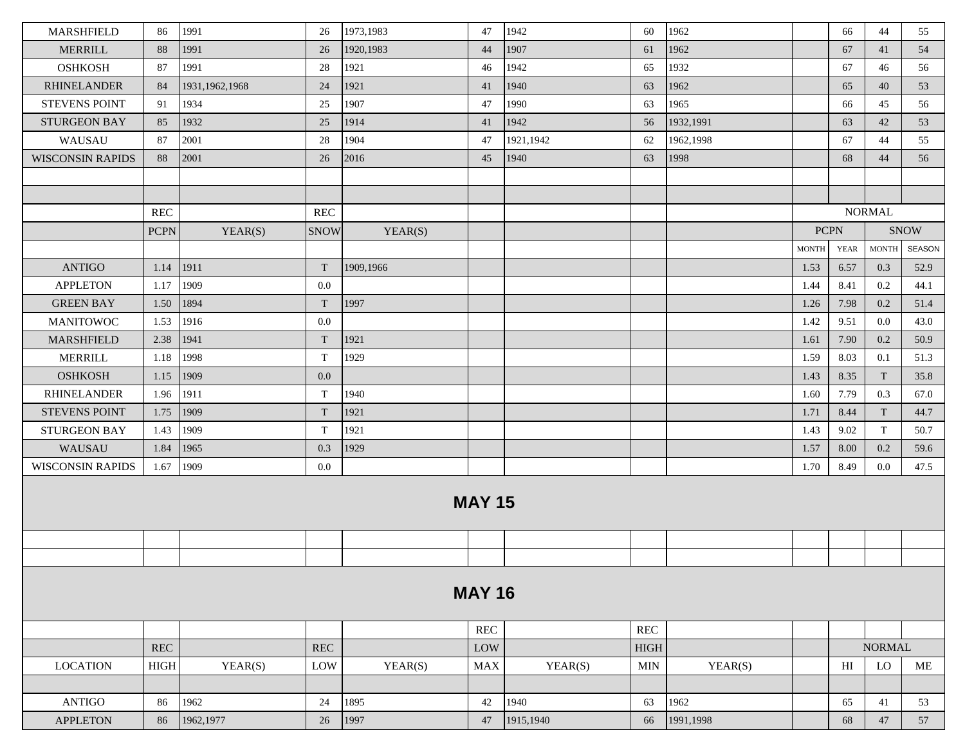| <b>MARSHFIELD</b>                    | 86          | 1991                     | 26                   | 1973,1983 | 47                   | 1942      | 60           | 1962         |              | 66                         | 44            | 55            |
|--------------------------------------|-------------|--------------------------|----------------------|-----------|----------------------|-----------|--------------|--------------|--------------|----------------------------|---------------|---------------|
|                                      |             | 1991                     |                      | 1920,1983 |                      | 1907      |              | 1962         |              |                            |               |               |
| <b>MERRILL</b>                       | 88          |                          | 26                   |           | 44                   |           | 61           |              |              | 67                         | 41            | 54            |
| <b>OSHKOSH</b><br><b>RHINELANDER</b> | 87          | 1991<br>1931, 1962, 1968 | 28                   | 1921      | 46                   | 1942      | 65           | 1932<br>1962 |              | 67                         | 46            | 56            |
|                                      | 84          |                          | 24                   | 1921      | 41                   | 1940      | 63           |              |              | 65                         | 40            | 53            |
| <b>STEVENS POINT</b>                 | 91          | 1934                     | 25                   | 1907      | 47                   | 1990      | 63           | 1965         |              | 66                         | 45            | 56            |
| <b>STURGEON BAY</b>                  | 85          | 1932                     | 25                   | 1914      | 41                   | 1942      | 56           | 1932,1991    |              | 63                         | 42            | 53            |
| WAUSAU                               | 87          | 2001                     | 28                   | 1904      | 47                   | 1921,1942 | 62           | 1962,1998    |              | 67                         | 44            | 55            |
| <b>WISCONSIN RAPIDS</b>              | 88          | 2001                     | 26                   | 2016      | 45                   | 1940      | 63           | 1998         |              | 68                         | 44            | 56            |
|                                      |             |                          |                      |           |                      |           |              |              |              |                            |               |               |
|                                      |             |                          |                      |           |                      |           |              |              |              |                            |               |               |
|                                      | <b>REC</b>  |                          | $\operatorname{REC}$ |           |                      |           |              |              |              |                            | <b>NORMAL</b> |               |
|                                      | <b>PCPN</b> | YEAR(S)                  | <b>SNOW</b>          | YEAR(S)   |                      |           |              |              |              | <b>PCPN</b>                |               | <b>SNOW</b>   |
|                                      |             |                          |                      |           |                      |           |              |              | <b>MONTH</b> | YEAR                       | <b>MONTH</b>  | <b>SEASON</b> |
| <b>ANTIGO</b>                        | 1.14        | 1911                     | T                    | 1909,1966 |                      |           |              |              | 1.53         | 6.57                       | 0.3           | 52.9          |
| <b>APPLETON</b>                      | 1.17        | 1909                     | 0.0                  |           |                      |           |              |              | 1.44         | 8.41                       | 0.2           | 44.1          |
| <b>GREEN BAY</b>                     | 1.50        | 1894                     | T                    | 1997      |                      |           |              |              | 1.26         | 7.98                       | 0.2           | 51.4          |
| <b>MANITOWOC</b>                     | 1.53        | 1916                     | 0.0                  |           |                      |           |              |              | 1.42         | 9.51                       | 0.0           | 43.0          |
| <b>MARSHFIELD</b>                    | 2.38        | 1941                     | T                    | 1921      |                      |           |              |              | 1.61         | 7.90                       | 0.2           | 50.9          |
| <b>MERRILL</b>                       | 1.18        | 1998                     | T                    | 1929      |                      |           |              |              | 1.59         | 8.03                       | 0.1           | 51.3          |
| <b>OSHKOSH</b>                       | 1.15        | 1909                     | 0.0                  |           |                      |           |              |              | 1.43         | 8.35                       | T             | 35.8          |
| <b>RHINELANDER</b>                   | 1.96        | 1911                     | T                    | 1940      |                      |           |              |              | 1.60         | 7.79                       | 0.3           | 67.0          |
| <b>STEVENS POINT</b>                 | 1.75        | 1909                     | T                    | 1921      |                      |           |              |              | 1.71         | 8.44                       | T             | 44.7          |
| <b>STURGEON BAY</b>                  | 1.43        | 1909                     | T                    | 1921      |                      |           |              |              | 1.43         | 9.02                       | T             | 50.7          |
| WAUSAU                               | 1.84        | 1965                     | 0.3                  | 1929      |                      |           |              |              | 1.57         | 8.00                       | 0.2           | 59.6          |
| <b>WISCONSIN RAPIDS</b>              | 1.67        | 1909                     | $0.0\,$              |           |                      |           |              |              | 1.70         | 8.49                       | $0.0\,$       | 47.5          |
|                                      |             |                          |                      |           | <b>MAY 15</b>        |           |              |              |              |                            |               |               |
|                                      |             |                          |                      |           |                      |           |              |              |              |                            |               |               |
|                                      |             |                          |                      |           | <b>MAY 16</b>        |           |              |              |              |                            |               |               |
|                                      |             |                          |                      |           | $\operatorname{REC}$ |           | <b>REC</b>   |              |              |                            |               |               |
|                                      | <b>REC</b>  |                          | <b>REC</b>           |           | LOW                  |           | ${\rm HIGH}$ |              |              |                            | <b>NORMAL</b> |               |
| <b>LOCATION</b>                      | <b>HIGH</b> | YEAR(S)                  | LOW                  | YEAR(S)   | ${\rm MAX}$          | YEAR(S)   | <b>MIN</b>   | YEAR(S)      |              | $\mathop{\rm HI}\nolimits$ | LO            | $\rm ME$      |
|                                      |             |                          |                      |           |                      |           |              |              |              |                            |               |               |
| <b>ANTIGO</b>                        | 86          | 1962                     | 24                   | 1895      | 42                   | 1940      | 63           | 1962         |              | 65                         | 41            | 53            |
| <b>APPLETON</b>                      | 86          | 1962, 1977               | $26\,$               | 1997      | 47                   | 1915,1940 | 66           | 1991,1998    |              | 68                         | 47            | 57            |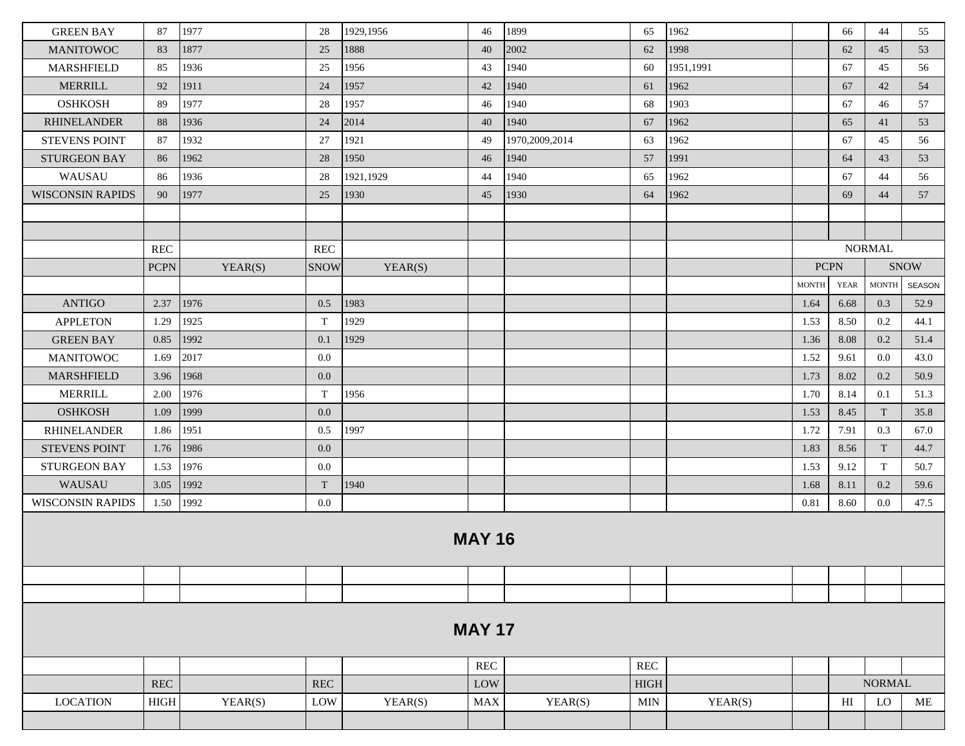| <b>GREEN BAY</b>        | 87                   | 1977    | 28                   | 1929,1956 | 46                   | 1899           | 65          | 1962      |              | 66          | 44                     | 55            |
|-------------------------|----------------------|---------|----------------------|-----------|----------------------|----------------|-------------|-----------|--------------|-------------|------------------------|---------------|
| <b>MANITOWOC</b>        | 83                   | 1877    | 25                   | 1888      | 40                   | 2002           | 62          | 1998      |              | 62          | 45                     | 53            |
| <b>MARSHFIELD</b>       | 85                   | 1936    | 25                   | 1956      | 43                   | 1940           | 60          | 1951,1991 |              | 67          | 45                     | 56            |
| <b>MERRILL</b>          | 92                   | 1911    | 24                   | 1957      | 42                   | 1940           | 61          | 1962      |              | 67          | 42                     | 54            |
| <b>OSHKOSH</b>          | 89                   | 1977    | 28                   | 1957      | 46                   | 1940           | 68          | 1903      |              | 67          | 46                     | 57            |
| <b>RHINELANDER</b>      | 88                   | 1936    | 24                   | 2014      | 40                   | 1940           | 67          | 1962      |              | 65          | 41                     | 53            |
| <b>STEVENS POINT</b>    | 87                   | 1932    | 27                   | 1921      | 49                   | 1970,2009,2014 | 63          | 1962      |              | 67          | 45                     | 56            |
| <b>STURGEON BAY</b>     | 86                   | 1962    | 28                   | 1950      | 46                   | 1940           | 57          | 1991      |              | 64          | 43                     | 53            |
| WAUSAU                  | 86                   | 1936    | 28                   | 1921,1929 | 44                   | 1940           | 65          | 1962      |              | 67          | 44                     | 56            |
| <b>WISCONSIN RAPIDS</b> | 90                   | 1977    | 25                   | 1930      | 45                   | 1930           | 64          | 1962      |              | 69          | 44                     | 57            |
|                         |                      |         |                      |           |                      |                |             |           |              |             |                        |               |
|                         |                      |         |                      |           |                      |                |             |           |              |             |                        |               |
|                         | <b>REC</b>           |         | <b>REC</b>           |           |                      |                |             |           |              |             | <b>NORMAL</b>          |               |
|                         | <b>PCPN</b>          | YEAR(S) | <b>SNOW</b>          | YEAR(S)   |                      |                |             |           | <b>PCPN</b>  |             |                        | <b>SNOW</b>   |
|                         |                      |         |                      |           |                      |                |             |           | <b>MONTH</b> | <b>YEAR</b> | $\operatorname{MONTH}$ | <b>SEASON</b> |
| <b>ANTIGO</b>           | 2.37                 | 1976    | 0.5                  | 1983      |                      |                |             |           | 1.64         | 6.68        | 0.3                    | 52.9          |
| <b>APPLETON</b>         | 1.29                 | 1925    | T                    | 1929      |                      |                |             |           | 1.53         | 8.50        | 0.2                    | 44.1          |
| <b>GREEN BAY</b>        | 0.85                 | 1992    | 0.1                  | 1929      |                      |                |             |           | 1.36         | 8.08        | 0.2                    | 51.4          |
| <b>MANITOWOC</b>        | 1.69                 | 2017    | 0.0                  |           |                      |                |             |           | 1.52         | 9.61        | 0.0                    | 43.0          |
| <b>MARSHFIELD</b>       | 3.96                 | 1968    | $0.0\,$              |           |                      |                |             |           | 1.73         | 8.02        | 0.2                    | 50.9          |
| <b>MERRILL</b>          | 2.00                 | 1976    | T                    | 1956      |                      |                |             |           | 1.70         | 8.14        | 0.1                    | 51.3          |
| <b>OSHKOSH</b>          | 1.09                 | 1999    | 0.0                  |           |                      |                |             |           | 1.53         | 8.45        | T                      | 35.8          |
| <b>RHINELANDER</b>      | 1.86                 | 1951    | 0.5                  | 1997      |                      |                |             |           | 1.72         | 7.91        | 0.3                    | 67.0          |
| <b>STEVENS POINT</b>    | 1.76                 | 1986    | 0.0                  |           |                      |                |             |           | 1.83         | 8.56        | T                      | 44.7          |
| <b>STURGEON BAY</b>     | 1.53                 | 1976    | $0.0\,$              |           |                      |                |             |           | 1.53         | 9.12        | T                      | 50.7          |
| WAUSAU                  | 3.05                 | 1992    | T                    | 1940      |                      |                |             |           | 1.68         | 8.11        | 0.2                    | 59.6          |
| <b>WISCONSIN RAPIDS</b> | 1.50                 | 1992    | $0.0\,$              |           |                      |                |             |           | 0.81         | 8.60        | 0.0                    | 47.5          |
|                         |                      |         |                      |           | <b>MAY 16</b>        |                |             |           |              |             |                        |               |
|                         |                      |         |                      |           |                      |                |             |           |              |             |                        |               |
|                         |                      |         |                      |           |                      |                |             |           |              |             |                        |               |
|                         |                      |         |                      |           | <b>MAY 17</b>        |                |             |           |              |             |                        |               |
|                         |                      |         |                      |           | $\operatorname{REC}$ |                | <b>REC</b>  |           |              |             |                        |               |
|                         | $\operatorname{REC}$ |         | $\operatorname{REC}$ |           | LOW                  |                | <b>HIGH</b> |           |              |             | <b>NORMAL</b>          |               |
| <b>LOCATION</b>         | $_{\rm HIGH}$        | YEAR(S) | LOW                  | YEAR(S)   | ${\rm MAX}$          | YEAR(S)        | <b>MIN</b>  | YEAR(S)   |              | HI          | LO                     | ME            |
|                         |                      |         |                      |           |                      |                |             |           |              |             |                        |               |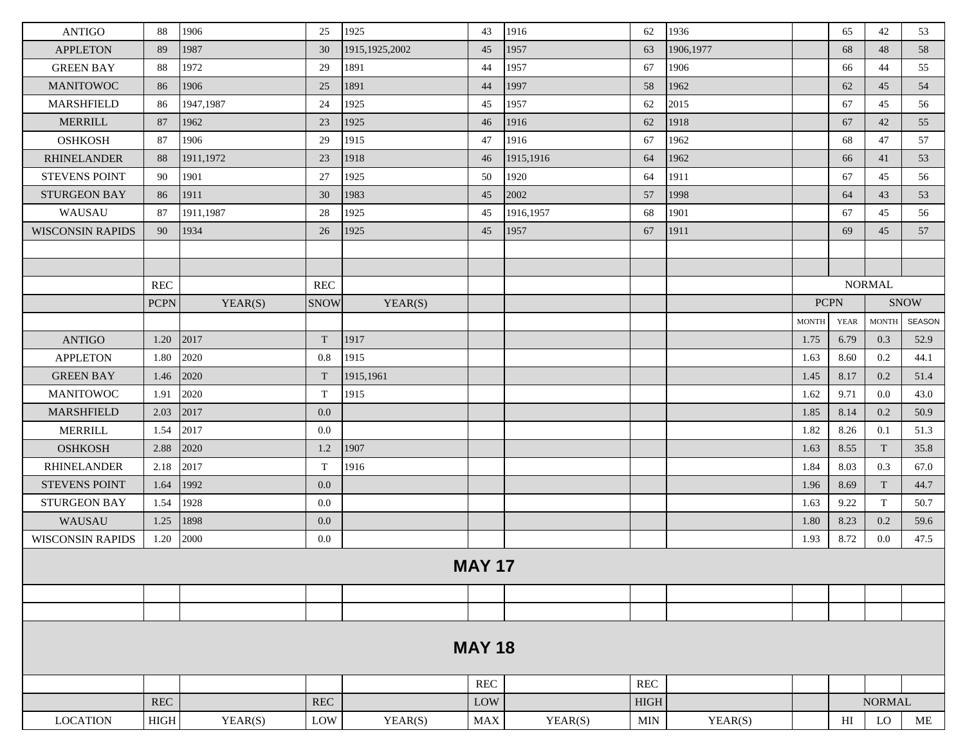| <b>ANTIGO</b>           | 88                   | 1906      | 25          | 1925             | 43            | 1916      | 62          | 1936      |              | 65                         | 42            | 53            |
|-------------------------|----------------------|-----------|-------------|------------------|---------------|-----------|-------------|-----------|--------------|----------------------------|---------------|---------------|
| <b>APPLETON</b>         | 89                   | 1987      | 30          | 1915, 1925, 2002 | 45            | 1957      | 63          | 1906,1977 |              | 68                         | 48            | 58            |
| <b>GREEN BAY</b>        | 88                   | 1972      | 29          | 1891             | 44            | 1957      | 67          | 1906      |              | 66                         | 44            | 55            |
| <b>MANITOWOC</b>        | 86                   | 1906      | 25          | 1891             | 44            | 1997      | 58          | 1962      |              | 62                         | 45            | 54            |
| <b>MARSHFIELD</b>       | 86                   | 1947,1987 | 24          | 1925             | 45            | 1957      | 62          | 2015      |              | 67                         | 45            | 56            |
| <b>MERRILL</b>          | 87                   | 1962      | 23          | 1925             | 46            | 1916      | 62          | 1918      |              | 67                         | 42            | 55            |
| <b>OSHKOSH</b>          | 87                   | 1906      | 29          | 1915             | 47            | 1916      | 67          | 1962      |              | 68                         | 47            | 57            |
| <b>RHINELANDER</b>      | 88                   | 1911,1972 | 23          | 1918             | 46            | 1915.1916 | 64          | 1962      |              | 66                         | 41            | 53            |
| <b>STEVENS POINT</b>    | 90                   | 1901      | 27          | 1925             | 50            | 1920      | 64          | 1911      |              | 67                         | 45            | 56            |
| <b>STURGEON BAY</b>     | 86                   | 1911      | 30          | 1983             | 45            | 2002      | 57          | 1998      |              | 64                         | 43            | 53            |
| WAUSAU                  | 87                   | 1911,1987 | 28          | 1925             | 45            | 1916,1957 | 68          | 1901      |              | 67                         | 45            | 56            |
| <b>WISCONSIN RAPIDS</b> | 90                   | 1934      | 26          | 1925             | 45            | 1957      | 67          | 1911      |              | 69                         | 45            | 57            |
|                         |                      |           |             |                  |               |           |             |           |              |                            |               |               |
|                         |                      |           |             |                  |               |           |             |           |              |                            |               |               |
|                         | $\operatorname{REC}$ |           | <b>REC</b>  |                  |               |           |             |           |              |                            | <b>NORMAL</b> |               |
|                         | <b>PCPN</b>          | YEAR(S)   | <b>SNOW</b> | YEAR(S)          |               |           |             |           | <b>PCPN</b>  |                            |               | <b>SNOW</b>   |
|                         |                      |           |             |                  |               |           |             |           | <b>MONTH</b> | <b>YEAR</b>                | <b>MONTH</b>  | <b>SEASON</b> |
| <b>ANTIGO</b>           | 1.20                 | 2017      | T           | 1917             |               |           |             |           | 1.75         | 6.79                       | 0.3           | 52.9          |
| <b>APPLETON</b>         | 1.80                 | 2020      | 0.8         | 1915             |               |           |             |           | 1.63         | 8.60                       | 0.2           | 44.1          |
| <b>GREEN BAY</b>        | 1.46                 | 2020      | T           | 1915,1961        |               |           |             |           | 1.45         | 8.17                       | 0.2           | 51.4          |
| <b>MANITOWOC</b>        | 1.91                 | 2020      | T           | 1915             |               |           |             |           | 1.62         | 9.71                       | 0.0           | 43.0          |
| <b>MARSHFIELD</b>       | 2.03                 | 2017      | 0.0         |                  |               |           |             |           | 1.85         | 8.14                       | 0.2           | 50.9          |
| <b>MERRILL</b>          | 1.54                 | 2017      | 0.0         |                  |               |           |             |           | 1.82         | 8.26                       | 0.1           | 51.3          |
| <b>OSHKOSH</b>          | 2.88                 | 2020      | 1.2         | 1907             |               |           |             |           | 1.63         | 8.55                       | T             | 35.8          |
| <b>RHINELANDER</b>      | 2.18                 | 2017      | T           | 1916             |               |           |             |           | 1.84         | 8.03                       | 0.3           | 67.0          |
| <b>STEVENS POINT</b>    | 1.64                 | 1992      | 0.0         |                  |               |           |             |           | 1.96         | 8.69                       | T             | 44.7          |
| <b>STURGEON BAY</b>     | 1.54                 | 1928      | 0.0         |                  |               |           |             |           | 1.63         | 9.22                       | T             | 50.7          |
| WAUSAU                  | 1.25                 | 1898      | 0.0         |                  |               |           |             |           | 1.80         | 8.23                       | 0.2           | 59.6          |
| <b>WISCONSIN RAPIDS</b> | 1.20                 | 2000      | 0.0         |                  |               |           |             |           | 1.93         | 8.72                       | 0.0           | 47.5          |
|                         |                      |           |             |                  |               |           |             |           |              |                            |               |               |
|                         |                      |           |             |                  | <b>MAY 17</b> |           |             |           |              |                            |               |               |
|                         |                      |           |             |                  |               |           |             |           |              |                            |               |               |
|                         |                      |           |             |                  |               |           |             |           |              |                            |               |               |
|                         |                      |           |             |                  |               |           |             |           |              |                            |               |               |
|                         |                      |           |             |                  | <b>MAY 18</b> |           |             |           |              |                            |               |               |
|                         |                      |           |             |                  |               |           |             |           |              |                            |               |               |
|                         |                      |           |             |                  | REC           |           | REC         |           |              |                            |               |               |
|                         | $\operatorname{REC}$ |           | REC         |                  | LOW           |           | <b>HIGH</b> |           |              |                            | <b>NORMAL</b> |               |
| <b>LOCATION</b>         | $_{\rm HIGH}$        | YEAR(S)   | LOW         | YEAR(S)          | ${\rm MAX}$   | YEAR(S)   | <b>MIN</b>  | YEAR(S)   |              | $\mathop{\rm HI}\nolimits$ | LO            | ME            |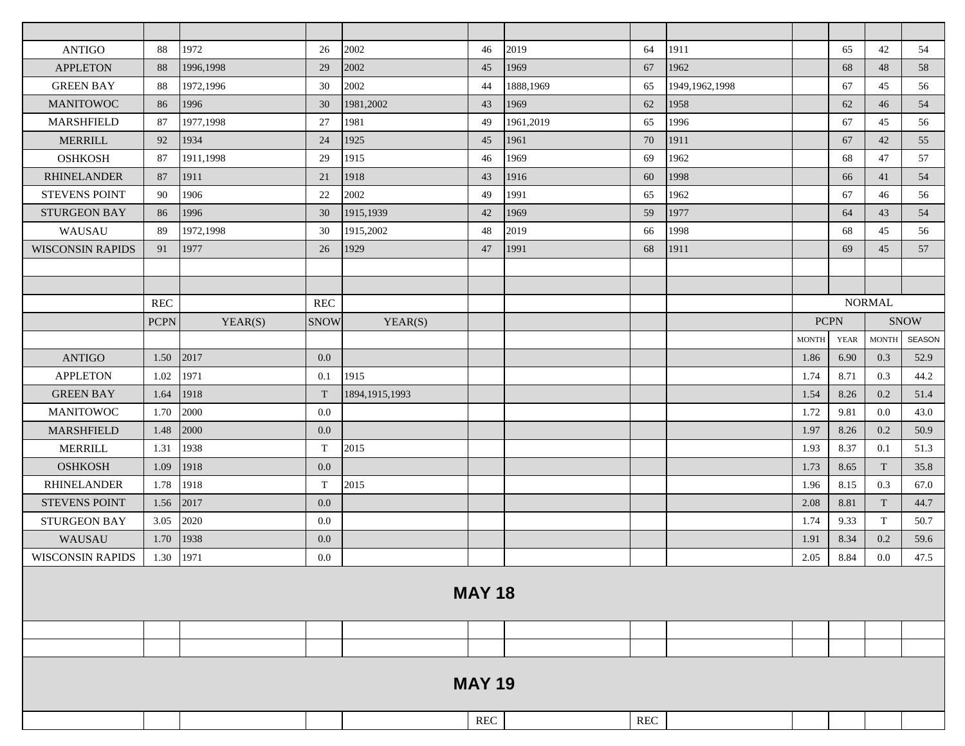| <b>ANTIGO</b>           | 88          | 1972      | 26          | 2002             | 46                   | 2019      | 64           | 1911             |              | 65   | 42            | 54            |
|-------------------------|-------------|-----------|-------------|------------------|----------------------|-----------|--------------|------------------|--------------|------|---------------|---------------|
| <b>APPLETON</b>         | 88          | 1996,1998 | 29          | 2002             | 45                   | 1969      | 67           | 1962             |              | 68   | 48            | 58            |
| <b>GREEN BAY</b>        | 88          | 1972,1996 | 30          | 2002             | 44                   | 1888,1969 | 65           | 1949, 1962, 1998 |              | 67   | 45            | 56            |
| <b>MANITOWOC</b>        | 86          | 1996      | 30          | 1981,2002        | 43                   | 1969      | 62           | 1958             |              | 62   | 46            | 54            |
| <b>MARSHFIELD</b>       | 87          | 1977,1998 | 27          | 1981             | 49                   | 1961,2019 | 65           | 1996             |              | 67   | 45            | 56            |
| <b>MERRILL</b>          | 92          | 1934      | 24          | 1925             | 45                   | 1961      | 70           | 1911             |              | 67   | 42            | 55            |
| <b>OSHKOSH</b>          | 87          | 1911,1998 | 29          | 1915             | 46                   | 1969      | 69           | 1962             |              | 68   | 47            | 57            |
| <b>RHINELANDER</b>      | 87          | 1911      | 21          | 1918             | 43                   | 1916      | 60           | 1998             |              | 66   | 41            | 54            |
| <b>STEVENS POINT</b>    | 90          | 1906      | 22          | 2002             | 49                   | 1991      | 65           | 1962             |              | 67   | 46            | 56            |
| STURGEON BAY            | 86          | 1996      | 30          | 1915,1939        | 42                   | 1969      | 59           | 1977             |              | 64   | 43            | 54            |
| WAUSAU                  | 89          | 1972,1998 | 30          | 1915,2002        | 48                   | 2019      | 66           | 1998             |              | 68   | 45            | 56            |
| <b>WISCONSIN RAPIDS</b> | 91          | 1977      | 26          | 1929             | 47                   | 1991      | 68           | 1911             |              | 69   | 45            | 57            |
|                         |             |           |             |                  |                      |           |              |                  |              |      |               |               |
|                         |             |           |             |                  |                      |           |              |                  |              |      |               |               |
|                         | <b>REC</b>  |           | REC         |                  |                      |           |              |                  |              |      | <b>NORMAL</b> |               |
|                         | <b>PCPN</b> | YEAR(S)   | <b>SNOW</b> | YEAR(S)          |                      |           |              |                  | <b>PCPN</b>  |      |               | <b>SNOW</b>   |
|                         |             |           |             |                  |                      |           |              |                  | <b>MONTH</b> | YEAR | <b>MONTH</b>  | <b>SEASON</b> |
| <b>ANTIGO</b>           | 1.50        | 2017      | 0.0         |                  |                      |           |              |                  | 1.86         | 6.90 | 0.3           | 52.9          |
| <b>APPLETON</b>         | 1.02        | 1971      | 0.1         | 1915             |                      |           |              |                  | 1.74         | 8.71 | 0.3           | 44.2          |
| <b>GREEN BAY</b>        | 1.64        | 1918      | T           | 1894, 1915, 1993 |                      |           |              |                  | 1.54         | 8.26 | 0.2           | 51.4          |
| <b>MANITOWOC</b>        | 1.70        | 2000      | 0.0         |                  |                      |           |              |                  | 1.72         | 9.81 | 0.0           | 43.0          |
| MARSHFIELD              | 1.48        | 2000      | 0.0         |                  |                      |           |              |                  | 1.97         | 8.26 | 0.2           | 50.9          |
| <b>MERRILL</b>          | 1.31        | 1938      | T           | 2015             |                      |           |              |                  | 1.93         | 8.37 | 0.1           | 51.3          |
| <b>OSHKOSH</b>          | 1.09        | 1918      | 0.0         |                  |                      |           |              |                  | 1.73         | 8.65 | T             | 35.8          |
| <b>RHINELANDER</b>      | 1.78        | 1918      | T           | 2015             |                      |           |              |                  | 1.96         | 8.15 | 0.3           | 67.0          |
| <b>STEVENS POINT</b>    | 1.56        | 2017      | 0.0         |                  |                      |           |              |                  | 2.08         | 8.81 | T             | 44.7          |
| <b>STURGEON BAY</b>     | 3.05        | 2020      | 0.0         |                  |                      |           |              |                  | 1.74         | 9.33 | T             | 50.7          |
| WAUSAU                  | 1.70        | 1938      | 0.0         |                  |                      |           |              |                  | 1.91         | 8.34 | 0.2           | 59.6          |
| <b>WISCONSIN RAPIDS</b> | 1.30        | 1971      | 0.0         |                  |                      |           |              |                  | 2.05         | 8.84 | $0.0\,$       | 47.5          |
|                         |             |           |             |                  |                      |           |              |                  |              |      |               |               |
|                         |             |           |             |                  | <b>MAY 18</b>        |           |              |                  |              |      |               |               |
|                         |             |           |             |                  |                      |           |              |                  |              |      |               |               |
|                         |             |           |             |                  |                      |           |              |                  |              |      |               |               |
|                         |             |           |             |                  |                      |           |              |                  |              |      |               |               |
|                         |             |           |             |                  |                      |           |              |                  |              |      |               |               |
|                         |             |           |             |                  | <b>MAY 19</b>        |           |              |                  |              |      |               |               |
|                         |             |           |             |                  |                      |           |              |                  |              |      |               |               |
|                         |             |           |             |                  | $\operatorname{REC}$ |           | $\mbox{REC}$ |                  |              |      |               |               |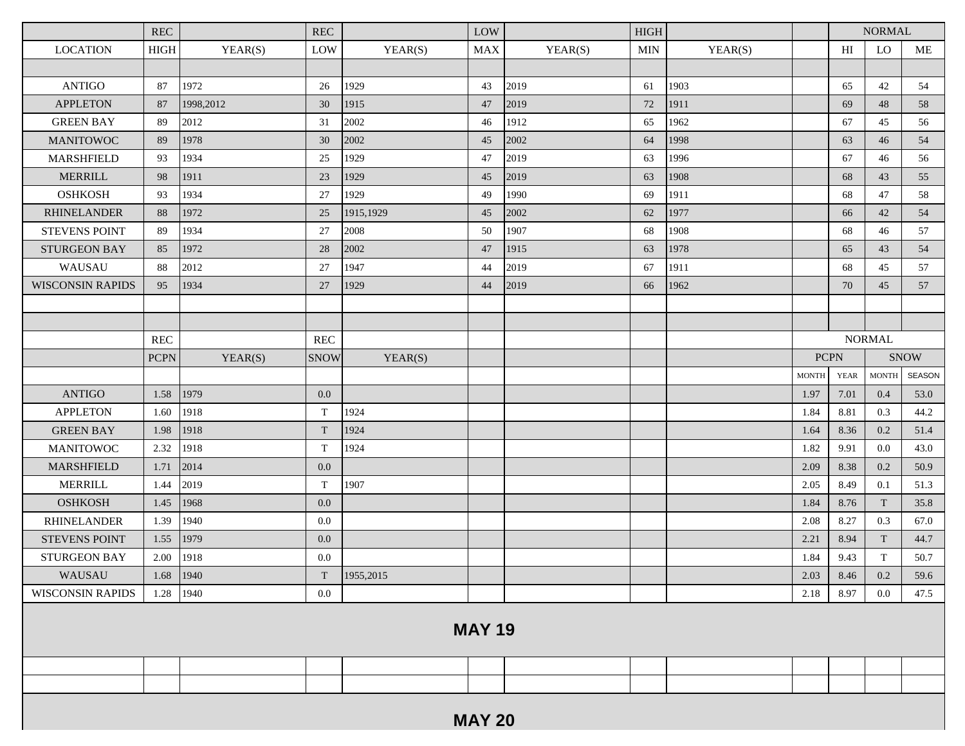|                         | <b>REC</b>  |           | REC         |           | LOW           |         | <b>HIGH</b> |         |              |             | <b>NORMAL</b> |             |
|-------------------------|-------------|-----------|-------------|-----------|---------------|---------|-------------|---------|--------------|-------------|---------------|-------------|
| <b>LOCATION</b>         | <b>HIGH</b> | YEAR(S)   | LOW         | YEAR(S)   | <b>MAX</b>    | YEAR(S) | <b>MIN</b>  | YEAR(S) |              | HI          | LO            | ME          |
|                         |             |           |             |           |               |         |             |         |              |             |               |             |
| <b>ANTIGO</b>           | 87          | 1972      | 26          | 1929      | 43            | 2019    | 61          | 1903    |              | 65          | 42            | 54          |
| <b>APPLETON</b>         | 87          | 1998,2012 | 30          | 1915      | 47            | 2019    | 72          | 1911    |              | 69          | 48            | 58          |
| <b>GREEN BAY</b>        | 89          | 2012      | 31          | 2002      | 46            | 1912    | 65          | 1962    |              | 67          | 45            | 56          |
| <b>MANITOWOC</b>        | 89          | 1978      | 30          | 2002      | 45            | 2002    | 64          | 1998    |              | 63          | 46            | 54          |
| <b>MARSHFIELD</b>       | 93          | 1934      | 25          | 1929      | 47            | 2019    | 63          | 1996    |              | 67          | 46            | 56          |
| <b>MERRILL</b>          | 98          | 1911      | 23          | 1929      | 45            | 2019    | 63          | 1908    |              | 68          | 43            | 55          |
| <b>OSHKOSH</b>          | 93          | 1934      | 27          | 1929      | 49            | 1990    | 69          | 1911    |              | 68          | 47            | 58          |
| <b>RHINELANDER</b>      | 88          | 1972      | 25          | 1915,1929 | 45            | 2002    | 62          | 1977    |              | 66          | 42            | 54          |
| <b>STEVENS POINT</b>    | 89          | 1934      | 27          | 2008      | 50            | 1907    | 68          | 1908    |              | 68          | 46            | 57          |
| <b>STURGEON BAY</b>     | 85          | 1972      | 28          | 2002      | 47            | 1915    | 63          | 1978    |              | 65          | 43            | 54          |
| WAUSAU                  | 88          | 2012      | 27          | 1947      | 44            | 2019    | 67          | 1911    |              | 68          | 45            | 57          |
| <b>WISCONSIN RAPIDS</b> | 95          | 1934      | 27          | 1929      | 44            | 2019    | 66          | 1962    |              | 70          | 45            | 57          |
|                         |             |           |             |           |               |         |             |         |              |             |               |             |
|                         |             |           |             |           |               |         |             |         |              |             |               |             |
|                         | REC         |           | REC         |           |               |         |             |         |              |             | <b>NORMAL</b> |             |
|                         | <b>PCPN</b> | YEAR(S)   | <b>SNOW</b> | YEAR(S)   |               |         |             |         | <b>PCPN</b>  |             |               | <b>SNOW</b> |
|                         |             |           |             |           |               |         |             |         | <b>MONTH</b> | <b>YEAR</b> | <b>MONTH</b>  | SEASON      |
| <b>ANTIGO</b>           | 1.58        | 1979      | 0.0         |           |               |         |             |         | 1.97         | 7.01        | 0.4           | 53.0        |
| <b>APPLETON</b>         | 1.60        | 1918      | T           | 1924      |               |         |             |         | 1.84         | 8.81        | 0.3           | 44.2        |
| <b>GREEN BAY</b>        | 1.98        | 1918      | T           | 1924      |               |         |             |         | 1.64         | 8.36        | 0.2           | 51.4        |
| <b>MANITOWOC</b>        | 2.32        | 1918      | T           | 1924      |               |         |             |         | 1.82         | 9.91        | 0.0           | 43.0        |
| <b>MARSHFIELD</b>       | 1.71        | 2014      | 0.0         |           |               |         |             |         | 2.09         | 8.38        | 0.2           | 50.9        |
| <b>MERRILL</b>          | 1.44        | 2019      | T           | 1907      |               |         |             |         | 2.05         | 8.49        | 0.1           | 51.3        |
| <b>OSHKOSH</b>          | 1.45        | 1968      | 0.0         |           |               |         |             |         | 1.84         | 8.76        | T             | 35.8        |
| <b>RHINELANDER</b>      | 1.39        | 1940      | $0.0\,$     |           |               |         |             |         | 2.08         | 8.27        | 0.3           | 67.0        |
| <b>STEVENS POINT</b>    | 1.55        | 1979      | 0.0         |           |               |         |             |         | 2.21         | 8.94        | T             | 44.7        |
| <b>STURGEON BAY</b>     | 2.00        | 1918      | $0.0\,$     |           |               |         |             |         | 1.84         | 9.43        | $\mathbf T$   | 50.7        |
| WAUSAU                  | 1.68        | 1940      | T           | 1955,2015 |               |         |             |         | 2.03         | 8.46        | 0.2           | 59.6        |
| <b>WISCONSIN RAPIDS</b> | 1.28        | 1940      | 0.0         |           |               |         |             |         | 2.18         | 8.97        | 0.0           | 47.5        |
|                         |             |           |             |           | <b>MAY 19</b> |         |             |         |              |             |               |             |
|                         |             |           |             |           |               |         |             |         |              |             |               |             |
|                         |             |           |             |           |               |         |             |         |              |             |               |             |
|                         |             |           |             |           |               |         |             |         |              |             |               |             |
|                         |             |           |             |           | <b>MAY 20</b> |         |             |         |              |             |               |             |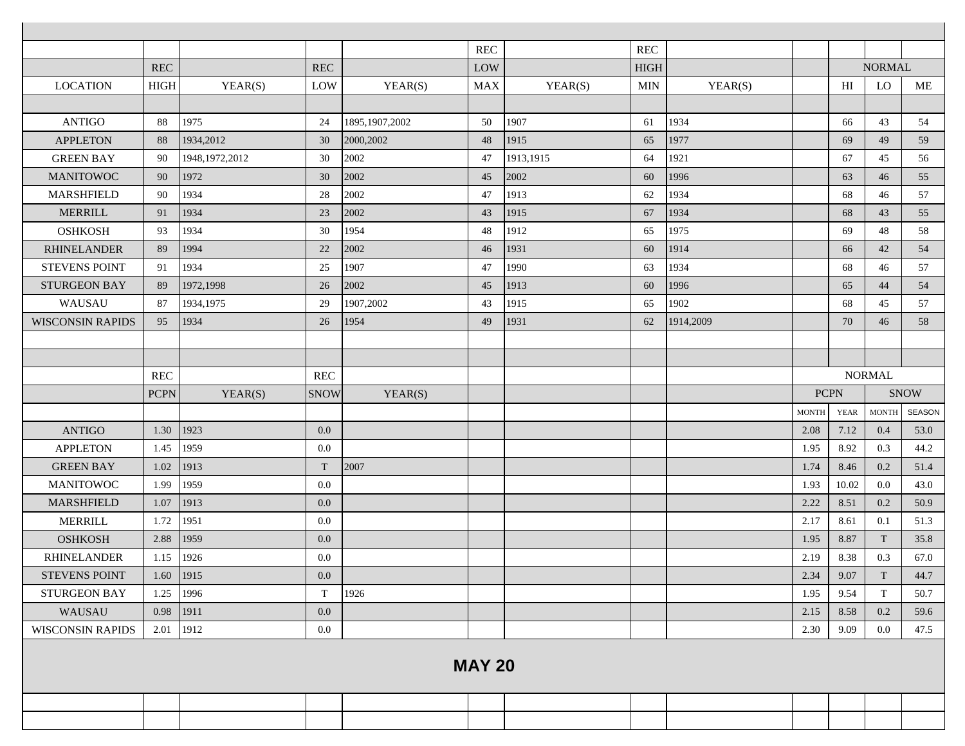|                         |             |                  |             |                  | <b>REC</b>    |           | REC         |           |              |                |               |               |
|-------------------------|-------------|------------------|-------------|------------------|---------------|-----------|-------------|-----------|--------------|----------------|---------------|---------------|
|                         | <b>REC</b>  |                  | REC         |                  | LOW           |           | <b>HIGH</b> |           |              |                | <b>NORMAL</b> |               |
| <b>LOCATION</b>         | <b>HIGH</b> | YEAR(S)          | LOW         | YEAR(S)          | <b>MAX</b>    | YEAR(S)   | <b>MIN</b>  | YEAR(S)   |              | H <sub>I</sub> | LO            | ME            |
|                         |             |                  |             |                  |               |           |             |           |              |                |               |               |
| <b>ANTIGO</b>           | 88          | 1975             | 24          | 1895, 1907, 2002 | 50            | 1907      | 61          | 1934      |              | 66             | 43            | 54            |
| <b>APPLETON</b>         | 88          | 1934,2012        | 30          | 2000,2002        | 48            | 1915      | 65          | 1977      |              | 69             | 49            | 59            |
| <b>GREEN BAY</b>        | 90          | 1948, 1972, 2012 | 30          | 2002             | 47            | 1913,1915 | 64          | 1921      |              | 67             | 45            | 56            |
| <b>MANITOWOC</b>        | 90          | 1972             | 30          | 2002             | 45            | 2002      | 60          | 1996      |              | 63             | 46            | 55            |
| <b>MARSHFIELD</b>       | 90          | 1934             | 28          | 2002             | 47            | 1913      | 62          | 1934      |              | 68             | 46            | 57            |
| <b>MERRILL</b>          | 91          | 1934             | 23          | 2002             | 43            | 1915      | 67          | 1934      |              | 68             | 43            | 55            |
| <b>OSHKOSH</b>          | 93          | 1934             | 30          | 1954             | 48            | 1912      | 65          | 1975      |              | 69             | 48            | 58            |
| <b>RHINELANDER</b>      | 89          | 1994             | 22          | 2002             | 46            | 1931      | 60          | 1914      |              | 66             | 42            | 54            |
| <b>STEVENS POINT</b>    | 91          | 1934             | 25          | 1907             | 47            | 1990      | 63          | 1934      |              | 68             | 46            | 57            |
| <b>STURGEON BAY</b>     | 89          | 1972,1998        | 26          | 2002             | 45            | 1913      | 60          | 1996      |              | 65             | 44            | 54            |
| WAUSAU                  | 87          | 1934, 1975       | 29          | 1907,2002        | 43            | 1915      | 65          | 1902      |              | 68             | 45            | 57            |
| <b>WISCONSIN RAPIDS</b> | 95          | 1934             | 26          | 1954             | 49            | 1931      | 62          | 1914,2009 |              | 70             | 46            | 58            |
|                         |             |                  |             |                  |               |           |             |           |              |                |               |               |
|                         |             |                  |             |                  |               |           |             |           |              |                |               |               |
|                         | <b>REC</b>  |                  | <b>REC</b>  |                  |               |           |             |           |              |                | <b>NORMAL</b> |               |
|                         | <b>PCPN</b> | YEAR(S)          | <b>SNOW</b> | YEAR(S)          |               |           |             |           | <b>PCPN</b>  |                |               | <b>SNOW</b>   |
|                         |             |                  |             |                  |               |           |             |           |              |                |               |               |
|                         |             |                  |             |                  |               |           |             |           | <b>MONTH</b> | <b>YEAR</b>    | <b>MONTH</b>  | <b>SEASON</b> |
| <b>ANTIGO</b>           | 1.30        | 1923             | 0.0         |                  |               |           |             |           | 2.08         | 7.12           | 0.4           | 53.0          |
| <b>APPLETON</b>         | 1.45        | 1959             | 0.0         |                  |               |           |             |           | 1.95         | 8.92           | 0.3           | 44.2          |
| <b>GREEN BAY</b>        | 1.02        | 1913             | T           | 2007             |               |           |             |           | 1.74         | 8.46           | 0.2           | 51.4          |
| <b>MANITOWOC</b>        | 1.99        | 1959             | 0.0         |                  |               |           |             |           | 1.93         | 10.02          | 0.0           | 43.0          |
| <b>MARSHFIELD</b>       | 1.07        | 1913             | $0.0\,$     |                  |               |           |             |           | 2.22         | 8.51           | 0.2           | 50.9          |
| <b>MERRILL</b>          | 1.72        | 1951             | 0.0         |                  |               |           |             |           | 2.17         | 8.61           | 0.1           | 51.3          |
| <b>OSHKOSH</b>          | 2.88        | 1959             | 0.0         |                  |               |           |             |           | 1.95         | 8.87           | T             | 35.8          |
| <b>RHINELANDER</b>      | 1.15        | 1926             | $0.0\,$     |                  |               |           |             |           | 2.19         | 8.38           | 0.3           | 67.0          |
| <b>STEVENS POINT</b>    | 1.60        | 1915             | 0.0         |                  |               |           |             |           | 2.34         | 9.07           | T             | 44.7          |
| <b>STURGEON BAY</b>     | 1.25        | 1996             | T           | 1926             |               |           |             |           | 1.95         | 9.54           | $\mathbf T$   | 50.7          |
| WAUSAU                  | 0.98        | 1911             | 0.0         |                  |               |           |             |           | 2.15         | 8.58           | 0.2           | 59.6          |
| <b>WISCONSIN RAPIDS</b> | 2.01 1912   |                  | $0.0\,$     |                  |               |           |             |           | 2.30         | 9.09           | 0.0           | 47.5          |
|                         |             |                  |             |                  |               |           |             |           |              |                |               |               |
|                         |             |                  |             |                  | <b>MAY 20</b> |           |             |           |              |                |               |               |
|                         |             |                  |             |                  |               |           |             |           |              |                |               |               |
|                         |             |                  |             |                  |               |           |             |           |              |                |               |               |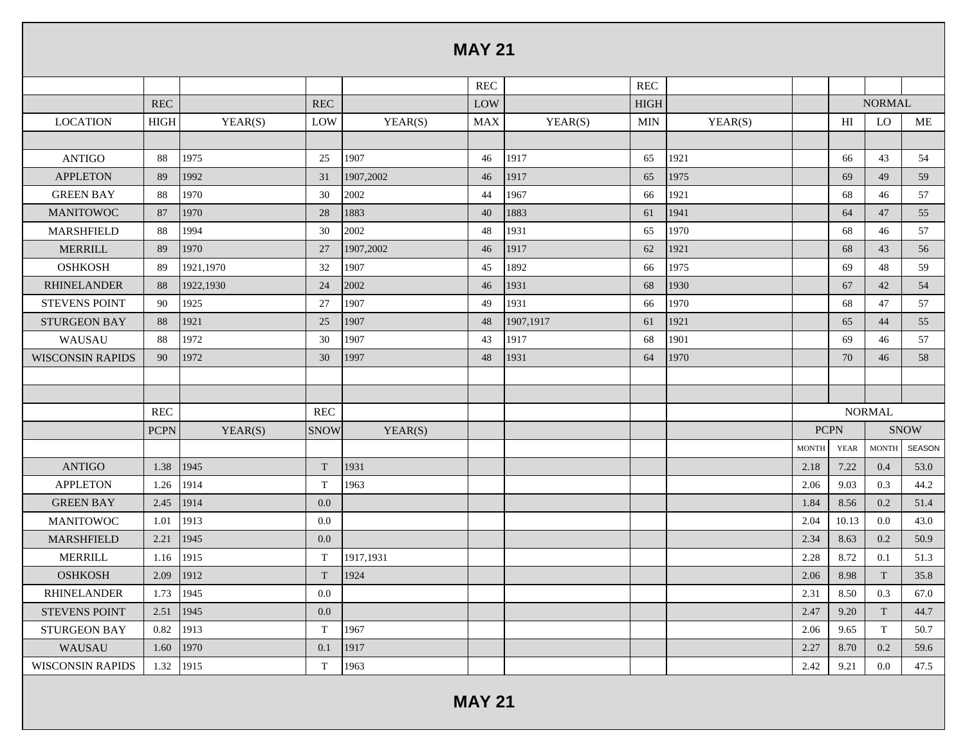|                         |             |           |             |           | <b>MAY 21</b> |           |             |         |              |             |               |             |
|-------------------------|-------------|-----------|-------------|-----------|---------------|-----------|-------------|---------|--------------|-------------|---------------|-------------|
|                         |             |           |             |           | REC           |           | REC         |         |              |             |               |             |
|                         | <b>REC</b>  |           | <b>REC</b>  |           | LOW           |           | <b>HIGH</b> |         |              |             | <b>NORMAL</b> |             |
| <b>LOCATION</b>         | HIGH        | YEAR(S)   | LOW         | YEAR(S)   | <b>MAX</b>    | YEAR(S)   | <b>MIN</b>  | YEAR(S) |              | HI          | LO            | ME          |
|                         |             |           |             |           |               |           |             |         |              |             |               |             |
| <b>ANTIGO</b>           | 88          | 1975      | 25          | 1907      | 46            | 1917      | 65          | 1921    |              | 66          | 43            | 54          |
| <b>APPLETON</b>         | 89          | 1992      | 31          | 1907,2002 | 46            | 1917      | 65          | 1975    |              | 69          | 49            | 59          |
| <b>GREEN BAY</b>        | 88          | 1970      | 30          | 2002      | 44            | 1967      | 66          | 1921    |              | 68          | 46            | 57          |
| <b>MANITOWOC</b>        | 87          | 1970      | 28          | 1883      | 40            | 1883      | 61          | 1941    |              | 64          | 47            | 55          |
| <b>MARSHFIELD</b>       | 88          | 1994      | 30          | 2002      | 48            | 1931      | 65          | 1970    |              | 68          | 46            | 57          |
| <b>MERRILL</b>          | 89          | 1970      | 27          | 1907,2002 | 46            | 1917      | 62          | 1921    |              | 68          | 43            | 56          |
| <b>OSHKOSH</b>          | 89          | 1921,1970 | 32          | 1907      | 45            | 1892      | 66          | 1975    |              | 69          | 48            | 59          |
| <b>RHINELANDER</b>      | 88          | 1922,1930 | 24          | 2002      | 46            | 1931      | 68          | 1930    |              | 67          | 42            | 54          |
| <b>STEVENS POINT</b>    | 90          | 1925      | 27          | 1907      | 49            | 1931      | 66          | 1970    |              | 68          | 47            | 57          |
| <b>STURGEON BAY</b>     | 88          | 1921      | 25          | 1907      | 48            | 1907,1917 | 61          | 1921    |              | 65          | 44            | 55          |
| WAUSAU                  | 88          | 1972      | 30          | 1907      | 43            | 1917      | 68          | 1901    |              | 69          | 46            | 57          |
| <b>WISCONSIN RAPIDS</b> | 90          | 1972      | 30          | 1997      | 48            | 1931      | 64          | 1970    |              | 70          | 46            | 58          |
|                         |             |           |             |           |               |           |             |         |              |             |               |             |
|                         |             |           |             |           |               |           |             |         |              |             |               |             |
|                         | <b>REC</b>  |           | <b>REC</b>  |           |               |           |             |         |              |             | <b>NORMAL</b> |             |
|                         | <b>PCPN</b> | YEAR(S)   | <b>SNOW</b> | YEAR(S)   |               |           |             |         |              | <b>PCPN</b> |               | <b>SNOW</b> |
|                         |             |           |             |           |               |           |             |         | <b>MONTH</b> | <b>YEAR</b> | <b>MONTH</b>  | SEASON      |
| <b>ANTIGO</b>           | 1.38        | 1945      | $\rm T$     | 1931      |               |           |             |         | 2.18         | 7.22        | 0.4           | 53.0        |
| <b>APPLETON</b>         | 1.26        | 1914      | T           | 1963      |               |           |             |         | 2.06         | 9.03        | 0.3           | 44.2        |
| <b>GREEN BAY</b>        | 2.45        | 1914      | 0.0         |           |               |           |             |         | 1.84         | 8.56        | 0.2           | 51.4        |
| <b>MANITOWOC</b>        | 1.01        | 1913      | 0.0         |           |               |           |             |         | 2.04         | 10.13       | $0.0\,$       | 43.0        |
| <b>MARSHFIELD</b>       | 2.21        | 1945      | 0.0         |           |               |           |             |         | 2.34         | 8.63        | 0.2           | 50.9        |
| <b>MERRILL</b>          | 1.16        | 1915      | T           | 1917,1931 |               |           |             |         | 2.28         | 8.72        | 0.1           | 51.3        |
| <b>OSHKOSH</b>          | 2.09        | 1912      | T           | 1924      |               |           |             |         | 2.06         | 8.98        | $\mathbf T$   | 35.8        |
| <b>RHINELANDER</b>      | 1.73        | 1945      | 0.0         |           |               |           |             |         | 2.31         | 8.50        | 0.3           | 67.0        |
| <b>STEVENS POINT</b>    | 2.51        | 1945      | 0.0         |           |               |           |             |         | 2.47         | 9.20        | T             | 44.7        |
| <b>STURGEON BAY</b>     | 0.82        | 1913      | T           | 1967      |               |           |             |         | 2.06         | 9.65        | T             | 50.7        |
| WAUSAU                  | 1.60        | 1970      | 0.1         | 1917      |               |           |             |         | 2.27         | 8.70        | 0.2           | 59.6        |
| <b>WISCONSIN RAPIDS</b> | 1.32        | 1915      | T           | 1963      |               |           |             |         | 2.42         | 9.21        | 0.0           | 47.5        |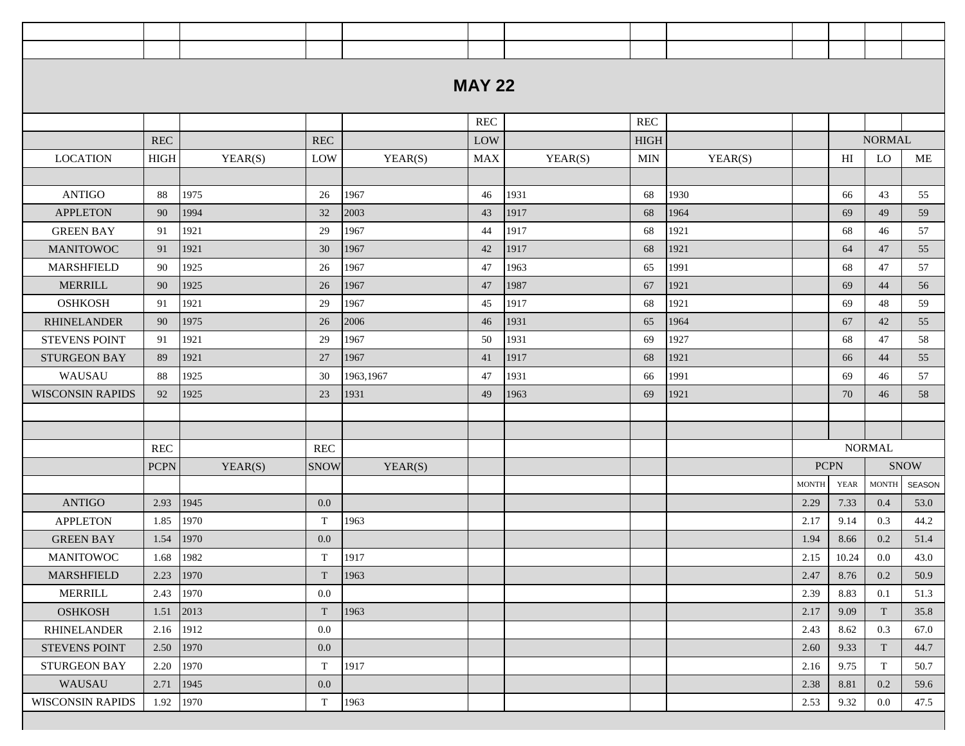|                         |                      |         |             |           | <b>MAY 22</b> |         |            |         |              |             |                        |             |
|-------------------------|----------------------|---------|-------------|-----------|---------------|---------|------------|---------|--------------|-------------|------------------------|-------------|
|                         |                      |         |             |           |               |         |            |         |              |             |                        |             |
|                         |                      |         |             |           | <b>REC</b>    |         | <b>REC</b> |         |              |             |                        |             |
|                         | $\operatorname{REC}$ |         | REC         |           | LOW           |         | HIGH       |         |              |             | <b>NORMAL</b>          |             |
| <b>LOCATION</b>         | <b>HIGH</b>          | YEAR(S) | LOW         | YEAR(S)   | <b>MAX</b>    | YEAR(S) | MIN        | YEAR(S) |              | HI          | LO                     | ME          |
|                         |                      |         |             |           |               |         |            |         |              |             |                        |             |
| <b>ANTIGO</b>           | 88                   | 1975    | 26          | 1967      | 46            | 1931    | 68         | 1930    |              | 66          | 43                     | 55          |
| <b>APPLETON</b>         | 90                   | 1994    | 32          | 2003      | 43            | 1917    | 68         | 1964    |              | 69          | 49                     | 59          |
| <b>GREEN BAY</b>        | 91                   | 1921    | 29          | 1967      | 44            | 1917    | 68         | 1921    |              | 68          | 46                     | 57          |
| <b>MANITOWOC</b>        | 91                   | 1921    | 30          | 1967      | 42            | 1917    | 68         | 1921    |              | 64          | 47                     | 55          |
| MARSHFIELD              | 90                   | 1925    | 26          | 1967      | 47            | 1963    | 65         | 1991    |              | 68          | 47                     | 57          |
| <b>MERRILL</b>          | 90                   | 1925    | 26          | 1967      | 47            | 1987    | 67         | 1921    |              | 69          | 44                     | 56          |
| <b>OSHKOSH</b>          | 91                   | 1921    | 29          | 1967      | 45            | 1917    | 68         | 1921    |              | 69          | 48                     | 59          |
| <b>RHINELANDER</b>      | 90                   | 1975    | 26          | 2006      | 46            | 1931    | 65         | 1964    |              | 67          | 42                     | 55          |
| <b>STEVENS POINT</b>    | 91                   | 1921    | 29          | 1967      | 50            | 1931    | 69         | 1927    |              | 68          | 47                     | 58          |
| <b>STURGEON BAY</b>     | 89                   | 1921    | 27          | 1967      | 41            | 1917    | 68         | 1921    |              | 66          | 44                     | 55          |
| WAUSAU                  | 88                   | 1925    | 30          | 1963,1967 | 47            | 1931    | 66         | 1991    |              | 69          | 46                     | 57          |
| <b>WISCONSIN RAPIDS</b> | 92                   | 1925    | 23          | 1931      | 49            | 1963    | 69         | 1921    |              | 70          | 46                     | 58          |
|                         |                      |         |             |           |               |         |            |         |              |             |                        |             |
|                         |                      |         |             |           |               |         |            |         |              |             |                        |             |
|                         | <b>REC</b>           |         | REC         |           |               |         |            |         |              |             | <b>NORMAL</b>          |             |
|                         | <b>PCPN</b>          | YEAR(S) | <b>SNOW</b> | YEAR(S)   |               |         |            |         | <b>PCPN</b>  |             |                        | <b>SNOW</b> |
|                         |                      |         |             |           |               |         |            |         | <b>MONTH</b> | <b>YEAR</b> | $\operatorname{MONTH}$ | SEASON      |
| <b>ANTIGO</b>           | 2.93                 | 1945    | 0.0         |           |               |         |            |         | 2.29         | 7.33        | 0.4                    | 53.0        |
| <b>APPLETON</b>         | 1.85                 | 1970    | T           | 1963      |               |         |            |         | 2.17         | 9.14        | 0.3                    | 44.2        |
| <b>GREEN BAY</b>        | 1.54                 | 1970    | 0.0         |           |               |         |            |         | 1.94         | 8.66        | 0.2                    | 51.4        |
| <b>MANITOWOC</b>        | 1.68                 | 1982    | T           | 1917      |               |         |            |         | 2.15         | 10.24       | 0.0                    | 43.0        |
| MARSHFIELD              | 2.23                 | 1970    | $\mathbf T$ | 1963      |               |         |            |         | 2.47         | 8.76        | 0.2                    | 50.9        |
| <b>MERRILL</b>          | 2.43                 | 1970    | 0.0         |           |               |         |            |         | 2.39         | 8.83        | 0.1                    | 51.3        |
| <b>OSHKOSH</b>          | 1.51                 | 2013    | T           | 1963      |               |         |            |         | 2.17         | 9.09        | T                      | 35.8        |
| <b>RHINELANDER</b>      | 2.16                 | 1912    | 0.0         |           |               |         |            |         | 2.43         | 8.62        | 0.3                    | 67.0        |
| <b>STEVENS POINT</b>    | 2.50                 | 1970    | 0.0         |           |               |         |            |         | 2.60         | 9.33        | T                      | 44.7        |
| <b>STURGEON BAY</b>     | 2.20                 | 1970    | T           | 1917      |               |         |            |         | 2.16         | 9.75        | T                      | 50.7        |
| WAUSAU                  | 2.71                 | 1945    | 0.0         |           |               |         |            |         | 2.38         | 8.81        | 0.2                    | 59.6        |
| <b>WISCONSIN RAPIDS</b> | 1.92                 | 1970    | T           | 1963      |               |         |            |         | 2.53         | 9.32        | 0.0                    | 47.5        |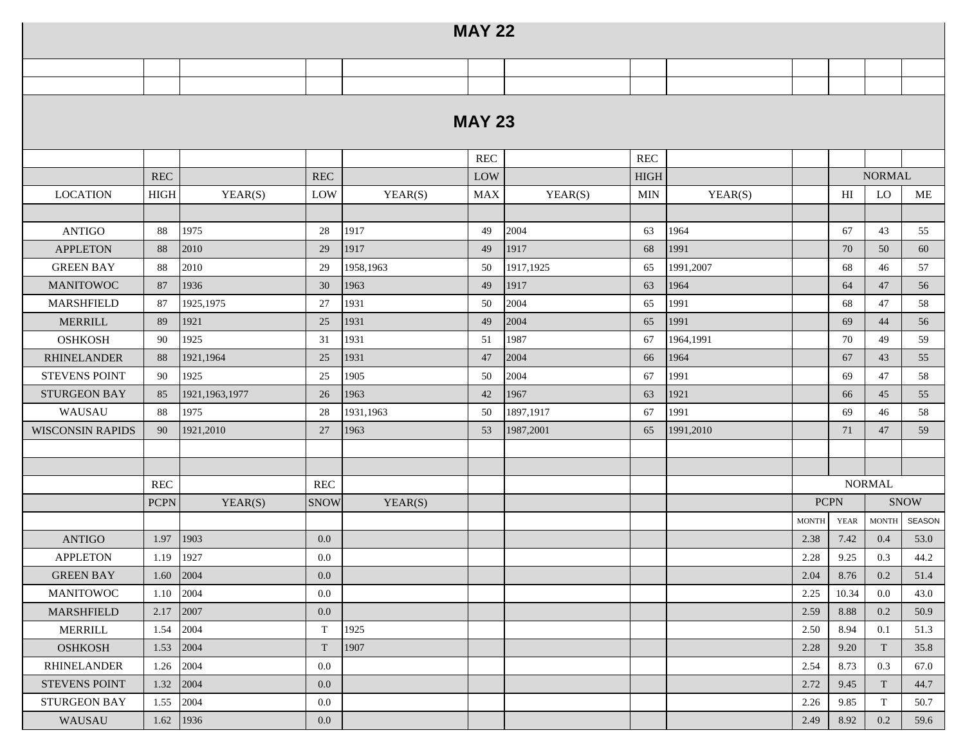|                         |                      |                  |             |           | <b>MAY 22</b> |           |            |           |              |             |               |             |
|-------------------------|----------------------|------------------|-------------|-----------|---------------|-----------|------------|-----------|--------------|-------------|---------------|-------------|
|                         |                      |                  |             |           |               |           |            |           |              |             |               |             |
|                         |                      |                  |             |           |               |           |            |           |              |             |               |             |
|                         |                      |                  |             |           | <b>MAY 23</b> |           |            |           |              |             |               |             |
|                         |                      |                  |             |           | <b>REC</b>    |           | REC        |           |              |             |               |             |
|                         | REC                  |                  | REC         |           | LOW           |           | HIGH       |           |              |             | <b>NORMAL</b> |             |
| <b>LOCATION</b>         | <b>HIGH</b>          | YEAR(S)          | LOW         | YEAR(S)   | <b>MAX</b>    | YEAR(S)   | <b>MIN</b> | YEAR(S)   |              | HI          | LO            | ME          |
|                         |                      |                  |             |           |               |           |            |           |              |             |               |             |
| <b>ANTIGO</b>           | 88                   | 1975             | 28          | 1917      | 49            | 2004      | 63         | 1964      |              | 67          | 43            | 55          |
| <b>APPLETON</b>         | 88                   | 2010             | 29          | 1917      | 49            | 1917      | 68         | 1991      |              | 70          | 50            | 60          |
| <b>GREEN BAY</b>        | 88                   | 2010             | 29          | 1958,1963 | 50            | 1917,1925 | 65         | 1991,2007 |              | 68          | 46            | 57          |
| <b>MANITOWOC</b>        | 87                   | 1936             | 30          | 1963      | 49            | 1917      | 63         | 1964      |              | 64          | 47            | 56          |
| MARSHFIELD              | 87                   | 1925, 1975       | 27          | 1931      | 50            | 2004      | 65         | 1991      |              | 68          | 47            | 58          |
| <b>MERRILL</b>          | 89                   | 1921             | 25          | 1931      | 49            | 2004      | 65         | 1991      |              | 69          | 44            | 56          |
| <b>OSHKOSH</b>          | 90                   | 1925             | 31          | 1931      | 51            | 1987      | 67         | 1964,1991 |              | 70          | 49            | 59          |
| <b>RHINELANDER</b>      | 88                   | 1921,1964        | 25          | 1931      | 47            | 2004      | 66         | 1964      |              | 67          | 43            | 55          |
| <b>STEVENS POINT</b>    | 90                   | 1925             | 25          | 1905      | 50            | 2004      | 67         | 1991      |              | 69          | 47            | 58          |
| <b>STURGEON BAY</b>     | 85                   | 1921, 1963, 1977 | 26          | 1963      | 42            | 1967      | 63         | 1921      |              | 66          | 45            | 55          |
| WAUSAU                  | 88                   | 1975             | 28          | 1931,1963 | 50            | 1897,1917 | 67         | 1991      |              | 69          | 46            | 58          |
| <b>WISCONSIN RAPIDS</b> | 90                   | 1921,2010        | 27          | 1963      | 53            | 1987,2001 | 65         | 1991,2010 |              | 71          | 47            | 59          |
|                         |                      |                  |             |           |               |           |            |           |              |             |               |             |
|                         |                      |                  |             |           |               |           |            |           |              |             |               |             |
|                         | $\operatorname{REC}$ |                  | <b>REC</b>  |           |               |           |            |           |              |             | <b>NORMAL</b> |             |
|                         | <b>PCPN</b>          | YEAR(S)          | <b>SNOW</b> | YEAR(S)   |               |           |            |           | <b>PCPN</b>  |             |               | <b>SNOW</b> |
|                         |                      |                  |             |           |               |           |            |           | <b>MONTH</b> | <b>YEAR</b> | <b>MONTH</b>  | SEASON      |
| <b>ANTIGO</b>           | 1.97                 | 1903             | 0.0         |           |               |           |            |           | 2.38         | 7.42        | 0.4           | 53.0        |
| <b>APPLETON</b>         | 1.19                 | 1927             | 0.0         |           |               |           |            |           | 2.28         | 9.25        | 0.3           | 44.2        |
| <b>GREEN BAY</b>        | 1.60                 | 2004             | 0.0         |           |               |           |            |           | 2.04         | 8.76        | 0.2           | 51.4        |
| <b>MANITOWOC</b>        | 1.10                 | 2004             | $0.0\,$     |           |               |           |            |           | 2.25         | 10.34       | 0.0           | 43.0        |
| <b>MARSHFIELD</b>       | 2.17                 | 2007             | 0.0         |           |               |           |            |           | 2.59         | 8.88        | 0.2           | 50.9        |
| <b>MERRILL</b>          | 1.54                 | 2004             | T           | 1925      |               |           |            |           | 2.50         | 8.94        | 0.1           | 51.3        |
| <b>OSHKOSH</b>          | 1.53                 | 2004             | $\rm T$     | 1907      |               |           |            |           | 2.28         | 9.20        | T             | 35.8        |
| <b>RHINELANDER</b>      | 1.26                 | 2004             | 0.0         |           |               |           |            |           | 2.54         | 8.73        | 0.3           | 67.0        |
| STEVENS POINT           | 1.32                 | 2004             | 0.0         |           |               |           |            |           | 2.72         | 9.45        | T             | 44.7        |
| <b>STURGEON BAY</b>     | 1.55                 | 2004             | $0.0\,$     |           |               |           |            |           | 2.26         | 9.85        | T             | 50.7        |
| WAUSAU                  | 1.62                 | 1936             | 0.0         |           |               |           |            |           | 2.49         | 8.92        | 0.2           | 59.6        |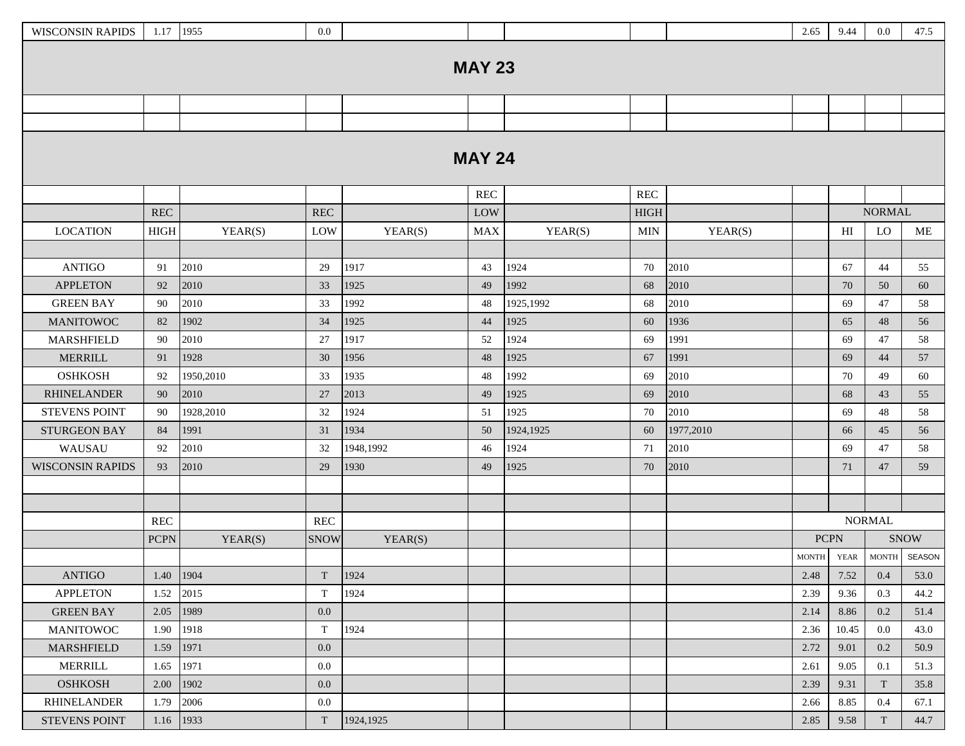| <b>WISCONSIN RAPIDS</b> | 1.17   1955  |           | 0.0                  |           |                      |           |             |           | 2.65         | 9.44                       | $0.0\,$       | 47.5         |
|-------------------------|--------------|-----------|----------------------|-----------|----------------------|-----------|-------------|-----------|--------------|----------------------------|---------------|--------------|
|                         |              |           |                      |           |                      |           |             |           |              |                            |               |              |
|                         |              |           |                      |           | <b>MAY 23</b>        |           |             |           |              |                            |               |              |
|                         |              |           |                      |           |                      |           |             |           |              |                            |               |              |
|                         |              |           |                      |           |                      |           |             |           |              |                            |               |              |
|                         |              |           |                      |           |                      |           |             |           |              |                            |               |              |
|                         |              |           |                      |           | <b>MAY 24</b>        |           |             |           |              |                            |               |              |
|                         |              |           |                      |           | $\operatorname{REC}$ |           | <b>REC</b>  |           |              |                            |               |              |
|                         | <b>REC</b>   |           | $\operatorname{REC}$ |           | LOW                  |           | <b>HIGH</b> |           |              |                            | <b>NORMAL</b> |              |
| <b>LOCATION</b>         | ${\rm HIGH}$ | YEAR(S)   | LOW                  | YEAR(S)   | <b>MAX</b>           | YEAR(S)   | <b>MIN</b>  | YEAR(S)   |              | $\mathop{\rm HI}\nolimits$ | LO            | ME           |
|                         |              |           |                      |           |                      |           |             |           |              |                            |               |              |
| <b>ANTIGO</b>           | 91           | 2010      | 29                   | 1917      | 43                   | 1924      | 70          | 2010      |              | 67                         | 44            | 55           |
| <b>APPLETON</b>         | 92           | 2010      | 33                   | 1925      | 49                   | 1992      | 68          | 2010      |              | 70                         | 50            | 60           |
| <b>GREEN BAY</b>        | 90           | 2010      | 33                   | 1992      | 48                   | 1925,1992 | 68          | 2010      |              | 69                         | 47            | 58           |
| <b>MANITOWOC</b>        | 82           | 1902      | 34                   | 1925      | 44                   | 1925      | 60          | 1936      |              | 65                         | 48            | 56           |
| <b>MARSHFIELD</b>       | 90           | 2010      | 27                   | 1917      | 52                   | 1924      | 69          | 1991      |              | 69                         | 47            | 58           |
| <b>MERRILL</b>          | 91           | 1928      | 30                   | 1956      | 48                   | 1925      | 67          | 1991      |              | 69                         | 44            | 57           |
| <b>OSHKOSH</b>          | 92           | 1950,2010 | 33                   | 1935      | 48                   | 1992      | 69          | 2010      |              | 70                         | 49            | 60           |
| <b>RHINELANDER</b>      | 90           | 2010      | 27                   | 2013      | 49                   | 1925      | 69          | 2010      |              | 68                         | 43            | 55           |
| <b>STEVENS POINT</b>    | 90           | 1928,2010 | 32                   | 1924      | 51                   | 1925      | 70          | 2010      |              | 69                         | 48            | 58           |
| <b>STURGEON BAY</b>     | 84           | 1991      | 31                   | 1934      | 50                   | 1924,1925 | 60          | 1977,2010 |              | 66                         | 45            | 56           |
| WAUSAU                  | 92           | 2010      | 32                   | 1948,1992 | 46                   | 1924      | 71          | 2010      |              | 69                         | 47            | 58           |
| <b>WISCONSIN RAPIDS</b> | 93           | 2010      | 29                   | 1930      | 49                   | 1925      | 70          | 2010      |              | 71                         | 47            | 59           |
|                         |              |           |                      |           |                      |           |             |           |              |                            |               |              |
|                         |              |           |                      |           |                      |           |             |           |              |                            |               |              |
|                         | <b>REC</b>   |           | <b>REC</b>           |           |                      |           |             |           |              |                            | <b>NORMAL</b> |              |
|                         | <b>PCPN</b>  | YEAR(S)   | <b>SNOW</b>          | YEAR(S)   |                      |           |             |           | <b>PCPN</b>  |                            |               | <b>SNOW</b>  |
|                         |              |           |                      |           |                      |           |             |           | <b>MONTH</b> | <b>YEAR</b>                |               | MONTH SEASON |
| <b>ANTIGO</b>           | 1.40         | 1904      | T                    | 1924      |                      |           |             |           | 2.48         | 7.52                       | 0.4           | 53.0         |
| <b>APPLETON</b>         | 1.52         | 2015      | T                    | 1924      |                      |           |             |           | 2.39         | 9.36                       | 0.3           | 44.2         |
| <b>GREEN BAY</b>        | 2.05         | 1989      | 0.0                  |           |                      |           |             |           | 2.14         | 8.86                       | 0.2           | 51.4         |
| <b>MANITOWOC</b>        | 1.90         | 1918      | $\mathbf T$          | 1924      |                      |           |             |           | 2.36         | 10.45                      | $0.0\,$       | 43.0         |
| MARSHFIELD              | 1.59         | 1971      | 0.0                  |           |                      |           |             |           | 2.72         | 9.01                       | 0.2           | 50.9         |
| <b>MERRILL</b>          | 1.65         | 1971      | 0.0                  |           |                      |           |             |           | 2.61         | 9.05                       | 0.1           | 51.3         |
| <b>OSHKOSH</b>          | 2.00         | 1902      | 0.0                  |           |                      |           |             |           | 2.39         | 9.31                       | T             | 35.8         |
| <b>RHINELANDER</b>      | 1.79         | 2006      | 0.0                  |           |                      |           |             |           | 2.66         | 8.85                       | 0.4           | 67.1         |
| STEVENS POINT           | 1.16         | 1933      | T                    | 1924,1925 |                      |           |             |           | 2.85         | 9.58                       | T             | 44.7         |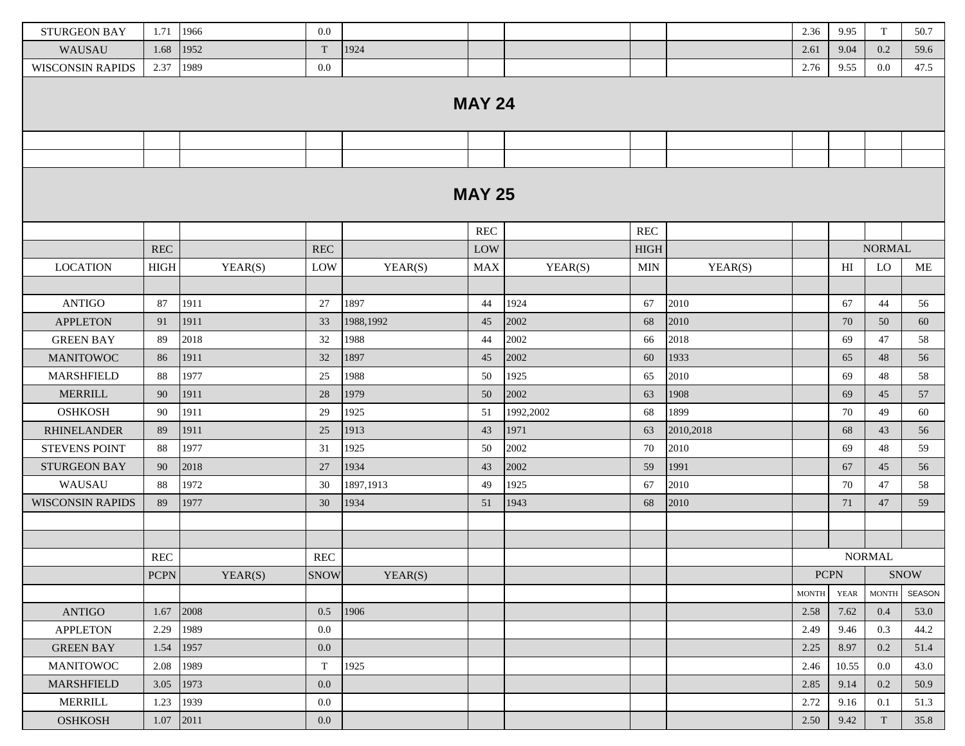| <b>STURGEON BAY</b>     | 1.71        | 1966    | 0.0         |           |                      |           |                      |           | 2.36         | 9.95           | T             | 50.7        |
|-------------------------|-------------|---------|-------------|-----------|----------------------|-----------|----------------------|-----------|--------------|----------------|---------------|-------------|
| WAUSAU                  | 1.68        | 1952    | T           | 1924      |                      |           |                      |           | 2.61         | 9.04           | 0.2           | 59.6        |
| <b>WISCONSIN RAPIDS</b> | 2.37        | 1989    | 0.0         |           |                      |           |                      |           | 2.76         | 9.55           | 0.0           | 47.5        |
|                         |             |         |             |           | <b>MAY 24</b>        |           |                      |           |              |                |               |             |
|                         |             |         |             |           |                      |           |                      |           |              |                |               |             |
|                         |             |         |             |           |                      |           |                      |           |              |                |               |             |
|                         |             |         |             |           |                      |           |                      |           |              |                |               |             |
|                         |             |         |             |           | <b>MAY 25</b>        |           |                      |           |              |                |               |             |
|                         |             |         |             |           | $\operatorname{REC}$ |           | $\operatorname{REC}$ |           |              |                |               |             |
|                         | REC         |         | REC         |           | LOW                  |           | <b>HIGH</b>          |           |              |                | <b>NORMAL</b> |             |
| <b>LOCATION</b>         | <b>HIGH</b> | YEAR(S) | LOW         | YEAR(S)   | <b>MAX</b>           | YEAR(S)   | <b>MIN</b>           | YEAR(S)   |              | H <sub>I</sub> | LO            | ME          |
|                         |             |         |             |           |                      |           |                      |           |              |                |               |             |
| <b>ANTIGO</b>           | 87          | 1911    | 27          | 1897      | 44                   | 1924      | 67                   | 2010      |              | 67             | 44            | 56          |
| <b>APPLETON</b>         | 91          | 1911    | 33          | 1988,1992 | 45                   | 2002      | 68                   | 2010      |              | 70             | 50            | 60          |
| <b>GREEN BAY</b>        | 89          | 2018    | 32          | 1988      | 44                   | 2002      | 66                   | 2018      |              | 69             | 47            | 58          |
| <b>MANITOWOC</b>        | 86          | 1911    | 32          | 1897      | 45                   | 2002      | 60                   | 1933      |              | 65             | 48            | 56          |
| <b>MARSHFIELD</b>       | 88          | 1977    | 25          | 1988      | 50                   | 1925      | 65                   | 2010      |              | 69             | 48            | 58          |
| MERRILL                 | 90          | 1911    | 28          | 1979      | 50                   | 2002      | 63                   | 1908      |              | 69             | 45            | 57          |
| <b>OSHKOSH</b>          | 90          | 1911    | 29          | 1925      | 51                   | 1992,2002 | 68                   | 1899      |              | 70             | 49            | 60          |
| <b>RHINELANDER</b>      | 89          | 1911    | 25          | 1913      | 43                   | 1971      | 63                   | 2010,2018 |              | 68             | 43            | 56          |
| <b>STEVENS POINT</b>    | 88          | 1977    | 31          | 1925      | 50                   | 2002      | 70                   | 2010      |              | 69             | 48            | 59          |
| STURGEON BAY            | 90          | 2018    | 27          | 1934      | 43                   | 2002      | 59                   | 1991      |              | 67             | 45            | 56          |
| WAUSAU                  | 88          | 1972    | 30          | 1897,1913 | 49                   | 1925      | 67                   | 2010      |              | 70             | 47            | 58          |
| <b>WISCONSIN RAPIDS</b> | 89          | 1977    | 30          | 1934      | 51                   | 1943      | 68                   | 2010      |              | 71             | 47            | 59          |
|                         |             |         |             |           |                      |           |                      |           |              |                |               |             |
|                         |             |         |             |           |                      |           |                      |           |              |                |               |             |
|                         | <b>REC</b>  |         | <b>REC</b>  |           |                      |           |                      |           |              |                | <b>NORMAL</b> |             |
|                         | <b>PCPN</b> | YEAR(S) | <b>SNOW</b> | YEAR(S)   |                      |           |                      |           |              | <b>PCPN</b>    |               | <b>SNOW</b> |
|                         |             |         |             |           |                      |           |                      |           | <b>MONTH</b> | <b>YEAR</b>    | <b>MONTH</b>  | SEASON      |
| <b>ANTIGO</b>           | 1.67        | 2008    | 0.5         | 1906      |                      |           |                      |           | 2.58         | 7.62           | 0.4           | 53.0        |
| <b>APPLETON</b>         | 2.29        | 1989    | 0.0         |           |                      |           |                      |           | 2.49         | 9.46           | 0.3           | 44.2        |
| <b>GREEN BAY</b>        | 1.54        | 1957    | $0.0\,$     |           |                      |           |                      |           | 2.25         | 8.97           | 0.2           | 51.4        |
| <b>MANITOWOC</b>        | 2.08        | 1989    | $\mathbf T$ | 1925      |                      |           |                      |           | 2.46         | 10.55          | 0.0           | 43.0        |
| MARSHFIELD              | 3.05        | 1973    | $0.0\,$     |           |                      |           |                      |           | 2.85         | 9.14           | 0.2           | 50.9        |
| <b>MERRILL</b>          | 1.23        | 1939    | $0.0\,$     |           |                      |           |                      |           | 2.72         | 9.16           | 0.1           | 51.3        |
| <b>OSHKOSH</b>          | 1.07        | 2011    | $0.0\,$     |           |                      |           |                      |           | 2.50         | 9.42           | T             | 35.8        |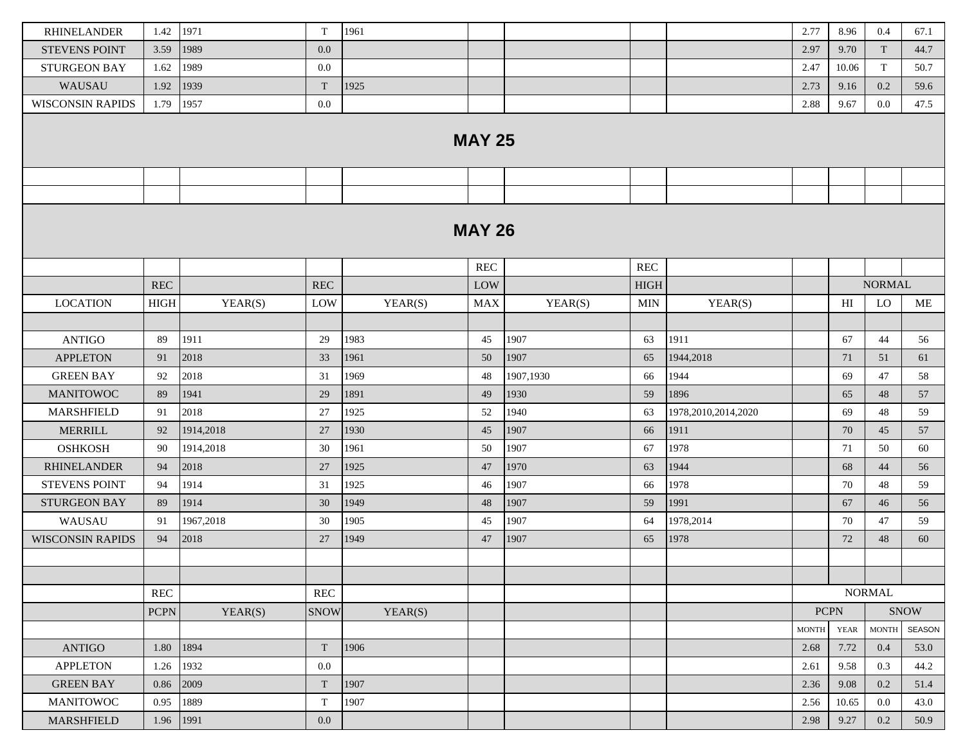| <b>RHINELANDER</b>      | 1.42        | 1971      | T                    | 1961    |               |           |                      |                     | 2.77         | 8.96        | 0.4           | 67.1        |
|-------------------------|-------------|-----------|----------------------|---------|---------------|-----------|----------------------|---------------------|--------------|-------------|---------------|-------------|
| <b>STEVENS POINT</b>    | 3.59        | 1989      | 0.0                  |         |               |           |                      |                     | 2.97         | 9.70        | T             | 44.7        |
| <b>STURGEON BAY</b>     | 1.62        | 1989      | 0.0                  |         |               |           |                      |                     | 2.47         | 10.06       | T             | 50.7        |
| WAUSAU                  | 1.92        | 1939      | T                    | 1925    |               |           |                      |                     | 2.73         | 9.16        | 0.2           | 59.6        |
| WISCONSIN RAPIDS        | 1.79        | 1957      | 0.0                  |         |               |           |                      |                     | 2.88         | 9.67        | $0.0\,$       | 47.5        |
|                         |             |           |                      |         | <b>MAY 25</b> |           |                      |                     |              |             |               |             |
|                         |             |           |                      |         |               |           |                      |                     |              |             |               |             |
|                         |             |           |                      |         |               |           |                      |                     |              |             |               |             |
|                         |             |           |                      |         | <b>MAY 26</b> |           |                      |                     |              |             |               |             |
|                         |             |           |                      |         | REC           |           | $\operatorname{REC}$ |                     |              |             |               |             |
|                         | <b>REC</b>  |           | <b>REC</b>           |         | LOW           |           | <b>HIGH</b>          |                     |              |             | <b>NORMAL</b> |             |
| <b>LOCATION</b>         | <b>HIGH</b> | YEAR(S)   | LOW                  | YEAR(S) | <b>MAX</b>    | YEAR(S)   | <b>MIN</b>           | YEAR(S)             |              | H           | LO            | ME          |
|                         |             |           |                      |         |               |           |                      |                     |              |             |               |             |
| <b>ANTIGO</b>           | 89          | 1911      | 29                   | 1983    | 45            | 1907      | 63                   | 1911                |              | 67          | 44            | 56          |
| <b>APPLETON</b>         | 91          | 2018      | 33                   | 1961    | 50            | 1907      | 65                   | 1944,2018           |              | 71          | 51            | 61          |
| <b>GREEN BAY</b>        | 92          | 2018      | 31                   | 1969    | 48            | 1907,1930 | 66                   | 1944                |              | 69          | 47            | 58          |
| <b>MANITOWOC</b>        | 89          | 1941      | 29                   | 1891    | 49            | 1930      | 59                   | 1896                |              | 65          | 48            | 57          |
| <b>MARSHFIELD</b>       | 91          | 2018      | 27                   | 1925    | 52            | 1940      | 63                   | 1978,2010,2014,2020 |              | 69          | 48            | 59          |
| <b>MERRILL</b>          | 92          | 1914,2018 | 27                   | 1930    | 45            | 1907      | 66                   | 1911                |              | 70          | 45            | 57          |
| <b>OSHKOSH</b>          | 90          | 1914,2018 | 30                   | 1961    | 50            | 1907      | 67                   | 1978                |              | 71          | 50            | 60          |
| <b>RHINELANDER</b>      | 94          | 2018      | 27                   | 1925    | 47            | 1970      | 63                   | 1944                |              | 68          | 44            | 56          |
| <b>STEVENS POINT</b>    | 94          | 1914      | 31                   | 1925    | 46            | 1907      | 66                   | 1978                |              | 70          | 48            | 59          |
| <b>STURGEON BAY</b>     | 89          | 1914      | 30                   | 1949    | 48            | 1907      | 59                   | 1991                |              | 67          | 46            | 56          |
| WAUSAU                  | 91          | 1967,2018 | 30                   | 1905    | 45            | 1907      | 64                   | 1978,2014           |              | 70          | 47            | 59          |
| <b>WISCONSIN RAPIDS</b> | 94          | 2018      | 27                   | 1949    | 47            | 1907      | 65                   | 1978                |              | 72          | 48            | 60          |
|                         |             |           |                      |         |               |           |                      |                     |              |             |               |             |
|                         |             |           |                      |         |               |           |                      |                     |              |             |               |             |
|                         | REC         |           | $\operatorname{REC}$ |         |               |           |                      |                     |              |             | <b>NORMAL</b> |             |
|                         | <b>PCPN</b> | YEAR(S)   | <b>SNOW</b>          | YEAR(S) |               |           |                      |                     |              | <b>PCPN</b> |               | <b>SNOW</b> |
|                         |             |           |                      |         |               |           |                      |                     | <b>MONTH</b> | <b>YEAR</b> | <b>MONTH</b>  | SEASON      |
| <b>ANTIGO</b>           | 1.80        | 1894      | T                    | 1906    |               |           |                      |                     | 2.68         | 7.72        | 0.4           | 53.0        |
| <b>APPLETON</b>         | 1.26        | 1932      | 0.0                  |         |               |           |                      |                     | 2.61         | 9.58        | 0.3           | 44.2        |
| <b>GREEN BAY</b>        | 0.86        | 2009      | T                    | 1907    |               |           |                      |                     | 2.36         | 9.08        | 0.2           | 51.4        |
| <b>MANITOWOC</b>        | 0.95        | 1889      | T                    | 1907    |               |           |                      |                     | 2.56         | 10.65       | $0.0\,$       | 43.0        |
| MARSHFIELD              | 1.96        | 1991      | 0.0                  |         |               |           |                      |                     | 2.98         | 9.27        | 0.2           | 50.9        |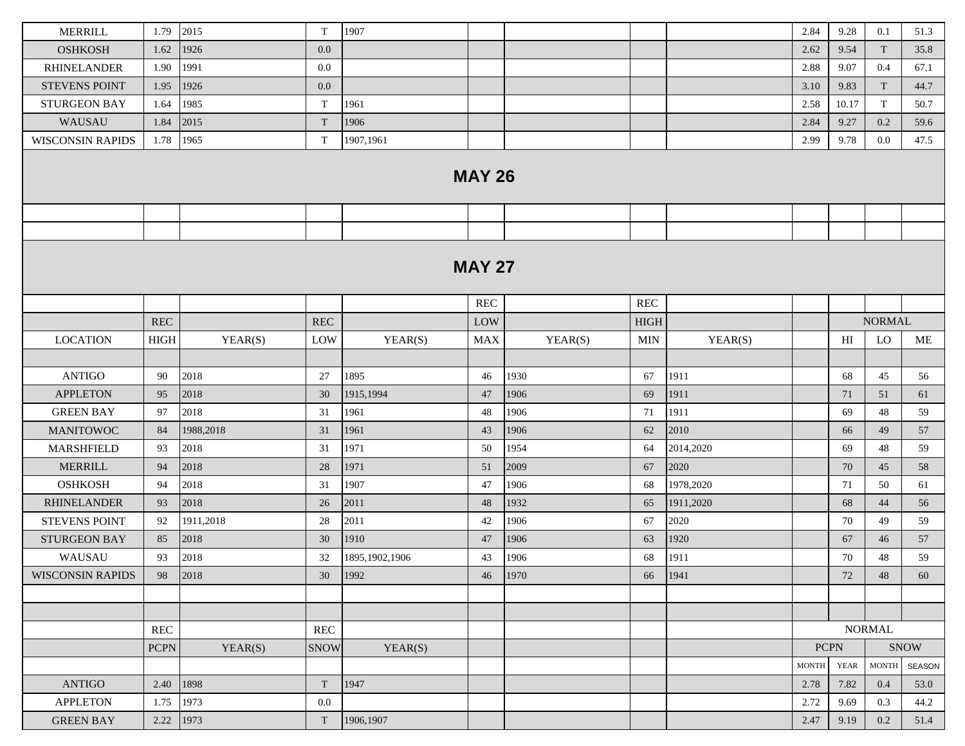| <b>MERRILL</b>          | 1.79        | 2015      | $\mathbf T$          | 1907           |               |         |                      |           | 2.84         | 9.28  | 0.1           | 51.3        |
|-------------------------|-------------|-----------|----------------------|----------------|---------------|---------|----------------------|-----------|--------------|-------|---------------|-------------|
| <b>OSHKOSH</b>          | 1.62        | 1926      | 0.0                  |                |               |         |                      |           | 2.62         | 9.54  | T             | 35.8        |
| <b>RHINELANDER</b>      | 1.90        | 1991      | 0.0                  |                |               |         |                      |           | 2.88         | 9.07  | 0.4           | 67.1        |
| <b>STEVENS POINT</b>    | 1.95        | 1926      | 0.0                  |                |               |         |                      |           | 3.10         | 9.83  | T             | 44.7        |
| <b>STURGEON BAY</b>     | 1.64        | 1985      | T                    | 1961           |               |         |                      |           | 2.58         | 10.17 | T             | 50.7        |
| WAUSAU                  | 1.84        | 2015      | T                    | 1906           |               |         |                      |           | 2.84         | 9.27  | 0.2           | 59.6        |
| <b>WISCONSIN RAPIDS</b> | 1.78        | 1965      | T                    | 1907,1961      |               |         |                      |           | 2.99         | 9.78  | 0.0           | 47.5        |
|                         |             |           |                      |                | <b>MAY 26</b> |         |                      |           |              |       |               |             |
|                         |             |           |                      |                |               |         |                      |           |              |       |               |             |
|                         |             |           |                      |                |               |         |                      |           |              |       |               |             |
|                         |             |           |                      |                | <b>MAY 27</b> |         |                      |           |              |       |               |             |
|                         |             |           |                      |                | REC           |         | $\operatorname{REC}$ |           |              |       |               |             |
|                         | <b>REC</b>  |           | <b>REC</b>           |                | LOW           |         | <b>HIGH</b>          |           |              |       | <b>NORMAL</b> |             |
| <b>LOCATION</b>         | <b>HIGH</b> | YEAR(S)   | LOW                  | YEAR(S)        | <b>MAX</b>    | YEAR(S) | <b>MIN</b>           | YEAR(S)   |              | HI    | LO            | ME          |
|                         |             |           |                      |                |               |         |                      |           |              |       |               |             |
| <b>ANTIGO</b>           | 90          | 2018      | 27                   | 1895           | 46            | 1930    | 67                   | 1911      |              | 68    | 45            | 56          |
| <b>APPLETON</b>         | 95          | 2018      | 30                   | 1915,1994      | 47            | 1906    | 69                   | 1911      |              | 71    | 51            | 61          |
| <b>GREEN BAY</b>        | 97          | 2018      | 31                   | 1961           | 48            | 1906    | 71                   | 1911      |              | 69    | 48            | 59          |
| <b>MANITOWOC</b>        | 84          | 1988,2018 | 31                   | 1961           | 43            | 1906    | 62                   | 2010      |              | 66    | 49            | 57          |
| <b>MARSHFIELD</b>       | 93          | 2018      | 31                   | 1971           | 50            | 1954    | 64                   | 2014,2020 |              | 69    | 48            | 59          |
| <b>MERRILL</b>          | 94          | 2018      | 28                   | 1971           | 51            | 2009    | 67                   | 2020      |              | 70    | 45            | 58          |
| <b>OSHKOSH</b>          | 94          | 2018      | 31                   | 1907           | 47            | 1906    | 68                   | 1978,2020 |              | 71    | 50            | 61          |
| <b>RHINELANDER</b>      | 93          | 2018      | 26                   | 2011           | 48            | 1932    | 65                   | 1911,2020 |              | 68    | 44            | 56          |
| <b>STEVENS POINT</b>    | 92          | 1911,2018 | 28                   | 2011           | 42            | 1906    | 67                   | 2020      |              | 70    | 49            | 59          |
| STURGEON BAY            | 85          | 2018      | 30                   | 1910           | 47            | 1906    | 63                   | 1920      |              | 67    | 46            | 57          |
| WAUSAU                  | 93          | 2018      | 32                   | 1895,1902,1906 | 43            | 1906    | 68                   | 1911      |              | 70    | 48            | 59          |
| <b>WISCONSIN RAPIDS</b> | 98          | 2018      | 30                   | 1992           | 46            | 1970    | 66                   | 1941      |              | 72    | 48            | 60          |
|                         |             |           |                      |                |               |         |                      |           |              |       |               |             |
|                         |             |           |                      |                |               |         |                      |           |              |       |               |             |
|                         | <b>REC</b>  |           | $\operatorname{REC}$ |                |               |         |                      |           |              |       | <b>NORMAL</b> |             |
|                         | <b>PCPN</b> | YEAR(S)   | <b>SNOW</b>          | YEAR(S)        |               |         |                      |           | <b>PCPN</b>  |       |               | <b>SNOW</b> |
|                         |             |           |                      |                |               |         |                      |           | <b>MONTH</b> | YEAR  | <b>MONTH</b>  | SEASON      |
| <b>ANTIGO</b>           | 2.40        | 1898      | T                    | 1947           |               |         |                      |           | 2.78         | 7.82  | 0.4           | 53.0        |
| <b>APPLETON</b>         | 1.75        | 1973      | $0.0\,$              |                |               |         |                      |           | 2.72         | 9.69  | 0.3           | 44.2        |
| <b>GREEN BAY</b>        | 2.22        | 1973      | T                    | 1906,1907      |               |         |                      |           | 2.47         | 9.19  | $0.2\,$       | 51.4        |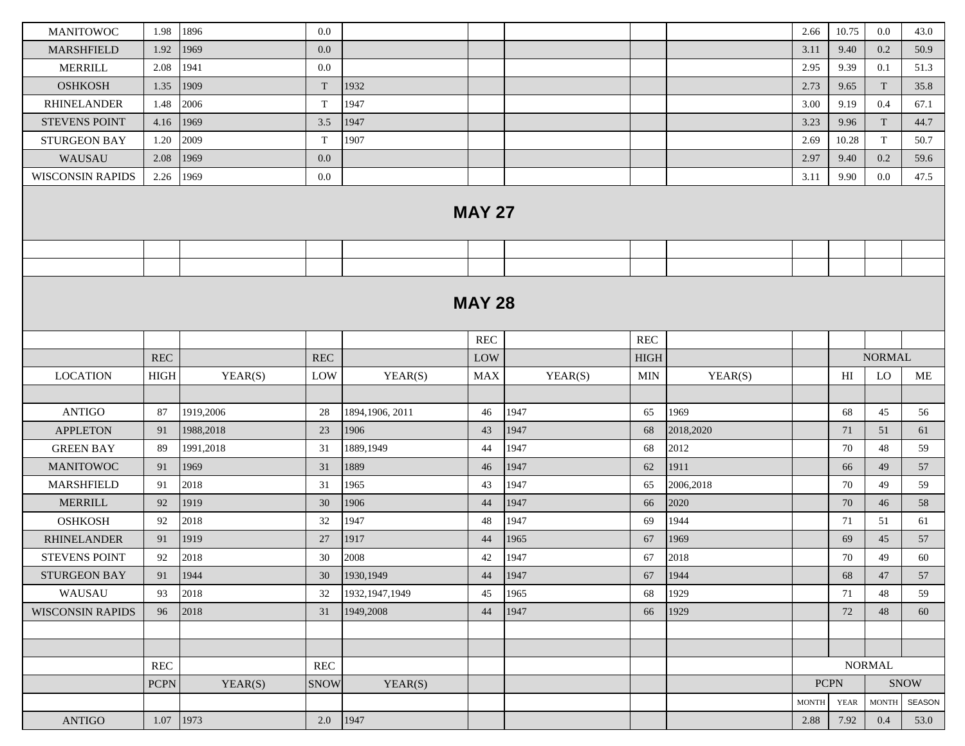| <b>MANITOWOC</b>        | 1.98                 | 1896      | 0.0                  |                  |                      |         |             |           | 2.66         | 10.75          | $0.0\,$                | 43.0   |
|-------------------------|----------------------|-----------|----------------------|------------------|----------------------|---------|-------------|-----------|--------------|----------------|------------------------|--------|
| <b>MARSHFIELD</b>       | 1.92                 | 1969      | 0.0                  |                  |                      |         |             |           | 3.11         | 9.40           | 0.2                    | 50.9   |
| <b>MERRILL</b>          | 2.08                 | 1941      | 0.0                  |                  |                      |         |             |           | 2.95         | 9.39           | 0.1                    | 51.3   |
| <b>OSHKOSH</b>          | 1.35                 | 1909      | T                    | 1932             |                      |         |             |           | 2.73         | 9.65           | T                      | 35.8   |
| <b>RHINELANDER</b>      | 1.48                 | 2006      | T                    | 1947             |                      |         |             |           | 3.00         | 9.19           | 0.4                    | 67.1   |
| <b>STEVENS POINT</b>    | 4.16                 | 1969      | 3.5                  | 1947             |                      |         |             |           | 3.23         | 9.96           | $\mathbf T$            | 44.7   |
| <b>STURGEON BAY</b>     | 1.20                 | 2009      | T                    | 1907             |                      |         |             |           | 2.69         | 10.28          | T                      | 50.7   |
| WAUSAU                  | 2.08                 | 1969      | 0.0                  |                  |                      |         |             |           | 2.97         | 9.40           | 0.2                    | 59.6   |
| <b>WISCONSIN RAPIDS</b> | 2.26                 | 1969      | 0.0                  |                  |                      |         |             |           | 3.11         | 9.90           | $0.0\,$                | 47.5   |
|                         |                      |           |                      |                  | <b>MAY 27</b>        |         |             |           |              |                |                        |        |
|                         |                      |           |                      |                  |                      |         |             |           |              |                |                        |        |
|                         |                      |           |                      |                  |                      |         |             |           |              |                |                        |        |
|                         |                      |           |                      |                  | <b>MAY 28</b>        |         |             |           |              |                |                        |        |
|                         |                      |           |                      |                  | $\operatorname{REC}$ |         | <b>REC</b>  |           |              |                |                        |        |
|                         | $\operatorname{REC}$ |           | $\operatorname{REC}$ |                  | LOW                  |         | <b>HIGH</b> |           |              |                | <b>NORMAL</b>          |        |
| <b>LOCATION</b>         | ${\rm HIGH}$         | YEAR(S)   | LOW                  | YEAR(S)          | <b>MAX</b>           | YEAR(S) | <b>MIN</b>  | YEAR(S)   |              | H <sub>I</sub> | <b>LO</b>              | ME     |
|                         |                      |           |                      |                  |                      |         |             |           |              |                |                        |        |
| <b>ANTIGO</b>           | 87                   | 1919,2006 | 28                   | 1894,1906, 2011  | 46                   | 1947    | 65          | 1969      |              | 68             | 45                     | 56     |
| <b>APPLETON</b>         | 91                   | 1988,2018 | 23                   | 1906             | 43                   | 1947    | 68          | 2018,2020 |              | 71             | 51                     | 61     |
| <b>GREEN BAY</b>        | 89                   | 1991,2018 | 31                   | 1889,1949        | 44                   | 1947    | 68          | 2012      |              | 70             | 48                     | 59     |
| <b>MANITOWOC</b>        | 91                   | 1969      | 31                   | 1889             | 46                   | 1947    | 62          | 1911      |              | 66             | 49                     | 57     |
| <b>MARSHFIELD</b>       | 91                   | 2018      | 31                   | 1965             | 43                   | 1947    | 65          | 2006,2018 |              | 70             | 49                     | 59     |
| <b>MERRILL</b>          | 92                   | 1919      | 30                   | 1906             | 44                   | 1947    | 66          | 2020      |              | 70             | 46                     | 58     |
| <b>OSHKOSH</b>          | 92                   | 2018      | 32                   | 1947             | 48                   | 1947    | 69          | 1944      |              | 71             | 51                     | 61     |
| <b>RHINELANDER</b>      | 91                   | 1919      | 27                   | 1917             | 44                   | 1965    | 67          | 1969      |              | 69             | 45                     | 57     |
| <b>STEVENS POINT</b>    | 92                   | 2018      | 30                   | 2008             | 42                   | 1947    | 67          | 2018      |              | 70             | 49                     | 60     |
| STURGEON BAY            | 91                   | 1944      | 30                   | 1930,1949        | 44                   | 1947    | 67          | 1944      |              | 68             | 47                     | 57     |
| WAUSAU                  | 93                   | 2018      | 32                   | 1932, 1947, 1949 | 45                   | 1965    | 68          | 1929      |              | 71             | 48                     | 59     |
| <b>WISCONSIN RAPIDS</b> | 96                   | 2018      | 31                   | 1949,2008        | 44                   | 1947    | 66          | 1929      |              | 72             | 48                     | 60     |
|                         |                      |           |                      |                  |                      |         |             |           |              |                |                        |        |
|                         |                      |           |                      |                  |                      |         |             |           |              |                |                        |        |
|                         | <b>REC</b>           |           | $\operatorname{REC}$ |                  |                      |         |             |           |              |                | <b>NORMAL</b>          |        |
|                         | <b>PCPN</b>          | YEAR(S)   | <b>SNOW</b>          | YEAR(S)          |                      |         |             |           | $PCPN$       |                |                        | SNOW   |
|                         |                      |           |                      |                  |                      |         |             |           | <b>MONTH</b> | <b>YEAR</b>    | $\operatorname{MONTH}$ | SEASON |
| <b>ANTIGO</b>           | 1.07 1973            |           | 2.0   1947           |                  |                      |         |             |           | 2.88         | 7.92           | 0.4                    | 53.0   |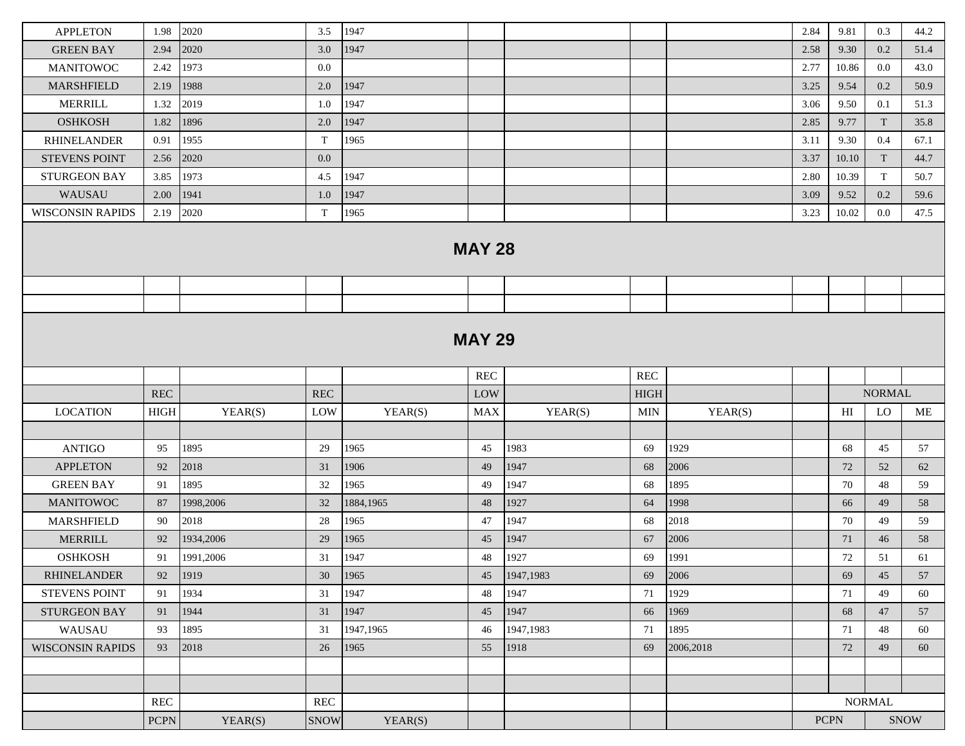| <b>APPLETON</b><br><b>GREEN BAY</b><br><b>MANITOWOC</b><br><b>MARSHFIELD</b><br><b>MERRILL</b><br><b>OSHKOSH</b><br><b>RHINELANDER</b><br><b>STEVENS POINT</b><br><b>STURGEON BAY</b><br>WAUSAU<br><b>WISCONSIN RAPIDS</b> | 1.98<br>2.94<br>2.42<br>2.19<br>1.32<br>1.82<br>0.91<br>2.56<br>3.85<br>2.00<br>2.19 | 2020<br>2020<br>1973<br>1988<br>2019<br>1896<br>1955<br>2020<br>1973<br>1941<br>2020 | 3.5<br>3.0<br>0.0<br>$2.0\,$<br>1.0<br>2.0<br>T<br>$0.0\,$<br>4.5<br>1.0<br>T | 1947<br>1947<br>1947<br>1947<br>1947<br>1965<br>1947<br>1947 |               |           |              |           | 2.84<br>2.58<br>2.77<br>3.25<br>3.06<br>2.85<br>3.11 | 9.81<br>9.30<br>10.86<br>9.54<br>9.50<br>9.77<br>9.30 | 0.3<br>0.2<br>0.0<br>0.2<br>0.1<br>$\ensuremath{\mathrm{T}}$<br>0.4 | 44.2<br>51.4<br>43.0<br>50.9<br>51.3<br>35.8 |
|----------------------------------------------------------------------------------------------------------------------------------------------------------------------------------------------------------------------------|--------------------------------------------------------------------------------------|--------------------------------------------------------------------------------------|-------------------------------------------------------------------------------|--------------------------------------------------------------|---------------|-----------|--------------|-----------|------------------------------------------------------|-------------------------------------------------------|---------------------------------------------------------------------|----------------------------------------------|
|                                                                                                                                                                                                                            |                                                                                      |                                                                                      |                                                                               |                                                              |               |           |              |           |                                                      |                                                       |                                                                     |                                              |
|                                                                                                                                                                                                                            |                                                                                      |                                                                                      |                                                                               |                                                              |               |           |              |           |                                                      |                                                       |                                                                     |                                              |
|                                                                                                                                                                                                                            |                                                                                      |                                                                                      |                                                                               |                                                              |               |           |              |           |                                                      |                                                       |                                                                     |                                              |
|                                                                                                                                                                                                                            |                                                                                      |                                                                                      |                                                                               |                                                              |               |           |              |           |                                                      |                                                       |                                                                     |                                              |
|                                                                                                                                                                                                                            |                                                                                      |                                                                                      |                                                                               |                                                              |               |           |              |           |                                                      |                                                       |                                                                     |                                              |
|                                                                                                                                                                                                                            |                                                                                      |                                                                                      |                                                                               |                                                              |               |           |              |           |                                                      |                                                       |                                                                     |                                              |
|                                                                                                                                                                                                                            |                                                                                      |                                                                                      |                                                                               |                                                              |               |           |              |           |                                                      |                                                       |                                                                     | 67.1                                         |
|                                                                                                                                                                                                                            |                                                                                      |                                                                                      |                                                                               |                                                              |               |           |              |           | 3.37                                                 | 10.10                                                 | T                                                                   | 44.7                                         |
|                                                                                                                                                                                                                            |                                                                                      |                                                                                      |                                                                               |                                                              |               |           |              |           | 2.80                                                 | 10.39                                                 | T                                                                   | 50.7                                         |
|                                                                                                                                                                                                                            |                                                                                      |                                                                                      |                                                                               |                                                              |               |           |              |           | 3.09                                                 | 9.52                                                  | 0.2                                                                 | 59.6                                         |
|                                                                                                                                                                                                                            |                                                                                      |                                                                                      |                                                                               | 1965                                                         |               |           |              |           | 3.23                                                 | 10.02                                                 | $0.0\,$                                                             | 47.5                                         |
|                                                                                                                                                                                                                            |                                                                                      |                                                                                      |                                                                               |                                                              | <b>MAY 28</b> |           |              |           |                                                      |                                                       |                                                                     |                                              |
|                                                                                                                                                                                                                            |                                                                                      |                                                                                      |                                                                               |                                                              |               |           |              |           |                                                      |                                                       |                                                                     |                                              |
|                                                                                                                                                                                                                            |                                                                                      |                                                                                      |                                                                               |                                                              |               |           |              |           |                                                      |                                                       |                                                                     |                                              |
| <b>MAY 29</b><br>$\operatorname{REC}$<br><b>REC</b>                                                                                                                                                                        |                                                                                      |                                                                                      |                                                                               |                                                              |               |           |              |           |                                                      |                                                       |                                                                     |                                              |
|                                                                                                                                                                                                                            |                                                                                      |                                                                                      |                                                                               |                                                              |               |           |              |           |                                                      |                                                       |                                                                     |                                              |
|                                                                                                                                                                                                                            | REC                                                                                  |                                                                                      | <b>REC</b>                                                                    |                                                              | LOW           |           | ${\rm HIGH}$ |           |                                                      |                                                       | <b>NORMAL</b>                                                       | ME                                           |
| <b>LOCATION</b>                                                                                                                                                                                                            | <b>HIGH</b>                                                                          | YEAR(S)                                                                              | LOW                                                                           | YEAR(S)                                                      | MAX           | YEAR(S)   | <b>MIN</b>   | YEAR(S)   |                                                      | HI                                                    | LO                                                                  |                                              |
|                                                                                                                                                                                                                            |                                                                                      |                                                                                      |                                                                               |                                                              |               |           |              |           |                                                      |                                                       |                                                                     |                                              |
| <b>ANTIGO</b>                                                                                                                                                                                                              | 95                                                                                   | 1895                                                                                 |                                                                               |                                                              |               |           |              |           |                                                      |                                                       |                                                                     |                                              |
|                                                                                                                                                                                                                            |                                                                                      |                                                                                      | 29                                                                            | 1965                                                         | 45            | 1983      | 69           | 1929      |                                                      | 68                                                    | 45                                                                  | 57                                           |
| <b>APPLETON</b>                                                                                                                                                                                                            | 92                                                                                   | 2018                                                                                 | 31                                                                            | 1906                                                         | 49            | 1947      | 68           | 2006      |                                                      | 72                                                    | 52                                                                  | 62                                           |
| <b>GREEN BAY</b>                                                                                                                                                                                                           | 91                                                                                   | 1895                                                                                 | 32                                                                            | 1965                                                         | 49            | 1947      | 68           | 1895      |                                                      | 70                                                    | 48                                                                  | 59                                           |
| <b>MANITOWOC</b>                                                                                                                                                                                                           | 87                                                                                   | 1998,2006                                                                            | 32                                                                            | 1884,1965                                                    | 48            | 1927      | 64           | 1998      |                                                      | 66                                                    | 49                                                                  | 58                                           |
| <b>MARSHFIELD</b>                                                                                                                                                                                                          | 90                                                                                   | 2018                                                                                 | 28                                                                            | 1965                                                         | 47            | 1947      | 68           | 2018      |                                                      | 70                                                    | 49                                                                  | 59                                           |
| <b>MERRILL</b>                                                                                                                                                                                                             | 92                                                                                   | 1934,2006                                                                            | 29                                                                            | 1965                                                         | 45            | 1947      | 67           | 2006      |                                                      | 71                                                    | 46                                                                  | 58                                           |
| <b>OSHKOSH</b>                                                                                                                                                                                                             | 91                                                                                   | 1991,2006                                                                            | 31                                                                            | 1947                                                         | 48            | 1927      | 69           | 1991      |                                                      | 72                                                    | 51                                                                  | 61                                           |
| <b>RHINELANDER</b>                                                                                                                                                                                                         | 92                                                                                   | 1919                                                                                 | 30                                                                            | 1965                                                         | 45            | 1947,1983 | 69           | 2006      |                                                      | 69                                                    | 45                                                                  | 57                                           |
| <b>STEVENS POINT</b>                                                                                                                                                                                                       | 91                                                                                   | 1934                                                                                 | 31                                                                            | 1947                                                         | 48            | 1947      | 71           | 1929      |                                                      | 71                                                    | 49                                                                  | 60                                           |
| <b>STURGEON BAY</b>                                                                                                                                                                                                        | 91                                                                                   | 1944                                                                                 | 31                                                                            | 1947                                                         | 45            | 1947      | 66           | 1969      |                                                      | 68                                                    | 47                                                                  | 57                                           |
| WAUSAU                                                                                                                                                                                                                     | 93                                                                                   | 1895                                                                                 | 31                                                                            | 1947,1965                                                    | 46            | 1947,1983 | 71           | 1895      |                                                      | 71                                                    | 48                                                                  | 60                                           |
| <b>WISCONSIN RAPIDS</b>                                                                                                                                                                                                    | 93                                                                                   | 2018                                                                                 | 26                                                                            | 1965                                                         | 55            | 1918      | 69           | 2006,2018 |                                                      | 72                                                    | 49                                                                  | 60                                           |
|                                                                                                                                                                                                                            |                                                                                      |                                                                                      |                                                                               |                                                              |               |           |              |           |                                                      |                                                       |                                                                     |                                              |
|                                                                                                                                                                                                                            | <b>REC</b>                                                                           |                                                                                      | <b>REC</b>                                                                    |                                                              |               |           |              |           |                                                      |                                                       | <b>NORMAL</b>                                                       |                                              |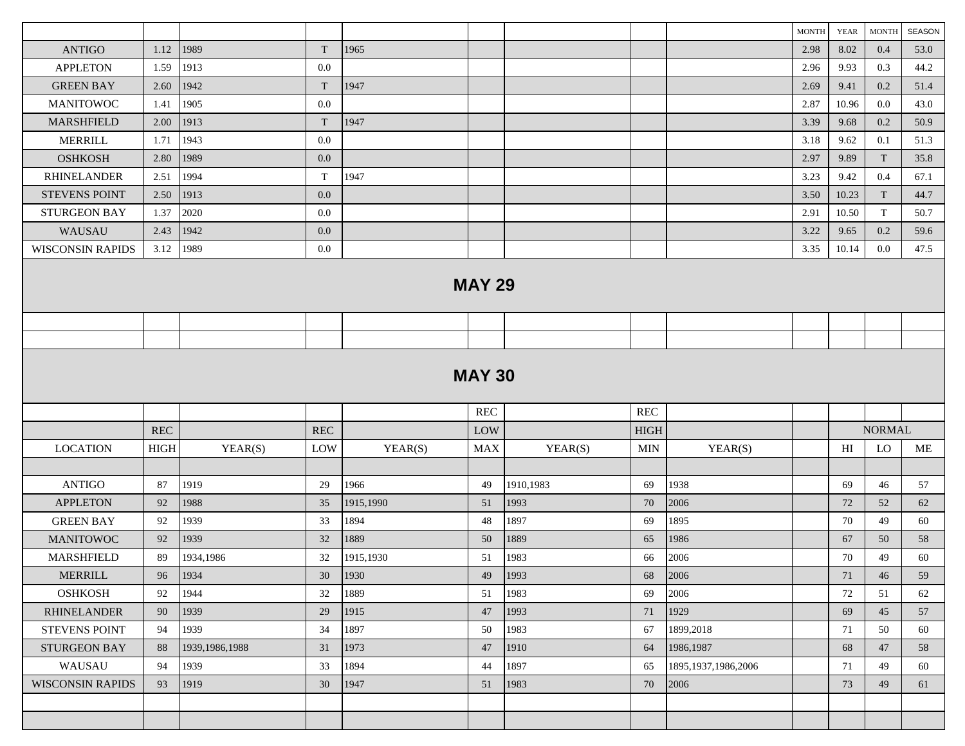|                         |             |                  |         |           |               |           |             |                        | <b>MONTH</b> | <b>YEAR</b> | $\operatorname{MONTH}$ | SEASON |
|-------------------------|-------------|------------------|---------|-----------|---------------|-----------|-------------|------------------------|--------------|-------------|------------------------|--------|
| <b>ANTIGO</b>           | 1.12        | 1989             | T       | 1965      |               |           |             |                        | 2.98         | 8.02        | 0.4                    | 53.0   |
| <b>APPLETON</b>         | 1.59        | 1913             | $0.0\,$ |           |               |           |             |                        | 2.96         | 9.93        | 0.3                    | 44.2   |
| <b>GREEN BAY</b>        | 2.60        | 1942             | T       | 1947      |               |           |             |                        | 2.69         | 9.41        | 0.2                    | 51.4   |
| <b>MANITOWOC</b>        | 1.41        | 1905             | $0.0\,$ |           |               |           |             |                        | 2.87         | 10.96       | 0.0                    | 43.0   |
| MARSHFIELD              | 2.00        | 1913             | T       | 1947      |               |           |             |                        | 3.39         | 9.68        | 0.2                    | 50.9   |
| <b>MERRILL</b>          | 1.71        | 1943             | $0.0\,$ |           |               |           |             |                        | 3.18         | 9.62        | 0.1                    | 51.3   |
| <b>OSHKOSH</b>          | 2.80        | 1989             | 0.0     |           |               |           |             |                        | 2.97         | 9.89        | T                      | 35.8   |
| <b>RHINELANDER</b>      | 2.51        | 1994             | T       | 1947      |               |           |             |                        | 3.23         | 9.42        | 0.4                    | 67.1   |
| <b>STEVENS POINT</b>    | 2.50        | 1913             | 0.0     |           |               |           |             |                        | 3.50         | 10.23       | T                      | 44.7   |
| <b>STURGEON BAY</b>     | 1.37        | 2020             | $0.0\,$ |           |               |           |             |                        | 2.91         | 10.50       | T                      | 50.7   |
| WAUSAU                  | 2.43        | 1942             | 0.0     |           |               |           |             |                        | 3.22         | 9.65        | 0.2                    | 59.6   |
| <b>WISCONSIN RAPIDS</b> | 3.12        | 1989             | 0.0     |           |               |           |             |                        | 3.35         | 10.14       | 0.0                    | 47.5   |
|                         |             |                  |         |           | <b>MAY 29</b> |           |             |                        |              |             |                        |        |
|                         |             |                  |         |           |               |           |             |                        |              |             |                        |        |
|                         |             |                  |         |           |               |           |             |                        |              |             |                        |        |
| <b>MAY 30</b>           |             |                  |         |           |               |           |             |                        |              |             |                        |        |
|                         |             |                  |         |           | <b>REC</b>    |           | REC         |                        |              |             |                        |        |
|                         | <b>REC</b>  |                  | REC     |           | LOW           |           | <b>HIGH</b> |                        |              |             | <b>NORMAL</b>          |        |
| <b>LOCATION</b>         | <b>HIGH</b> | YEAR(S)          | LOW     | YEAR(S)   | <b>MAX</b>    | YEAR(S)   | MIN         | YEAR(S)                |              | H           | LO                     | ME     |
|                         |             |                  |         |           |               |           |             |                        |              |             |                        |        |
| <b>ANTIGO</b>           | 87          | 1919             | 29      | 1966      | 49            | 1910,1983 | 69          | 1938                   |              | 69          | 46                     | 57     |
| <b>APPLETON</b>         | 92          | 1988             | 35      | 1915,1990 | 51            | 1993      | 70          | 2006                   |              | 72          | 52                     | 62     |
| <b>GREEN BAY</b>        | 92          | 1939             | 33      | 1894      | 48            | 1897      | 69          | 1895                   |              | 70          | 49                     | 60     |
| <b>MANITOWOC</b>        | 92          | 1939             | 32      | 1889      | 50            | 1889      | 65          | 1986                   |              | 67          | 50                     | 58     |
| <b>MARSHFIELD</b>       | 89          | 1934,1986        | 32      | 1915,1930 | 51            | 1983      | 66          | 2006                   |              | 70          | 49                     | 60     |
| MERRILL                 | 96          | 1934             | 30      | 1930      | 49            | 1993      | 68          | 2006                   |              | 71          | 46                     | 59     |
| <b>OSHKOSH</b>          | 92          | 1944             | 32      | 1889      | 51            | 1983      | 69          | 2006                   |              | 72          | 51                     | 62     |
| <b>RHINELANDER</b>      | 90          | 1939             | 29      | 1915      | 47            | 1993      | 71          | 1929                   |              | 69          | 45                     | 57     |
| <b>STEVENS POINT</b>    | 94          | 1939             | 34      | 1897      | 50            | 1983      | 67          | 1899,2018              |              | 71          | 50                     | 60     |
| STURGEON BAY            | 88          | 1939, 1986, 1988 | 31      | 1973      | 47            | 1910      | 64          | 1986,1987              |              | 68          | 47                     | 58     |
| WAUSAU                  | 94          | 1939             | 33      | 1894      | 44            | 1897      | 65          | 1895, 1937, 1986, 2006 |              | 71          | 49                     | 60     |
| <b>WISCONSIN RAPIDS</b> | 93          | 1919             | 30      | 1947      | 51            | 1983      | 70          | 2006                   |              | 73          | 49                     | 61     |
|                         |             |                  |         |           |               |           |             |                        |              |             |                        |        |
|                         |             |                  |         |           |               |           |             |                        |              |             |                        |        |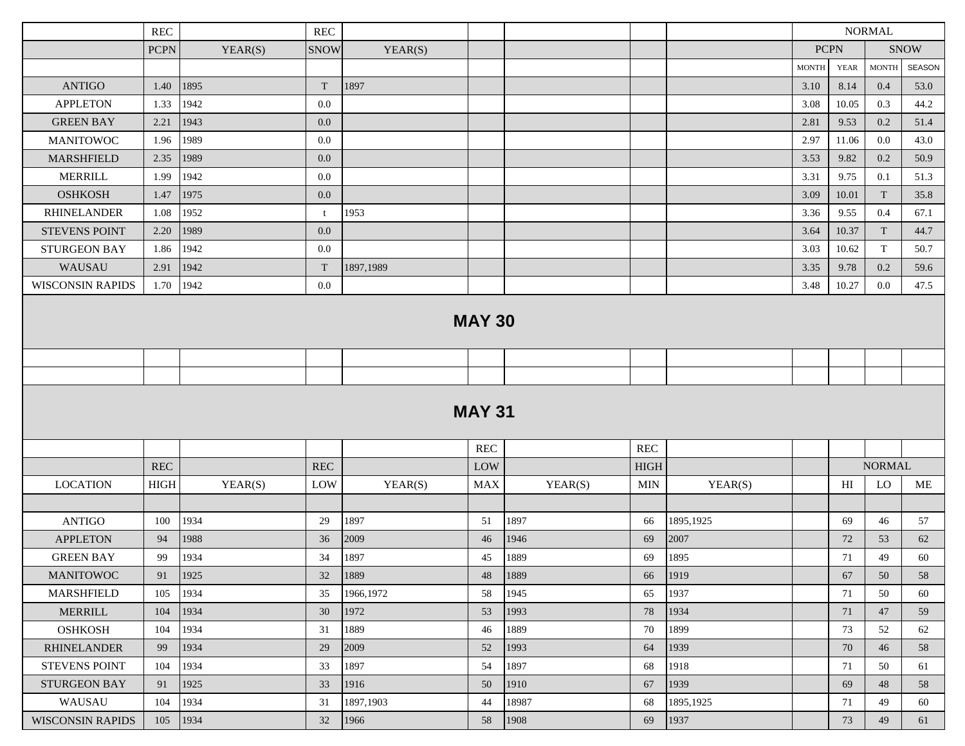|                         | <b>REC</b>  |         | $\operatorname{REC}$ |           |               |         |             |           | <b>NORMAL</b> |                |               |             |  |
|-------------------------|-------------|---------|----------------------|-----------|---------------|---------|-------------|-----------|---------------|----------------|---------------|-------------|--|
|                         | <b>PCPN</b> | YEAR(S) | <b>SNOW</b>          | YEAR(S)   |               |         |             |           | <b>PCPN</b>   |                |               | <b>SNOW</b> |  |
|                         |             |         |                      |           |               |         |             |           | <b>MONTH</b>  | <b>YEAR</b>    | <b>MONTH</b>  | SEASON      |  |
| <b>ANTIGO</b>           | 1.40        | 1895    | $\mathbf T$          | 1897      |               |         |             |           | 3.10          | 8.14           | 0.4           | 53.0        |  |
| <b>APPLETON</b>         | 1.33        | 1942    | 0.0                  |           |               |         |             |           | 3.08          | 10.05          | 0.3           | 44.2        |  |
| <b>GREEN BAY</b>        | 2.21        | 1943    | 0.0                  |           |               |         |             |           | 2.81          | 9.53           | 0.2           | 51.4        |  |
| <b>MANITOWOC</b>        | 1.96        | 1989    | 0.0                  |           |               |         |             |           | 2.97          | 11.06          | $0.0\,$       | 43.0        |  |
| <b>MARSHFIELD</b>       | 2.35        | 1989    | 0.0                  |           |               |         |             |           | 3.53          | 9.82           | 0.2           | 50.9        |  |
| <b>MERRILL</b>          | 1.99        | 1942    | 0.0                  |           |               |         |             |           | 3.31          | 9.75           | 0.1           | 51.3        |  |
| <b>OSHKOSH</b>          | 1.47        | 1975    | 0.0                  |           |               |         |             |           | 3.09          | 10.01          | T             | 35.8        |  |
| <b>RHINELANDER</b>      | 1.08        | 1952    | t.                   | 1953      |               |         |             |           | 3.36          | 9.55           | 0.4           | 67.1        |  |
| <b>STEVENS POINT</b>    | 2.20        | 1989    | 0.0                  |           |               |         |             |           | 3.64          | 10.37          | T             | 44.7        |  |
| <b>STURGEON BAY</b>     | 1.86        | 1942    | 0.0                  |           |               |         |             |           | 3.03          | 10.62          | T             | 50.7        |  |
| WAUSAU                  | 2.91        | 1942    | T                    | 1897,1989 |               |         |             |           | 3.35          | 9.78           | 0.2           | 59.6        |  |
| <b>WISCONSIN RAPIDS</b> | 1.70        | 1942    | 0.0                  |           |               |         |             |           | 3.48          | 10.27          | $0.0\,$       | 47.5        |  |
| <b>MAY 30</b>           |             |         |                      |           |               |         |             |           |               |                |               |             |  |
|                         |             |         |                      |           |               |         |             |           |               |                |               |             |  |
|                         |             |         |                      |           |               |         |             |           |               |                |               |             |  |
|                         |             |         |                      |           | <b>MAY 31</b> |         |             |           |               |                |               |             |  |
|                         |             |         |                      |           | <b>REC</b>    |         | <b>REC</b>  |           |               |                |               |             |  |
|                         | <b>REC</b>  |         | <b>REC</b>           |           | LOW           |         | <b>HIGH</b> |           |               |                | <b>NORMAL</b> |             |  |
| <b>LOCATION</b>         | <b>HIGH</b> | YEAR(S) | LOW                  | YEAR(S)   | <b>MAX</b>    | YEAR(S) | <b>MIN</b>  | YEAR(S)   |               | H <sub>I</sub> | LO            | ME          |  |
|                         |             |         |                      |           |               |         |             |           |               |                |               |             |  |
| <b>ANTIGO</b>           | 100         | 1934    | 29                   | 1897      | 51            | 1897    | 66          | 1895,1925 |               | 69             | 46            | 57          |  |
| <b>APPLETON</b>         | 94          | 1988    | 36                   | 2009      | 46            | 1946    | 69          | 2007      |               | 72             | 53            | 62          |  |
| <b>GREEN BAY</b>        | 99          | 1934    | 34                   | 1897      | 45            | 1889    | 69          | 1895      |               | 71             | 49            | 60          |  |
| <b>MANITOWOC</b>        | 91          | 1925    | 32                   | 1889      | 48            | 1889    | 66          | 1919      |               | 67             | 50            | 58          |  |
| MARSHFIELD              | 105         | 1934    | 35                   | 1966,1972 | 58            | 1945    | 65          | 1937      |               | 71             | 50            | 60          |  |
| MERRILL                 | 104         | 1934    | 30                   | 1972      | 53            | 1993    | 78          | 1934      |               | 71             | 47            | 59          |  |
| <b>OSHKOSH</b>          | 104         | 1934    | 31                   | 1889      | 46            | 1889    | 70          | 1899      |               | 73             | 52            | 62          |  |
| <b>RHINELANDER</b>      | 99          | 1934    | 29                   | 2009      | 52            | 1993    | 64          | 1939      |               | 70             | 46            | 58          |  |
| <b>STEVENS POINT</b>    | 104         | 1934    | 33                   | 1897      | 54            | 1897    | 68          | 1918      |               | 71             | 50            | 61          |  |
| STURGEON BAY            | 91          | 1925    | 33                   | 1916      | 50            | 1910    | 67          | 1939      |               | 69             | 48            | 58          |  |
| WAUSAU                  | 104         | 1934    | 31                   | 1897,1903 | 44            | 18987   | 68          | 1895,1925 |               | 71             | 49            | 60          |  |
| <b>WISCONSIN RAPIDS</b> | 105         | 1934    | 32                   | 1966      | 58            | 1908    | 69          | 1937      |               | 73             | 49            | 61          |  |